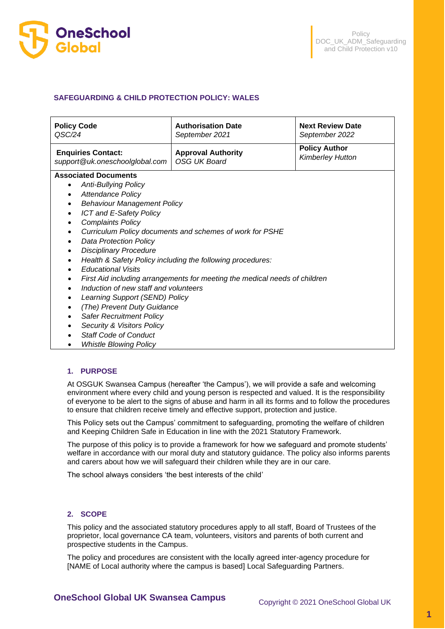

#### **SAFEGUARDING & CHILD PROTECTION POLICY: WALES**

| <b>Policy Code</b>                                                                                                                                                                                                                                                                                                                                                                                                                                                                                                                                                                                                                                                                                                                                                                                                                                                                                                                        | <b>Authorisation Date</b> | <b>Next Review Date</b> |  |
|-------------------------------------------------------------------------------------------------------------------------------------------------------------------------------------------------------------------------------------------------------------------------------------------------------------------------------------------------------------------------------------------------------------------------------------------------------------------------------------------------------------------------------------------------------------------------------------------------------------------------------------------------------------------------------------------------------------------------------------------------------------------------------------------------------------------------------------------------------------------------------------------------------------------------------------------|---------------------------|-------------------------|--|
| QSC/24                                                                                                                                                                                                                                                                                                                                                                                                                                                                                                                                                                                                                                                                                                                                                                                                                                                                                                                                    | September 2021            | September 2022          |  |
| <b>Enquiries Contact:</b>                                                                                                                                                                                                                                                                                                                                                                                                                                                                                                                                                                                                                                                                                                                                                                                                                                                                                                                 | <b>Approval Authority</b> | <b>Policy Author</b>    |  |
| support@uk.oneschoolglobal.com                                                                                                                                                                                                                                                                                                                                                                                                                                                                                                                                                                                                                                                                                                                                                                                                                                                                                                            | <b>OSG UK Board</b>       | <b>Kimberley Hutton</b> |  |
| <b>Associated Documents</b><br><b>Anti-Bullying Policy</b><br>٠<br><b>Attendance Policy</b><br>$\bullet$<br><b>Behaviour Management Policy</b><br>$\bullet$<br>ICT and E-Safety Policy<br>$\bullet$<br><b>Complaints Policy</b><br>٠<br>Curriculum Policy documents and schemes of work for PSHE<br>$\bullet$<br><b>Data Protection Policy</b><br>$\bullet$<br><b>Disciplinary Procedure</b><br>$\bullet$<br>Health & Safety Policy including the following procedures:<br>$\bullet$<br><b>Educational Visits</b><br>$\bullet$<br>First Aid including arrangements for meeting the medical needs of children<br>$\bullet$<br>Induction of new staff and volunteers<br>$\bullet$<br>Learning Support (SEND) Policy<br>$\bullet$<br>(The) Prevent Duty Guidance<br>$\bullet$<br><b>Safer Recruitment Policy</b><br><b>Security &amp; Visitors Policy</b><br>٠<br><b>Staff Code of Conduct</b><br><b>Whistle Blowing Policy</b><br>$\bullet$ |                           |                         |  |

#### **1. PURPOSE**

At OSGUK Swansea Campus (hereafter 'the Campus'), we will provide a safe and welcoming environment where every child and young person is respected and valued. It is the responsibility of everyone to be alert to the signs of abuse and harm in all its forms and to follow the procedures to ensure that children receive timely and effective support, protection and justice.

This Policy sets out the Campus' commitment to safeguarding, promoting the welfare of children and Keeping Children Safe in Education in line with the 2021 Statutory Framework.

The purpose of this policy is to provide a framework for how we safeguard and promote students' welfare in accordance with our moral duty and statutory guidance. The policy also informs parents and carers about how we will safeguard their children while they are in our care.

The school always considers 'the best interests of the child'

#### **2. SCOPE**

This policy and the associated statutory procedures apply to all staff, Board of Trustees of the proprietor, local governance CA team, volunteers, visitors and parents of both current and prospective students in the Campus.

The policy and procedures are consistent with the locally agreed inter-agency procedure for [NAME of Local authority where the campus is based] Local Safeguarding Partners.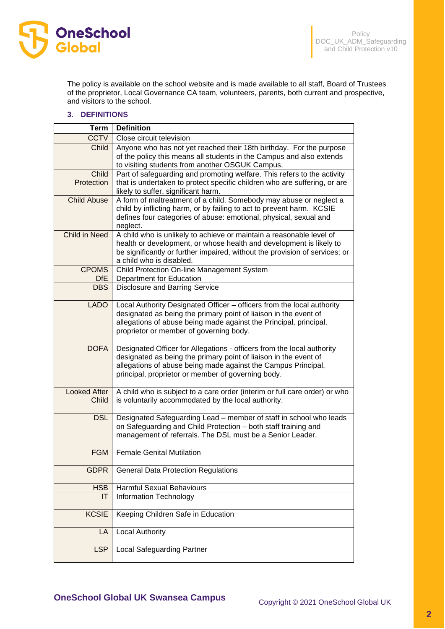

The policy is available on the school website and is made available to all staff, Board of Trustees of the proprietor, Local Governance CA team, volunteers, parents, both current and prospective, and visitors to the school.

# **3. DEFINITIONS**

| <b>Term</b>                  | <b>Definition</b>                                                                                                                                                                                                                                                 |
|------------------------------|-------------------------------------------------------------------------------------------------------------------------------------------------------------------------------------------------------------------------------------------------------------------|
| <b>CCTV</b>                  | Close circuit television                                                                                                                                                                                                                                          |
| Child                        | Anyone who has not yet reached their 18th birthday. For the purpose<br>of the policy this means all students in the Campus and also extends<br>to visiting students from another OSGUK Campus.                                                                    |
| Child<br>Protection          | Part of safeguarding and promoting welfare. This refers to the activity<br>that is undertaken to protect specific children who are suffering, or are<br>likely to suffer, significant harm.                                                                       |
| <b>Child Abuse</b>           | A form of maltreatment of a child. Somebody may abuse or neglect a<br>child by inflicting harm, or by failing to act to prevent harm. KCSIE<br>defines four categories of abuse: emotional, physical, sexual and<br>neglect.                                      |
| Child in Need                | A child who is unlikely to achieve or maintain a reasonable level of<br>health or development, or whose health and development is likely to<br>be significantly or further impaired, without the provision of services; or<br>a child who is disabled.            |
| <b>CPOMS</b>                 | Child Protection On-line Management System                                                                                                                                                                                                                        |
| <b>DfE</b>                   | Department for Education                                                                                                                                                                                                                                          |
| <b>DBS</b>                   | <b>Disclosure and Barring Service</b>                                                                                                                                                                                                                             |
| <b>LADO</b>                  | Local Authority Designated Officer - officers from the local authority<br>designated as being the primary point of liaison in the event of<br>allegations of abuse being made against the Principal, principal,<br>proprietor or member of governing body.        |
| <b>DOFA</b>                  | Designated Officer for Allegations - officers from the local authority<br>designated as being the primary point of liaison in the event of<br>allegations of abuse being made against the Campus Principal,<br>principal, proprietor or member of governing body. |
| <b>Looked After</b><br>Child | A child who is subject to a care order (interim or full care order) or who<br>is voluntarily accommodated by the local authority.                                                                                                                                 |
| <b>DSL</b>                   | Designated Safeguarding Lead - member of staff in school who leads<br>on Safeguarding and Child Protection - both staff training and<br>management of referrals. The DSL must be a Senior Leader.                                                                 |
| <b>FGM</b>                   | <b>Female Genital Mutilation</b>                                                                                                                                                                                                                                  |
| <b>GDPR</b>                  | <b>General Data Protection Regulations</b>                                                                                                                                                                                                                        |
| <b>HSB</b>                   | <b>Harmful Sexual Behaviours</b>                                                                                                                                                                                                                                  |
| IT                           | Information Technology                                                                                                                                                                                                                                            |
| <b>KCSIE</b>                 | Keeping Children Safe in Education                                                                                                                                                                                                                                |
| LA                           | <b>Local Authority</b>                                                                                                                                                                                                                                            |
| <b>LSP</b>                   | <b>Local Safeguarding Partner</b>                                                                                                                                                                                                                                 |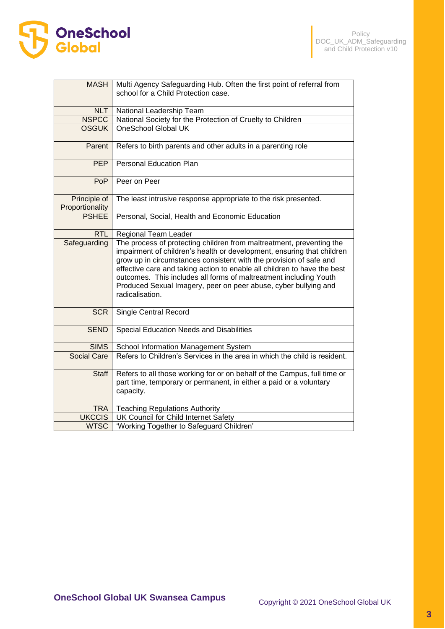

| <b>MASH</b>                     | Multi Agency Safeguarding Hub. Often the first point of referral from<br>school for a Child Protection case.                                                                                                                                                                                                                                                                                                                                                |  |
|---------------------------------|-------------------------------------------------------------------------------------------------------------------------------------------------------------------------------------------------------------------------------------------------------------------------------------------------------------------------------------------------------------------------------------------------------------------------------------------------------------|--|
| <b>NLT</b>                      | National Leadership Team                                                                                                                                                                                                                                                                                                                                                                                                                                    |  |
| <b>NSPCC</b>                    | National Society for the Protection of Cruelty to Children                                                                                                                                                                                                                                                                                                                                                                                                  |  |
| <b>OSGUK</b>                    | <b>OneSchool Global UK</b>                                                                                                                                                                                                                                                                                                                                                                                                                                  |  |
| Parent                          | Refers to birth parents and other adults in a parenting role                                                                                                                                                                                                                                                                                                                                                                                                |  |
| <b>PEP</b>                      | <b>Personal Education Plan</b>                                                                                                                                                                                                                                                                                                                                                                                                                              |  |
| PoP                             | Peer on Peer                                                                                                                                                                                                                                                                                                                                                                                                                                                |  |
| Principle of<br>Proportionality | The least intrusive response appropriate to the risk presented.                                                                                                                                                                                                                                                                                                                                                                                             |  |
| <b>PSHEE</b>                    | Personal, Social, Health and Economic Education                                                                                                                                                                                                                                                                                                                                                                                                             |  |
| <b>RTL</b>                      | <b>Regional Team Leader</b>                                                                                                                                                                                                                                                                                                                                                                                                                                 |  |
| Safeguarding                    | The process of protecting children from maltreatment, preventing the<br>impairment of children's health or development, ensuring that children<br>grow up in circumstances consistent with the provision of safe and<br>effective care and taking action to enable all children to have the best<br>outcomes. This includes all forms of maltreatment including Youth<br>Produced Sexual Imagery, peer on peer abuse, cyber bullying and<br>radicalisation. |  |
| <b>SCR</b>                      | <b>Single Central Record</b>                                                                                                                                                                                                                                                                                                                                                                                                                                |  |
| <b>SEND</b>                     | Special Education Needs and Disabilities                                                                                                                                                                                                                                                                                                                                                                                                                    |  |
| <b>SIMS</b>                     | School Information Management System                                                                                                                                                                                                                                                                                                                                                                                                                        |  |
| <b>Social Care</b>              | Refers to Children's Services in the area in which the child is resident.                                                                                                                                                                                                                                                                                                                                                                                   |  |
| <b>Staff</b>                    | Refers to all those working for or on behalf of the Campus, full time or<br>part time, temporary or permanent, in either a paid or a voluntary<br>capacity.                                                                                                                                                                                                                                                                                                 |  |
| <b>TRA</b>                      | <b>Teaching Regulations Authority</b>                                                                                                                                                                                                                                                                                                                                                                                                                       |  |
| <b>UKCCIS</b>                   | UK Council for Child Internet Safety                                                                                                                                                                                                                                                                                                                                                                                                                        |  |
| <b>WTSC</b>                     | 'Working Together to Safeguard Children'                                                                                                                                                                                                                                                                                                                                                                                                                    |  |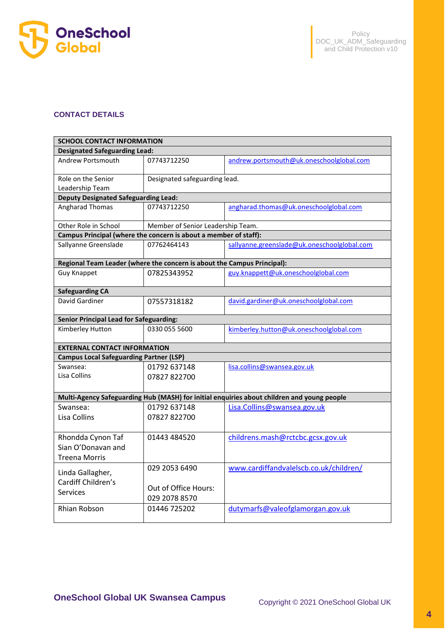

# **CONTACT DETAILS**

| <b>SCHOOL CONTACT INFORMATION</b>                                       |                                   |                                                                                            |  |  |
|-------------------------------------------------------------------------|-----------------------------------|--------------------------------------------------------------------------------------------|--|--|
| <b>Designated Safeguarding Lead:</b>                                    |                                   |                                                                                            |  |  |
| <b>Andrew Portsmouth</b>                                                | 07743712250                       | andrew.portsmouth@uk.oneschoolglobal.com                                                   |  |  |
| Role on the Senior                                                      | Designated safeguarding lead.     |                                                                                            |  |  |
| Leadership Team                                                         |                                   |                                                                                            |  |  |
| <b>Deputy Designated Safeguarding Lead:</b>                             |                                   |                                                                                            |  |  |
| <b>Angharad Thomas</b>                                                  | 07743712250                       | angharad.thomas@uk.oneschoolglobal.com                                                     |  |  |
| Other Role in School                                                    | Member of Senior Leadership Team. |                                                                                            |  |  |
| Campus Principal (where the concern is about a member of staff):        |                                   |                                                                                            |  |  |
| Sallyanne Greenslade                                                    | 07762464143                       | sallyanne.greenslade@uk.oneschoolglobal.com                                                |  |  |
| Regional Team Leader (where the concern is about the Campus Principal): |                                   |                                                                                            |  |  |
| <b>Guy Knappet</b>                                                      | 07825343952                       | guy.knappett@uk.oneschoolglobal.com                                                        |  |  |
| <b>Safeguarding CA</b>                                                  |                                   |                                                                                            |  |  |
| David Gardiner                                                          | 07557318182                       | david.gardiner@uk.oneschoolglobal.com                                                      |  |  |
| <b>Senior Principal Lead for Safeguarding:</b>                          |                                   |                                                                                            |  |  |
| Kimberley Hutton                                                        | 0330 055 5600                     | kimberley.hutton@uk.oneschoolglobal.com                                                    |  |  |
| <b>EXTERNAL CONTACT INFORMATION</b>                                     |                                   |                                                                                            |  |  |
| <b>Campus Local Safeguarding Partner (LSP)</b>                          |                                   |                                                                                            |  |  |
| Swansea:                                                                | 01792 637148                      | lisa.collins@swansea.gov.uk                                                                |  |  |
| Lisa Collins                                                            | 07827 822700                      |                                                                                            |  |  |
|                                                                         |                                   | Multi-Agency Safeguarding Hub (MASH) for initial enquiries about children and young people |  |  |
| Swansea:                                                                | 01792 637148                      | Lisa.Collins@swansea.gov.uk                                                                |  |  |
| Lisa Collins                                                            | 07827822700                       |                                                                                            |  |  |
| Rhondda Cynon Taf                                                       | 01443 484520                      | childrens.mash@rctcbc.gcsx.gov.uk                                                          |  |  |
| Sian O'Donavan and                                                      |                                   |                                                                                            |  |  |
| <b>Treena Morris</b>                                                    |                                   |                                                                                            |  |  |
|                                                                         | 029 2053 6490                     | www.cardiffandvalelscb.co.uk/children/                                                     |  |  |
| Linda Gallagher,                                                        |                                   |                                                                                            |  |  |
| Cardiff Children's                                                      | Out of Office Hours:              |                                                                                            |  |  |
| <b>Services</b>                                                         | 029 2078 8570                     |                                                                                            |  |  |
| <b>Rhian Robson</b>                                                     | 01446 725202                      | dutymarfs@valeofglamorgan.gov.uk                                                           |  |  |
|                                                                         |                                   |                                                                                            |  |  |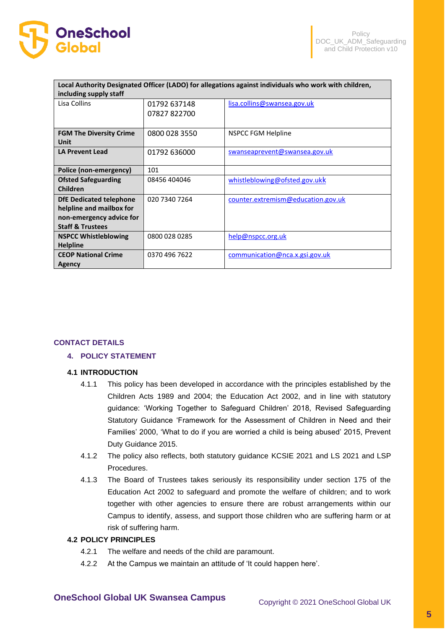| <b>C</b> neSchool |  |
|-------------------|--|
| <b>Global</b>     |  |

| Local Authority Designated Officer (LADO) for allegations against individuals who work with children, |               |                                    |  |  |
|-------------------------------------------------------------------------------------------------------|---------------|------------------------------------|--|--|
| including supply staff                                                                                |               |                                    |  |  |
| Lisa Collins                                                                                          | 01792 637148  | lisa.collins@swansea.gov.uk        |  |  |
|                                                                                                       | 07827822700   |                                    |  |  |
|                                                                                                       |               |                                    |  |  |
| <b>FGM The Diversity Crime</b>                                                                        | 0800 028 3550 | <b>NSPCC FGM Helpline</b>          |  |  |
| Unit                                                                                                  |               |                                    |  |  |
| <b>LA Prevent Lead</b>                                                                                | 01792 636000  | swanseaprevent@swansea.gov.uk      |  |  |
|                                                                                                       |               |                                    |  |  |
| Police (non-emergency)                                                                                | 101           |                                    |  |  |
| <b>Ofsted Safeguarding</b>                                                                            | 08456 404046  | whistleblowing@ofsted.gov.ukk      |  |  |
| Children                                                                                              |               |                                    |  |  |
| <b>DfE Dedicated telephone</b>                                                                        | 020 7340 7264 | counter.extremism@education.gov.uk |  |  |
| helpline and mailbox for                                                                              |               |                                    |  |  |
| non-emergency advice for                                                                              |               |                                    |  |  |
| <b>Staff &amp; Trustees</b>                                                                           |               |                                    |  |  |
| <b>NSPCC Whistleblowing</b>                                                                           | 0800 028 0285 | help@nspcc.org.uk                  |  |  |
| <b>Helpline</b>                                                                                       |               |                                    |  |  |
| <b>CEOP National Crime</b>                                                                            | 0370 496 7622 | communication@nca.x.gsi.gov.uk     |  |  |
| Agency                                                                                                |               |                                    |  |  |

# **CONTACT DETAILS**

# **4. POLICY STATEMENT**

# **4.1 INTRODUCTION**

- 4.1.1 This policy has been developed in accordance with the principles established by the Children Acts 1989 and 2004; the Education Act 2002, and in line with statutory guidance: 'Working Together to Safeguard Children' 2018, Revised Safeguarding Statutory Guidance 'Framework for the Assessment of Children in Need and their Families' 2000, 'What to do if you are worried a child is being abused' 2015, Prevent Duty Guidance 2015.
- 4.1.2 The policy also reflects, both statutory guidance KCSIE 2021 and LS 2021 and LSP Procedures.
- 4.1.3 The Board of Trustees takes seriously its responsibility under section 175 of the Education Act 2002 to safeguard and promote the welfare of children; and to work together with other agencies to ensure there are robust arrangements within our Campus to identify, assess, and support those children who are suffering harm or at risk of suffering harm.

# **4.2 POLICY PRINCIPLES**

- 4.2.1 The welfare and needs of the child are paramount.
- 4.2.2 At the Campus we maintain an attitude of 'It could happen here'.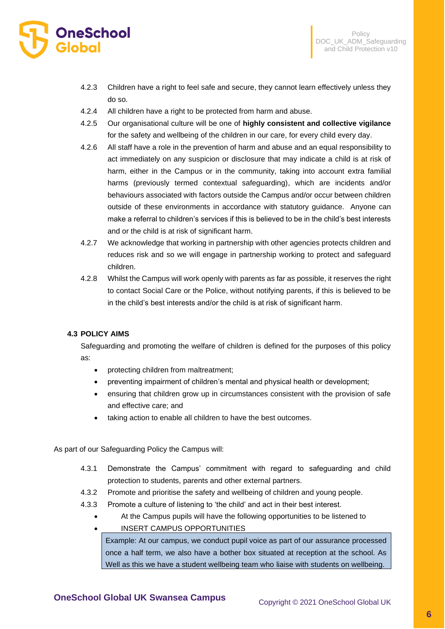

- 4.2.3 Children have a right to feel safe and secure, they cannot learn effectively unless they do so.
- 4.2.4 All children have a right to be protected from harm and abuse.
- 4.2.5 Our organisational culture will be one of **highly consistent and collective vigilance** for the safety and wellbeing of the children in our care, for every child every day.
- 4.2.6 All staff have a role in the prevention of harm and abuse and an equal responsibility to act immediately on any suspicion or disclosure that may indicate a child is at risk of harm, either in the Campus or in the community, taking into account extra familial harms (previously termed contextual safeguarding), which are incidents and/or behaviours associated with factors outside the Campus and/or occur between children outside of these environments in accordance with statutory guidance. Anyone can make a referral to children's services if this is believed to be in the child's best interests and or the child is at risk of significant harm.
- 4.2.7 We acknowledge that working in partnership with other agencies protects children and reduces risk and so we will engage in partnership working to protect and safeguard children.
- 4.2.8 Whilst the Campus will work openly with parents as far as possible, it reserves the right to contact Social Care or the Police, without notifying parents, if this is believed to be in the child's best interests and/or the child is at risk of significant harm.

# **4.3 POLICY AIMS**

Safeguarding and promoting the welfare of children is defined for the purposes of this policy as:

- protecting children from maltreatment;
- preventing impairment of children's mental and physical health or development;
- ensuring that children grow up in circumstances consistent with the provision of safe and effective care; and
- taking action to enable all children to have the best outcomes.

As part of our Safeguarding Policy the Campus will:

- 4.3.1 Demonstrate the Campus' commitment with regard to safeguarding and child protection to students, parents and other external partners.
- 4.3.2 Promote and prioritise the safety and wellbeing of children and young people.
- 4.3.3 Promote a culture of listening to 'the child' and act in their best interest.
	- At the Campus pupils will have the following opportunities to be listened to
		- **INSERT CAMPUS OPPORTUNITIES**

Example: At our campus, we conduct pupil voice as part of our assurance processed once a half term, we also have a bother box situated at reception at the school. As Well as this we have a student wellbeing team who liaise with students on wellbeing.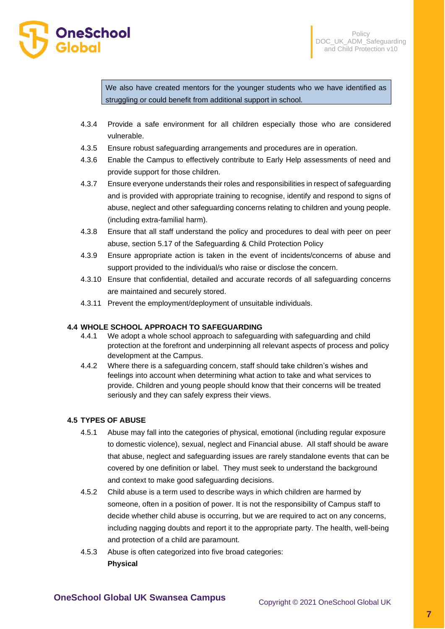

We also have created mentors for the younger students who we have identified as struggling or could benefit from additional support in school.

- 4.3.4 Provide a safe environment for all children especially those who are considered vulnerable.
- 4.3.5 Ensure robust safeguarding arrangements and procedures are in operation.
- 4.3.6 Enable the Campus to effectively contribute to Early Help assessments of need and provide support for those children.
- 4.3.7 Ensure everyone understands their roles and responsibilities in respect of safeguarding and is provided with appropriate training to recognise, identify and respond to signs of abuse, neglect and other safeguarding concerns relating to children and young people. (including extra-familial harm).
- 4.3.8 Ensure that all staff understand the policy and procedures to deal with peer on peer abuse, section 5.17 of the Safeguarding & Child Protection Policy
- 4.3.9 Ensure appropriate action is taken in the event of incidents/concerns of abuse and support provided to the individual/s who raise or disclose the concern.
- 4.3.10 Ensure that confidential, detailed and accurate records of all safeguarding concerns are maintained and securely stored.
- 4.3.11 Prevent the employment/deployment of unsuitable individuals.

# **4.4 WHOLE SCHOOL APPROACH TO SAFEGUARDING**

- 4.4.1 We adopt a whole school approach to safeguarding with safeguarding and child protection at the forefront and underpinning all relevant aspects of process and policy development at the Campus.
- 4.4.2 Where there is a safeguarding concern, staff should take children's wishes and feelings into account when determining what action to take and what services to provide. Children and young people should know that their concerns will be treated seriously and they can safely express their views.

# **4.5 TYPES OF ABUSE**

- 4.5.1 Abuse may fall into the categories of physical, emotional (including regular exposure to domestic violence), sexual, neglect and Financial abuse. All staff should be aware that abuse, neglect and safeguarding issues are rarely standalone events that can be covered by one definition or label. They must seek to understand the background and context to make good safeguarding decisions.
- 4.5.2 Child abuse is a term used to describe ways in which children are harmed by someone, often in a position of power. It is not the responsibility of Campus staff to decide whether child abuse is occurring, but we are required to act on any concerns, including nagging doubts and report it to the appropriate party. The health, well-being and protection of a child are paramount.
- 4.5.3 Abuse is often categorized into five broad categories: **Physical**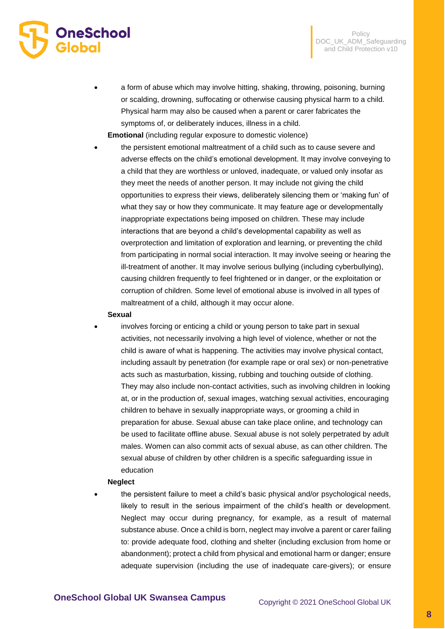

- a form of abuse which may involve hitting, shaking, throwing, poisoning, burning or scalding, drowning, suffocating or otherwise causing physical harm to a child. Physical harm may also be caused when a parent or carer fabricates the symptoms of, or deliberately induces, illness in a child. **Emotional** (including regular exposure to domestic violence)
- the persistent emotional maltreatment of a child such as to cause severe and adverse effects on the child's emotional development. It may involve conveying to a child that they are worthless or unloved, inadequate, or valued only insofar as they meet the needs of another person. It may include not giving the child opportunities to express their views, deliberately silencing them or 'making fun' of what they say or how they communicate. It may feature age or developmentally inappropriate expectations being imposed on children. These may include interactions that are beyond a child's developmental capability as well as overprotection and limitation of exploration and learning, or preventing the child from participating in normal social interaction. It may involve seeing or hearing the ill-treatment of another. It may involve serious bullying (including cyberbullying), causing children frequently to feel frightened or in danger, or the exploitation or corruption of children. Some level of emotional abuse is involved in all types of maltreatment of a child, although it may occur alone.
- **Sexual**
- involves forcing or enticing a child or young person to take part in sexual activities, not necessarily involving a high level of violence, whether or not the child is aware of what is happening. The activities may involve physical contact, including assault by penetration (for example rape or oral sex) or non-penetrative acts such as masturbation, kissing, rubbing and touching outside of clothing. They may also include non-contact activities, such as involving children in looking at, or in the production of, sexual images, watching sexual activities, encouraging children to behave in sexually inappropriate ways, or grooming a child in preparation for abuse. Sexual abuse can take place online, and technology can be used to facilitate offline abuse. Sexual abuse is not solely perpetrated by adult males. Women can also commit acts of sexual abuse, as can other children. The sexual abuse of children by other children is a specific safeguarding issue in education

#### **Neglect**

• the persistent failure to meet a child's basic physical and/or psychological needs, likely to result in the serious impairment of the child's health or development. Neglect may occur during pregnancy, for example, as a result of maternal substance abuse. Once a child is born, neglect may involve a parent or carer failing to: provide adequate food, clothing and shelter (including exclusion from home or abandonment); protect a child from physical and emotional harm or danger; ensure adequate supervision (including the use of inadequate care-givers); or ensure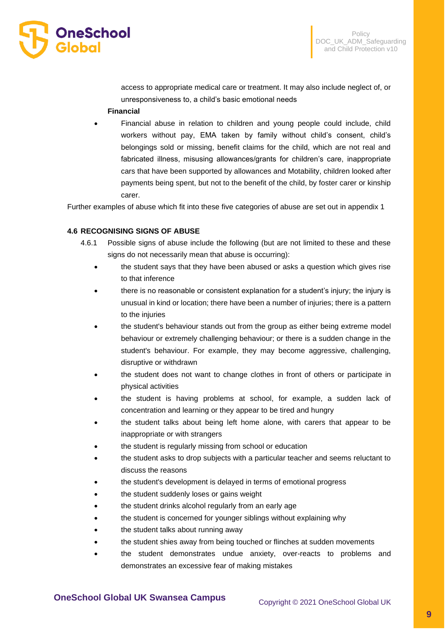

access to appropriate medical care or treatment. It may also include neglect of, or unresponsiveness to, a child's basic emotional needs

#### **Financial**

• Financial abuse in relation to children and young people could include, child workers without pay, EMA taken by family without child's consent, child's belongings sold or missing, benefit claims for the child, which are not real and fabricated illness, misusing allowances/grants for children's care, inappropriate cars that have been supported by allowances and Motability, children looked after payments being spent, but not to the benefit of the child, by foster carer or kinship carer.

Further examples of abuse which fit into these five categories of abuse are set out in appendix 1

#### **4.6 RECOGNISING SIGNS OF ABUSE**

- 4.6.1 Possible signs of abuse include the following (but are not limited to these and these signs do not necessarily mean that abuse is occurring):
	- the student says that they have been abused or asks a question which gives rise to that inference
	- there is no reasonable or consistent explanation for a student's injury; the injury is unusual in kind or location; there have been a number of injuries; there is a pattern to the injuries
	- the student's behaviour stands out from the group as either being extreme model behaviour or extremely challenging behaviour; or there is a sudden change in the student's behaviour. For example, they may become aggressive, challenging, disruptive or withdrawn
	- the student does not want to change clothes in front of others or participate in physical activities
	- the student is having problems at school, for example, a sudden lack of concentration and learning or they appear to be tired and hungry
	- the student talks about being left home alone, with carers that appear to be inappropriate or with strangers
	- the student is regularly missing from school or education
	- the student asks to drop subjects with a particular teacher and seems reluctant to discuss the reasons
	- the student's development is delayed in terms of emotional progress
	- the student suddenly loses or gains weight
	- the student drinks alcohol regularly from an early age
	- the student is concerned for younger siblings without explaining why
	- the student talks about running away
	- the student shies away from being touched or flinches at sudden movements
	- the student demonstrates undue anxiety, over-reacts to problems and demonstrates an excessive fear of making mistakes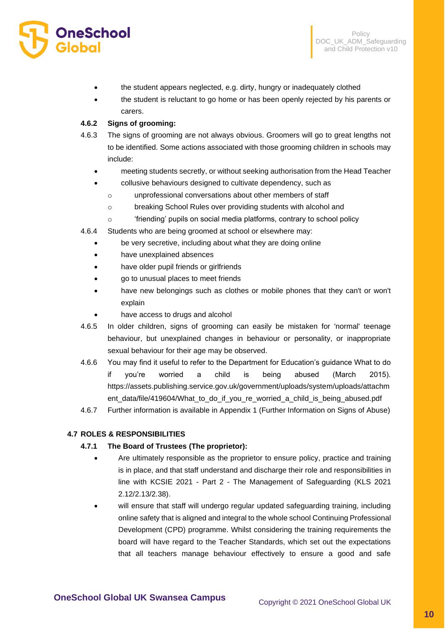

- the student appears neglected, e.g. dirty, hungry or inadequately clothed
- the student is reluctant to go home or has been openly rejected by his parents or carers.

# **4.6.2 Signs of grooming:**

- 4.6.3 The signs of grooming are not always obvious. Groomers will go to great lengths not to be identified. Some actions associated with those grooming children in schools may include:
	- meeting students secretly, or without seeking authorisation from the Head Teacher
	- collusive behaviours designed to cultivate dependency, such as
		- o unprofessional conversations about other members of staff
		- o breaking School Rules over providing students with alcohol and
		- o 'friending' pupils on social media platforms, contrary to school policy
- 4.6.4 Students who are being groomed at school or elsewhere may:
	- be very secretive, including about what they are doing online
	- have unexplained absences
	- have older pupil friends or girlfriends
	- go to unusual places to meet friends
	- have new belongings such as clothes or mobile phones that they can't or won't explain
	- have access to drugs and alcohol
- 4.6.5 In older children, signs of grooming can easily be mistaken for 'normal' teenage behaviour, but unexplained changes in behaviour or personality, or inappropriate sexual behaviour for their age may be observed.
- 4.6.6 You may find it useful to refer to the Department for Education's guidance What to do if you're worried a child is being abused (March 2015). https://assets.publishing.service.gov.uk/government/uploads/system/uploads/attachm ent\_data/file/419604/What\_to\_do\_if\_you\_re\_worried\_a\_child\_is\_being\_abused.pdf
- 4.6.7 Further information is available in Appendix 1 (Further Information on Signs of Abuse)

# **4.7 ROLES & RESPONSIBILITIES**

# **4.7.1 The Board of Trustees (The proprietor):**

- Are ultimately responsible as the proprietor to ensure policy, practice and training is in place, and that staff understand and discharge their role and responsibilities in line with KCSIE 2021 - Part 2 - The Management of Safeguarding (KLS 2021 2.12/2.13/2.38).
- will ensure that staff will undergo regular updated safeguarding training, including online safety that is aligned and integral to the whole school Continuing Professional Development (CPD) programme. Whilst considering the training requirements the board will have regard to the Teacher Standards, which set out the expectations that all teachers manage behaviour effectively to ensure a good and safe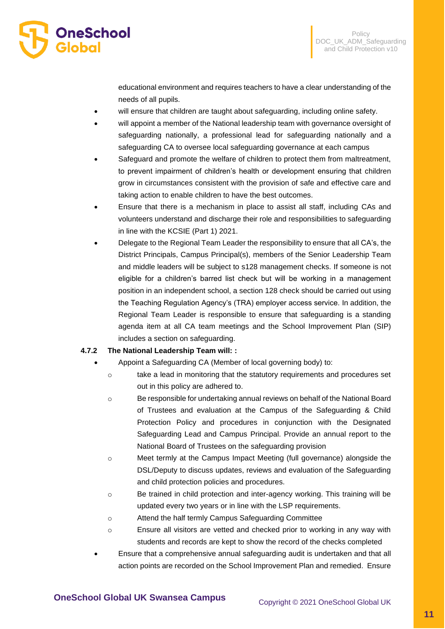

educational environment and requires teachers to have a clear understanding of the needs of all pupils.

- will ensure that children are taught about safeguarding, including online safety.
- will appoint a member of the National leadership team with governance oversight of safeguarding nationally, a professional lead for safeguarding nationally and a safeguarding CA to oversee local safeguarding governance at each campus
- Safeguard and promote the welfare of children to protect them from maltreatment, to prevent impairment of children's health or development ensuring that children grow in circumstances consistent with the provision of safe and effective care and taking action to enable children to have the best outcomes.
- Ensure that there is a mechanism in place to assist all staff, including CAs and volunteers understand and discharge their role and responsibilities to safeguarding in line with the KCSIE (Part 1) 2021.
- Delegate to the Regional Team Leader the responsibility to ensure that all CA's, the District Principals, Campus Principal(s), members of the Senior Leadership Team and middle leaders will be subject to s128 management checks. If someone is not eligible for a children's barred list check but will be working in a management position in an independent school, a section 128 check should be carried out using the Teaching Regulation Agency's (TRA) employer access service. In addition, the Regional Team Leader is responsible to ensure that safeguarding is a standing agenda item at all CA team meetings and the School Improvement Plan (SIP) includes a section on safeguarding.

# **4.7.2 The National Leadership Team will: :**

- Appoint a Safeguarding CA (Member of local governing body) to:
	- o take a lead in monitoring that the statutory requirements and procedures set out in this policy are adhered to.
	- o Be responsible for undertaking annual reviews on behalf of the National Board of Trustees and evaluation at the Campus of the Safeguarding & Child Protection Policy and procedures in conjunction with the Designated Safeguarding Lead and Campus Principal. Provide an annual report to the National Board of Trustees on the safeguarding provision
	- o Meet termly at the Campus Impact Meeting (full governance) alongside the DSL/Deputy to discuss updates, reviews and evaluation of the Safeguarding and child protection policies and procedures.
	- o Be trained in child protection and inter-agency working. This training will be updated every two years or in line with the LSP requirements.
	- o Attend the half termly Campus Safeguarding Committee
	- o Ensure all visitors are vetted and checked prior to working in any way with students and records are kept to show the record of the checks completed
- Ensure that a comprehensive annual safeguarding audit is undertaken and that all action points are recorded on the School Improvement Plan and remedied. Ensure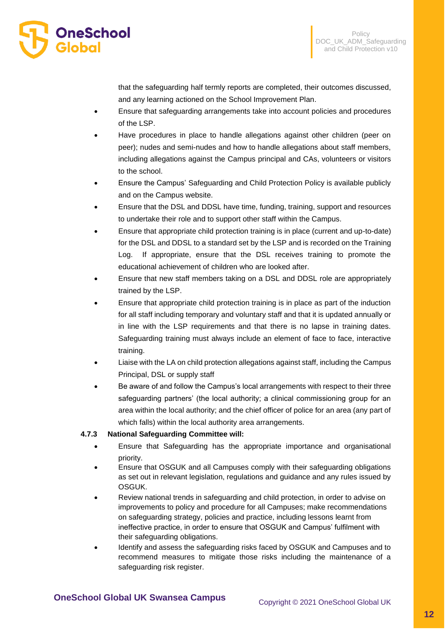

that the safeguarding half termly reports are completed, their outcomes discussed, and any learning actioned on the School Improvement Plan.

- Ensure that safeguarding arrangements take into account policies and procedures of the LSP.
- Have procedures in place to handle allegations against other children (peer on peer); nudes and semi-nudes and how to handle allegations about staff members, including allegations against the Campus principal and CAs, volunteers or visitors to the school.
- Ensure the Campus' Safeguarding and Child Protection Policy is available publicly and on the Campus website.
- Ensure that the DSL and DDSL have time, funding, training, support and resources to undertake their role and to support other staff within the Campus.
- Ensure that appropriate child protection training is in place (current and up-to-date) for the DSL and DDSL to a standard set by the LSP and is recorded on the Training Log. If appropriate, ensure that the DSL receives training to promote the educational achievement of children who are looked after.
- Ensure that new staff members taking on a DSL and DDSL role are appropriately trained by the LSP.
- Ensure that appropriate child protection training is in place as part of the induction for all staff including temporary and voluntary staff and that it is updated annually or in line with the LSP requirements and that there is no lapse in training dates. Safeguarding training must always include an element of face to face, interactive training.
- Liaise with the LA on child protection allegations against staff, including the Campus Principal, DSL or supply staff
- Be aware of and follow the Campus's local arrangements with respect to their three safeguarding partners' (the local authority; a clinical commissioning group for an area within the local authority; and the chief officer of police for an area (any part of which falls) within the local authority area arrangements.

# **4.7.3 National Safeguarding Committee will:**

- Ensure that Safeguarding has the appropriate importance and organisational priority.
- Ensure that OSGUK and all Campuses comply with their safeguarding obligations as set out in relevant legislation, regulations and guidance and any rules issued by OSGUK.
- Review national trends in safeguarding and child protection, in order to advise on improvements to policy and procedure for all Campuses; make recommendations on safeguarding strategy, policies and practice, including lessons learnt from ineffective practice, in order to ensure that OSGUK and Campus' fulfilment with their safeguarding obligations.
- Identify and assess the safeguarding risks faced by OSGUK and Campuses and to recommend measures to mitigate those risks including the maintenance of a safeguarding risk register.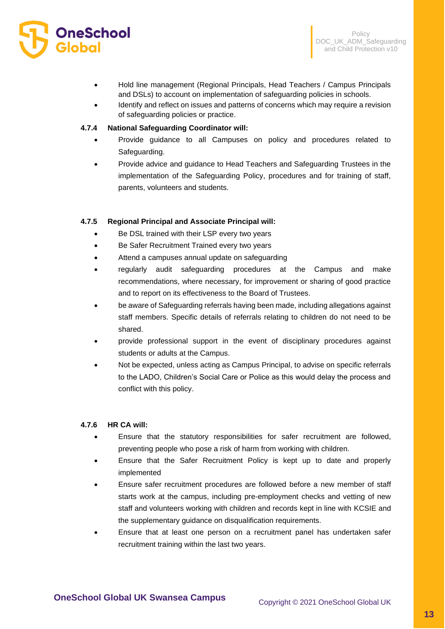

- Hold line management (Regional Principals, Head Teachers / Campus Principals and DSLs) to account on implementation of safeguarding policies in schools.
- Identify and reflect on issues and patterns of concerns which may require a revision of safeguarding policies or practice.

# **4.7.4 National Safeguarding Coordinator will:**

- Provide guidance to all Campuses on policy and procedures related to Safeguarding.
- Provide advice and guidance to Head Teachers and Safeguarding Trustees in the implementation of the Safeguarding Policy, procedures and for training of staff, parents, volunteers and students.

# **4.7.5 Regional Principal and Associate Principal will:**

- Be DSL trained with their LSP every two years
- Be Safer Recruitment Trained every two years
- Attend a campuses annual update on safeguarding
- regularly audit safeguarding procedures at the Campus and make recommendations, where necessary, for improvement or sharing of good practice and to report on its effectiveness to the Board of Trustees.
- be aware of Safeguarding referrals having been made, including allegations against staff members. Specific details of referrals relating to children do not need to be shared.
- provide professional support in the event of disciplinary procedures against students or adults at the Campus.
- Not be expected, unless acting as Campus Principal, to advise on specific referrals to the LADO, Children's Social Care or Police as this would delay the process and conflict with this policy.

# **4.7.6 HR CA will:**

- Ensure that the statutory responsibilities for safer recruitment are followed, preventing people who pose a risk of harm from working with children.
- Ensure that the Safer Recruitment Policy is kept up to date and properly implemented
- Ensure safer recruitment procedures are followed before a new member of staff starts work at the campus, including pre-employment checks and vetting of new staff and volunteers working with children and records kept in line with KCSIE and the supplementary guidance on disqualification requirements.
- Ensure that at least one person on a recruitment panel has undertaken safer recruitment training within the last two years.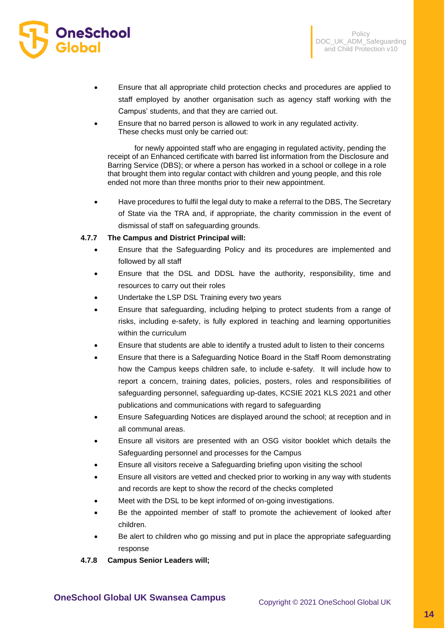

- Ensure that all appropriate child protection checks and procedures are applied to staff employed by another organisation such as agency staff working with the Campus' students, and that they are carried out.
- Ensure that no barred person is allowed to work in any regulated activity. These checks must only be carried out:

for newly appointed staff who are engaging in regulated activity, pending the receipt of an Enhanced certificate with barred list information from the Disclosure and Barring Service (DBS); or where a person has worked in a school or college in a role that brought them into regular contact with children and young people, and this role ended not more than three months prior to their new appointment.

• Have procedures to fulfil the legal duty to make a referral to the DBS, The Secretary of State via the TRA and, if appropriate, the charity commission in the event of dismissal of staff on safeguarding grounds.

# **4.7.7 The Campus and District Principal will:**

- Ensure that the Safeguarding Policy and its procedures are implemented and followed by all staff
- Ensure that the DSL and DDSL have the authority, responsibility, time and resources to carry out their roles
- Undertake the LSP DSL Training every two years
- Ensure that safeguarding, including helping to protect students from a range of risks, including e-safety, is fully explored in teaching and learning opportunities within the curriculum
- Ensure that students are able to identify a trusted adult to listen to their concerns
- Ensure that there is a Safeguarding Notice Board in the Staff Room demonstrating how the Campus keeps children safe, to include e-safety. It will include how to report a concern, training dates, policies, posters, roles and responsibilities of safeguarding personnel, safeguarding up-dates, KCSIE 2021 KLS 2021 and other publications and communications with regard to safeguarding
- Ensure Safeguarding Notices are displayed around the school; at reception and in all communal areas.
- Ensure all visitors are presented with an OSG visitor booklet which details the Safeguarding personnel and processes for the Campus
- Ensure all visitors receive a Safeguarding briefing upon visiting the school
- Ensure all visitors are vetted and checked prior to working in any way with students and records are kept to show the record of the checks completed
- Meet with the DSL to be kept informed of on-going investigations.
- Be the appointed member of staff to promote the achievement of looked after children.
- Be alert to children who go missing and put in place the appropriate safeguarding response
- **4.7.8 Campus Senior Leaders will;**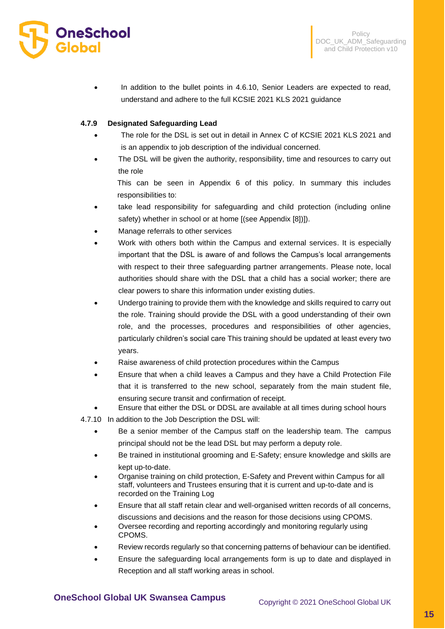

In addition to the bullet points in 4.6.10, Senior Leaders are expected to read, understand and adhere to the full KCSIE 2021 KLS 2021 guidance

# **4.7.9 Designated Safeguarding Lead**

- The role for the DSL is set out in detail in Annex C of KCSIE 2021 KLS 2021 and is an appendix to job description of the individual concerned.
- The DSL will be given the authority, responsibility, time and resources to carry out the role

This can be seen in Appendix 6 of this policy. In summary this includes responsibilities to:

- take lead responsibility for safeguarding and child protection (including online safety) whether in school or at home [(see Appendix [8])]).
- Manage referrals to other services
- Work with others both within the Campus and external services. It is especially important that the DSL is aware of and follows the Campus's local arrangements with respect to their three safeguarding partner arrangements. Please note, local authorities should share with the DSL that a child has a social worker; there are clear powers to share this information under existing duties.
- Undergo training to provide them with the knowledge and skills required to carry out the role. Training should provide the DSL with a good understanding of their own role, and the processes, procedures and responsibilities of other agencies, particularly children's social care This training should be updated at least every two years.
- Raise awareness of child protection procedures within the Campus
- Ensure that when a child leaves a Campus and they have a Child Protection File that it is transferred to the new school, separately from the main student file, ensuring secure transit and confirmation of receipt.

• Ensure that either the DSL or DDSL are available at all times during school hours

4.7.10 In addition to the Job Description the DSL will:

- Be a senior member of the Campus staff on the leadership team. The campus principal should not be the lead DSL but may perform a deputy role.
- Be trained in institutional grooming and E-Safety; ensure knowledge and skills are kept up-to-date.
- Organise training on child protection, E-Safety and Prevent within Campus for all staff, volunteers and Trustees ensuring that it is current and up-to-date and is recorded on the Training Log
- Ensure that all staff retain clear and well-organised written records of all concerns, discussions and decisions and the reason for those decisions using CPOMS.
- Oversee recording and reporting accordingly and monitoring regularly using CPOMS.
- Review records regularly so that concerning patterns of behaviour can be identified.
- Ensure the safeguarding local arrangements form is up to date and displayed in Reception and all staff working areas in school.

# **OneSchool Global UK Swansea Campus**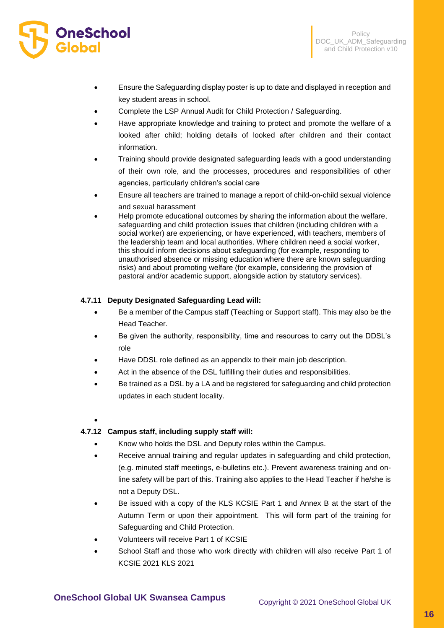

- Ensure the Safeguarding display poster is up to date and displayed in reception and key student areas in school.
- Complete the LSP Annual Audit for Child Protection / Safeguarding.
- Have appropriate knowledge and training to protect and promote the welfare of a looked after child; holding details of looked after children and their contact information.
- Training should provide designated safeguarding leads with a good understanding of their own role, and the processes, procedures and responsibilities of other agencies, particularly children's social care
- Ensure all teachers are trained to manage a report of child-on-child sexual violence and sexual harassment
- Help promote educational outcomes by sharing the information about the welfare, safeguarding and child protection issues that children (including children with a social worker) are experiencing, or have experienced, with teachers, members of the leadership team and local authorities. Where children need a social worker, this should inform decisions about safeguarding (for example, responding to unauthorised absence or missing education where there are known safeguarding risks) and about promoting welfare (for example, considering the provision of pastoral and/or academic support, alongside action by statutory services).

# **4.7.11 Deputy Designated Safeguarding Lead will:**

- Be a member of the Campus staff (Teaching or Support staff). This may also be the Head Teacher.
- Be given the authority, responsibility, time and resources to carry out the DDSL's role
- Have DDSL role defined as an appendix to their main job description.
- Act in the absence of the DSL fulfilling their duties and responsibilities.
- Be trained as a DSL by a LA and be registered for safeguarding and child protection updates in each student locality.
- •

# **4.7.12 Campus staff, including supply staff will:**

- Know who holds the DSL and Deputy roles within the Campus.
- Receive annual training and regular updates in safeguarding and child protection, (e.g. minuted staff meetings, e-bulletins etc.). Prevent awareness training and online safety will be part of this. Training also applies to the Head Teacher if he/she is not a Deputy DSL.
- Be issued with a copy of the KLS KCSIE Part 1 and Annex B at the start of the Autumn Term or upon their appointment. This will form part of the training for Safeguarding and Child Protection.
- Volunteers will receive Part 1 of KCSIE
- School Staff and those who work directly with children will also receive Part 1 of KCSIE 2021 KLS 2021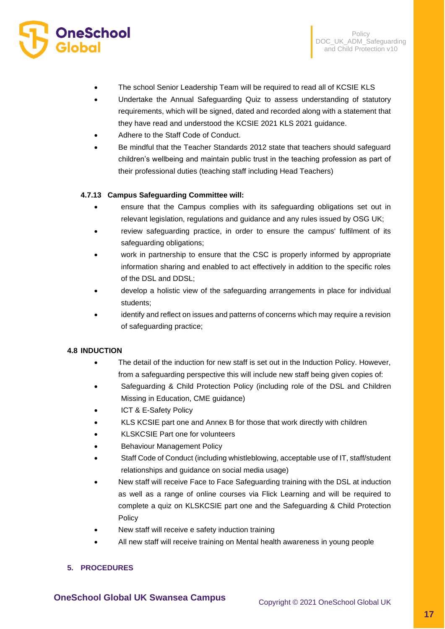

- The school Senior Leadership Team will be required to read all of KCSIE KLS
- Undertake the Annual Safeguarding Quiz to assess understanding of statutory requirements, which will be signed, dated and recorded along with a statement that they have read and understood the KCSIE 2021 KLS 2021 guidance.
- Adhere to the Staff Code of Conduct.
- Be mindful that the Teacher Standards 2012 state that teachers should safeguard children's wellbeing and maintain public trust in the teaching profession as part of their professional duties (teaching staff including Head Teachers)

# **4.7.13 Campus Safeguarding Committee will:**

- ensure that the Campus complies with its safeguarding obligations set out in relevant legislation, regulations and guidance and any rules issued by OSG UK;
- review safeguarding practice, in order to ensure the campus' fulfilment of its safeguarding obligations:
- work in partnership to ensure that the CSC is properly informed by appropriate information sharing and enabled to act effectively in addition to the specific roles of the DSL and DDSL;
- develop a holistic view of the safeguarding arrangements in place for individual students;
- identify and reflect on issues and patterns of concerns which may require a revision of safeguarding practice;

# **4.8 INDUCTION**

- The detail of the induction for new staff is set out in the Induction Policy. However, from a safeguarding perspective this will include new staff being given copies of:
- Safeguarding & Child Protection Policy (including role of the DSL and Children Missing in Education, CME guidance)
- ICT & E-Safety Policy
- KLS KCSIE part one and Annex B for those that work directly with children
- KLSKCSIE Part one for volunteers
- Behaviour Management Policy
- Staff Code of Conduct (including whistleblowing, acceptable use of IT, staff/student relationships and guidance on social media usage)
- New staff will receive Face to Face Safeguarding training with the DSL at induction as well as a range of online courses via Flick Learning and will be required to complete a quiz on KLSKCSIE part one and the Safeguarding & Child Protection Policy
- New staff will receive e safety induction training
- All new staff will receive training on Mental health awareness in young people

# **5. PROCEDURES**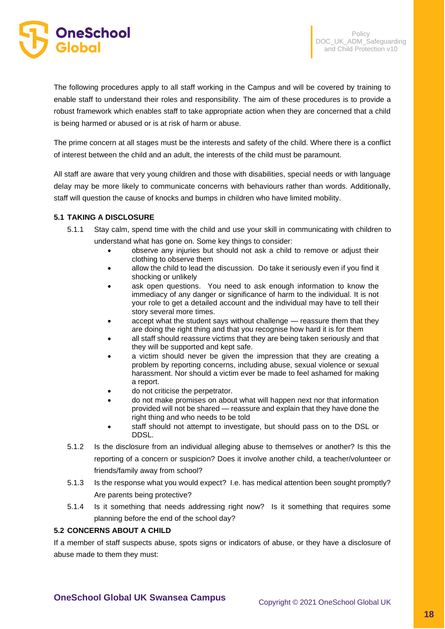

The following procedures apply to all staff working in the Campus and will be covered by training to enable staff to understand their roles and responsibility. The aim of these procedures is to provide a robust framework which enables staff to take appropriate action when they are concerned that a child is being harmed or abused or is at risk of harm or abuse.

The prime concern at all stages must be the interests and safety of the child. Where there is a conflict of interest between the child and an adult, the interests of the child must be paramount.

All staff are aware that very young children and those with disabilities, special needs or with language delay may be more likely to communicate concerns with behaviours rather than words. Additionally, staff will question the cause of knocks and bumps in children who have limited mobility.

#### **5.1 TAKING A DISCLOSURE**

- 5.1.1 Stay calm, spend time with the child and use your skill in communicating with children to understand what has gone on. Some key things to consider:
	- observe any injuries but should not ask a child to remove or adjust their clothing to observe them
	- allow the child to lead the discussion. Do take it seriously even if you find it shocking or unlikely
	- ask open questions. You need to ask enough information to know the immediacy of any danger or significance of harm to the individual. It is not your role to get a detailed account and the individual may have to tell their story several more times.
	- accept what the student says without challenge reassure them that they are doing the right thing and that you recognise how hard it is for them
	- all staff should reassure victims that they are being taken seriously and that they will be supported and kept safe.
	- a victim should never be given the impression that they are creating a problem by reporting concerns, including abuse, sexual violence or sexual harassment. Nor should a victim ever be made to feel ashamed for making a report.
	- do not criticise the perpetrator.
	- do not make promises on about what will happen next nor that information provided will not be shared — reassure and explain that they have done the right thing and who needs to be told
	- staff should not attempt to investigate, but should pass on to the DSL or DDSL.
- 5.1.2 Is the disclosure from an individual alleging abuse to themselves or another? Is this the reporting of a concern or suspicion? Does it involve another child, a teacher/volunteer or friends/family away from school?
- 5.1.3 Is the response what you would expect? I.e. has medical attention been sought promptly? Are parents being protective?
- 5.1.4 Is it something that needs addressing right now? Is it something that requires some planning before the end of the school day?

# **5.2 CONCERNS ABOUT A CHILD**

If a member of staff suspects abuse, spots signs or indicators of abuse, or they have a disclosure of abuse made to them they must: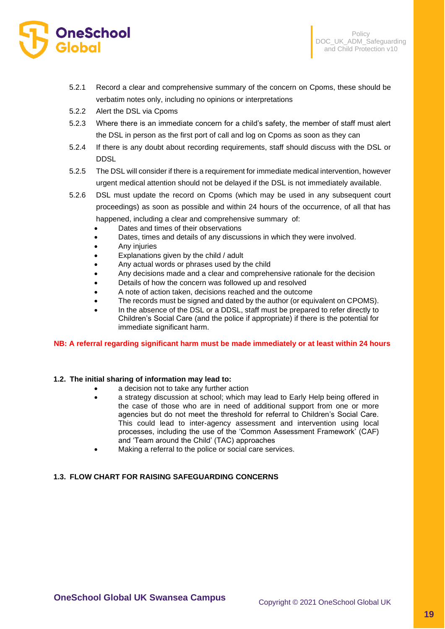

- 5.2.1 Record a clear and comprehensive summary of the concern on Cpoms, these should be verbatim notes only, including no opinions or interpretations
- 5.2.2 Alert the DSL via Cpoms
- 5.2.3 Where there is an immediate concern for a child's safety, the member of staff must alert the DSL in person as the first port of call and log on Cpoms as soon as they can
- 5.2.4 If there is any doubt about recording requirements, staff should discuss with the DSL or DDSL
- 5.2.5 The DSL will consider if there is a requirement for immediate medical intervention, however urgent medical attention should not be delayed if the DSL is not immediately available.
- 5.2.6 DSL must update the record on Cpoms (which may be used in any subsequent court proceedings) as soon as possible and within 24 hours of the occurrence, of all that has

happened, including a clear and comprehensive summary of:

- Dates and times of their observations
- Dates, times and details of any discussions in which they were involved.
- Any injuries
- Explanations given by the child / adult
- Any actual words or phrases used by the child
- Any decisions made and a clear and comprehensive rationale for the decision
- Details of how the concern was followed up and resolved
- A note of action taken, decisions reached and the outcome
- The records must be signed and dated by the author (or equivalent on CPOMS).
- In the absence of the DSL or a DDSL, staff must be prepared to refer directly to Children's Social Care (and the police if appropriate) if there is the potential for immediate significant harm.

#### **NB: A referral regarding significant harm must be made immediately or at least within 24 hours**

# **1.2. The initial sharing of information may lead to:**

- a decision not to take any further action
- a strategy discussion at school; which may lead to Early Help being offered in the case of those who are in need of additional support from one or more agencies but do not meet the threshold for referral to Children's Social Care. This could lead to inter-agency assessment and intervention using local processes, including the use of the 'Common Assessment Framework' (CAF) and 'Team around the Child' (TAC) approaches
- Making a referral to the police or social care services.

# **1.3. FLOW CHART FOR RAISING SAFEGUARDING CONCERNS**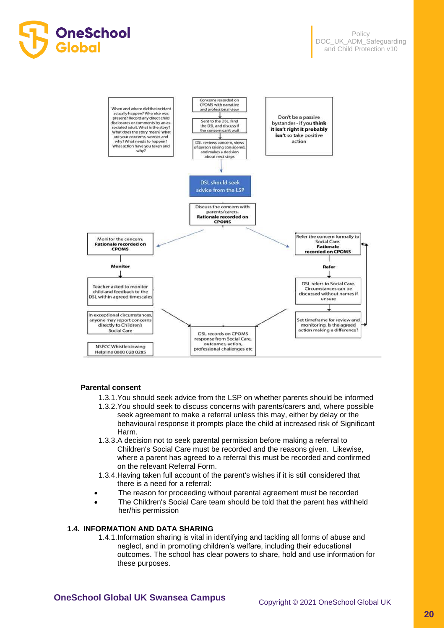



#### **Parental consent**

- 1.3.1.You should seek advice from the LSP on whether parents should be informed
- 1.3.2.You should seek to discuss concerns with parents/carers and, where possible seek agreement to make a referral unless this may, either by delay or the behavioural response it prompts place the child at increased risk of Significant Harm.
- 1.3.3.A decision not to seek parental permission before making a referral to Children's Social Care must be recorded and the reasons given. Likewise, where a parent has agreed to a referral this must be recorded and confirmed on the relevant Referral Form.
- 1.3.4.Having taken full account of the parent's wishes if it is still considered that there is a need for a referral:
- The reason for proceeding without parental agreement must be recorded
- The Children's Social Care team should be told that the parent has withheld her/his permission

#### **1.4. INFORMATION AND DATA SHARING**

1.4.1.Information sharing is vital in identifying and tackling all forms of abuse and neglect, and in promoting children's welfare, including their educational outcomes. The school has clear powers to share, hold and use information for these purposes.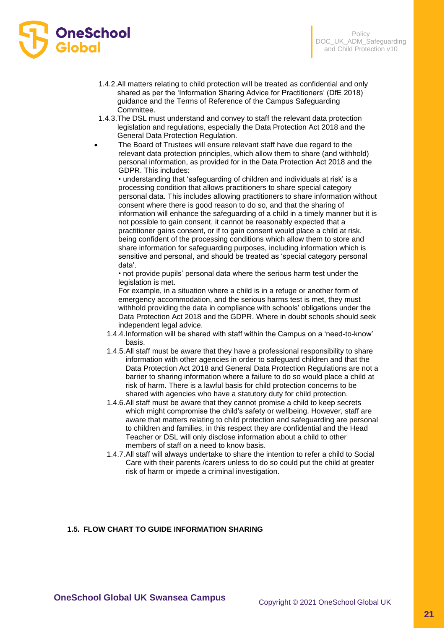# **OneSchool** ilohal

- 1.4.2.All matters relating to child protection will be treated as confidential and only shared as per the 'Information Sharing Advice for Practitioners' (DfE 2018) guidance and the Terms of Reference of the Campus Safeguarding Committee.
- 1.4.3.The DSL must understand and convey to staff the relevant data protection legislation and regulations, especially the Data Protection Act 2018 and the General Data Protection Regulation.
- The Board of Trustees will ensure relevant staff have due regard to the relevant data protection principles, which allow them to share (and withhold) personal information, as provided for in the Data Protection Act 2018 and the GDPR. This includes:

• understanding that 'safeguarding of children and individuals at risk' is a processing condition that allows practitioners to share special category personal data. This includes allowing practitioners to share information without consent where there is good reason to do so, and that the sharing of information will enhance the safeguarding of a child in a timely manner but it is not possible to gain consent, it cannot be reasonably expected that a practitioner gains consent, or if to gain consent would place a child at risk. being confident of the processing conditions which allow them to store and share information for safeguarding purposes, including information which is sensitive and personal, and should be treated as 'special category personal data'.

• not provide pupils' personal data where the serious harm test under the legislation is met.

For example, in a situation where a child is in a refuge or another form of emergency accommodation, and the serious harms test is met, they must withhold providing the data in compliance with schools' obligations under the Data Protection Act 2018 and the GDPR. Where in doubt schools should seek independent legal advice.

- 1.4.4.Information will be shared with staff within the Campus on a 'need-to-know' basis.
- 1.4.5.All staff must be aware that they have a professional responsibility to share information with other agencies in order to safeguard children and that the Data Protection Act 2018 and General Data Protection Regulations are not a barrier to sharing information where a failure to do so would place a child at risk of harm. There is a lawful basis for child protection concerns to be shared with agencies who have a statutory duty for child protection.
- 1.4.6.All staff must be aware that they cannot promise a child to keep secrets which might compromise the child's safety or wellbeing. However, staff are aware that matters relating to child protection and safeguarding are personal to children and families, in this respect they are confidential and the Head Teacher or DSL will only disclose information about a child to other members of staff on a need to know basis.
- 1.4.7.All staff will always undertake to share the intention to refer a child to Social Care with their parents /carers unless to do so could put the child at greater risk of harm or impede a criminal investigation.

# **1.5. FLOW CHART TO GUIDE INFORMATION SHARING**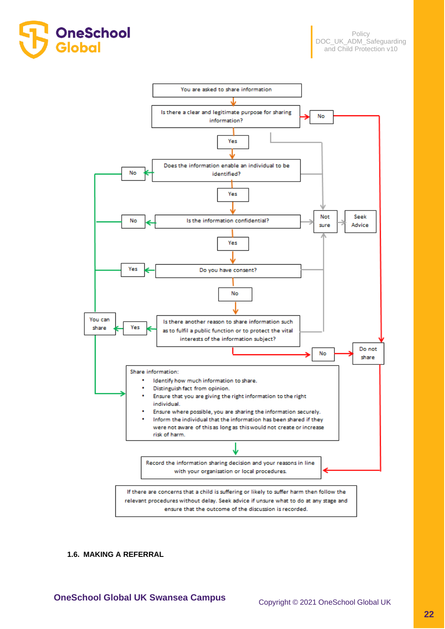



**1.6. MAKING A REFERRAL**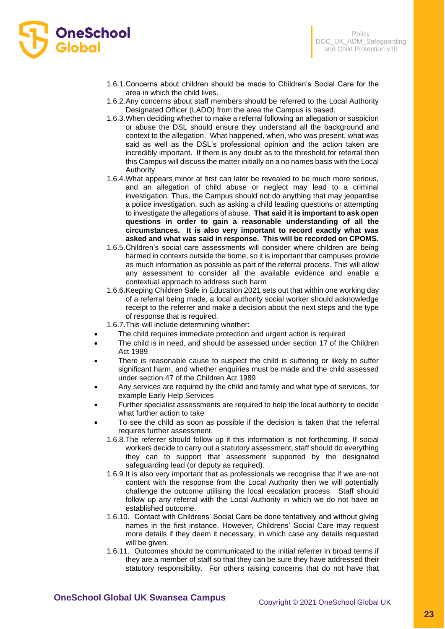# **OneSchool** Global

- 1.6.1.Concerns about children should be made to Children's Social Care for the area in which the child lives.
- 1.6.2.Any concerns about staff members should be referred to the Local Authority Designated Officer (LADO) from the area the Campus is based.
- 1.6.3.When deciding whether to make a referral following an allegation or suspicion or abuse the DSL should ensure they understand all the background and context to the allegation. What happened, when, who was present, what was said as well as the DSL's professional opinion and the action taken are incredibly important. If there is any doubt as to the threshold for referral then this Campus will discuss the matter initially on a no names basis with the Local Authority.
- 1.6.4.What appears minor at first can later be revealed to be much more serious, and an allegation of child abuse or neglect may lead to a criminal investigation. Thus, the Campus should not do anything that may jeopardise a police investigation, such as asking a child leading questions or attempting to investigate the allegations of abuse. **That said it is important to ask open questions in order to gain a reasonable understanding of all the circumstances. It is also very important to record exactly what was asked and what was said in response. This will be recorded on CPOMS.**
- 1.6.5.Children's social care assessments will consider where children are being harmed in contexts outside the home, so it is important that campuses provide as much information as possible as part of the referral process. This will allow any assessment to consider all the available evidence and enable a contextual approach to address such harm
- 1.6.6.Keeping Children Safe in Education 2021 sets out that within one working day of a referral being made, a local authority social worker should acknowledge receipt to the referrer and make a decision about the next steps and the type of response that is required.
- 1.6.7.This will include determining whether:
- The child requires immediate protection and urgent action is required
- The child is in need, and should be assessed under section 17 of the Children Act 1989
- There is reasonable cause to suspect the child is suffering or likely to suffer significant harm, and whether enquiries must be made and the child assessed under section 47 of the Children Act 1989
- Any services are required by the child and family and what type of services, for example Early Help Services
- Further specialist assessments are required to help the local authority to decide what further action to take
- To see the child as soon as possible if the decision is taken that the referral requires further assessment.
	- 1.6.8.The referrer should follow up if this information is not forthcoming. If social workers decide to carry out a statutory assessment, staff should do everything they can to support that assessment supported by the designated safeguarding lead (or deputy as required).
	- 1.6.9.It is also very important that as professionals we recognise that if we are not content with the response from the Local Authority then we will potentially challenge the outcome utilising the local escalation process. Staff should follow up any referral with the Local Authority in which we do not have an established outcome.
	- 1.6.10. Contact with Childrens' Social Care be done tentatively and without giving names in the first instance. However, Childrens' Social Care may request more details if they deem it necessary, in which case any details requested will be given.
	- 1.6.11. Outcomes should be communicated to the initial referrer in broad terms if they are a member of staff so that they can be sure they have addressed their statutory responsibility. For others raising concerns that do not have that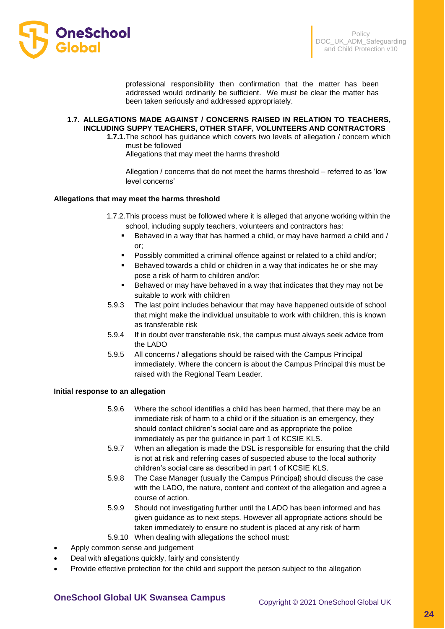

professional responsibility then confirmation that the matter has been addressed would ordinarily be sufficient. We must be clear the matter has been taken seriously and addressed appropriately.

#### **1.7. ALLEGATIONS MADE AGAINST / CONCERNS RAISED IN RELATION TO TEACHERS, INCLUDING SUPPY TEACHERS, OTHER STAFF, VOLUNTEERS AND CONTRACTORS**

**1.7.1.**The school has guidance which covers two levels of allegation / concern which must be followed

Allegations that may meet the harms threshold

Allegation / concerns that do not meet the harms threshold – referred to as 'low level concerns'

# **Allegations that may meet the harms threshold**

1.7.2.This process must be followed where it is alleged that anyone working within the school, including supply teachers, volunteers and contractors has:

- Behaved in a way that has harmed a child, or may have harmed a child and / or;
- Possibly committed a criminal offence against or related to a child and/or;
- Behaved towards a child or children in a way that indicates he or she may pose a risk of harm to children and/or:
- Behaved or may have behaved in a way that indicates that they may not be suitable to work with children
- 5.9.3 The last point includes behaviour that may have happened outside of school that might make the individual unsuitable to work with children, this is known as transferable risk
- 5.9.4 If in doubt over transferable risk, the campus must always seek advice from the LADO
- 5.9.5 All concerns / allegations should be raised with the Campus Principal immediately. Where the concern is about the Campus Principal this must be raised with the Regional Team Leader.

# **Initial response to an allegation**

- 5.9.6 Where the school identifies a child has been harmed, that there may be an immediate risk of harm to a child or if the situation is an emergency, they should contact children's social care and as appropriate the police immediately as per the guidance in part 1 of KCSIE KLS.
- 5.9.7 When an allegation is made the DSL is responsible for ensuring that the child is not at risk and referring cases of suspected abuse to the local authority children's social care as described in part 1 of KCSIE KLS.
- 5.9.8 The Case Manager (usually the Campus Principal) should discuss the case with the LADO, the nature, content and context of the allegation and agree a course of action.
- 5.9.9 Should not investigating further until the LADO has been informed and has given guidance as to next steps. However all appropriate actions should be taken immediately to ensure no student is placed at any risk of harm 5.9.10 When dealing with allegations the school must:
- 
- Apply common sense and judgement
- Deal with allegations quickly, fairly and consistently
- Provide effective protection for the child and support the person subject to the allegation

# **OneSchool Global UK Swansea Campus**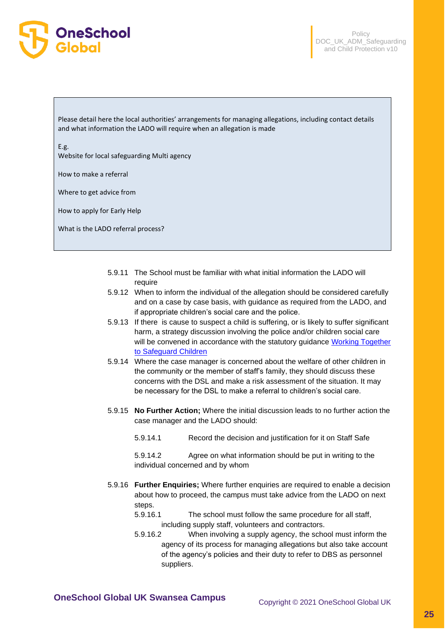

Please detail here the local authorities' arrangements for managing allegations, including contact details and what information the LADO will require when an allegation is made

E.g.

Website for local safeguarding Multi agency

How to make a referral

Where to get advice from

How to apply for Early Help

What is the LADO referral process?

- 5.9.11 The School must be familiar with what initial information the LADO will require
- 5.9.12 When to inform the individual of the allegation should be considered carefully and on a case by case basis, with guidance as required from the LADO, and if appropriate children's social care and the police.
- 5.9.13 If there is cause to suspect a child is suffering, or is likely to suffer significant harm, a strategy discussion involving the police and/or children social care will be convened in accordance with the statutory guidance [Working Together](https://assets.publishing.service.gov.uk/government/uploads/system/uploads/attachment_data/file/942454/Working_together_to_safeguard_children_inter_agency_guidance.pdf)  [to Safeguard Children](https://assets.publishing.service.gov.uk/government/uploads/system/uploads/attachment_data/file/942454/Working_together_to_safeguard_children_inter_agency_guidance.pdf)
- 5.9.14 Where the case manager is concerned about the welfare of other children in the community or the member of staff's family, they should discuss these concerns with the DSL and make a risk assessment of the situation. It may be necessary for the DSL to make a referral to children's social care.
- 5.9.15 **No Further Action;** Where the initial discussion leads to no further action the case manager and the LADO should:
	- 5.9.14.1 Record the decision and justification for it on Staff Safe

5.9.14.2 Agree on what information should be put in writing to the individual concerned and by whom

- 5.9.16 **Further Enquiries;** Where further enquiries are required to enable a decision about how to proceed, the campus must take advice from the LADO on next steps.
	- 5.9.16.1 The school must follow the same procedure for all staff, including supply staff, volunteers and contractors.
	- 5.9.16.2 When involving a supply agency, the school must inform the agency of its process for managing allegations but also take account of the agency's policies and their duty to refer to DBS as personnel suppliers.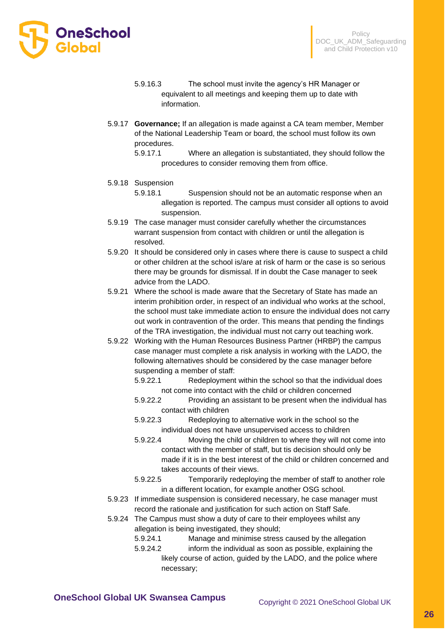

- 5.9.16.3 The school must invite the agency's HR Manager or equivalent to all meetings and keeping them up to date with information.
- 5.9.17 **Governance;** If an allegation is made against a CA team member, Member of the National Leadership Team or board, the school must follow its own procedures.
	- 5.9.17.1 Where an allegation is substantiated, they should follow the procedures to consider removing them from office.
- 5.9.18 Suspension
	- 5.9.18.1 Suspension should not be an automatic response when an allegation is reported. The campus must consider all options to avoid suspension.
- 5.9.19 The case manager must consider carefully whether the circumstances warrant suspension from contact with children or until the allegation is resolved.
- 5.9.20 It should be considered only in cases where there is cause to suspect a child or other children at the school is/are at risk of harm or the case is so serious there may be grounds for dismissal. If in doubt the Case manager to seek advice from the LADO.
- 5.9.21 Where the school is made aware that the Secretary of State has made an interim prohibition order, in respect of an individual who works at the school, the school must take immediate action to ensure the individual does not carry out work in contravention of the order. This means that pending the findings of the TRA investigation, the individual must not carry out teaching work.
- 5.9.22 Working with the Human Resources Business Partner (HRBP) the campus case manager must complete a risk analysis in working with the LADO, the following alternatives should be considered by the case manager before suspending a member of staff:
	- 5.9.22.1 Redeployment within the school so that the individual does not come into contact with the child or children concerned
	- 5.9.22.2 Providing an assistant to be present when the individual has contact with children
	- 5.9.22.3 Redeploying to alternative work in the school so the individual does not have unsupervised access to children
	- 5.9.22.4 Moving the child or children to where they will not come into contact with the member of staff, but tis decision should only be made if it is in the best interest of the child or children concerned and takes accounts of their views.
	- 5.9.22.5 Temporarily redeploying the member of staff to another role in a different location, for example another OSG school.
- 5.9.23 If immediate suspension is considered necessary, he case manager must record the rationale and justification for such action on Staff Safe.
- 5.9.24 The Campus must show a duty of care to their employees whilst any allegation is being investigated, they should;
	- 5.9.24.1 Manage and minimise stress caused by the allegation
	- 5.9.24.2 inform the individual as soon as possible, explaining the likely course of action, guided by the LADO, and the police where necessary;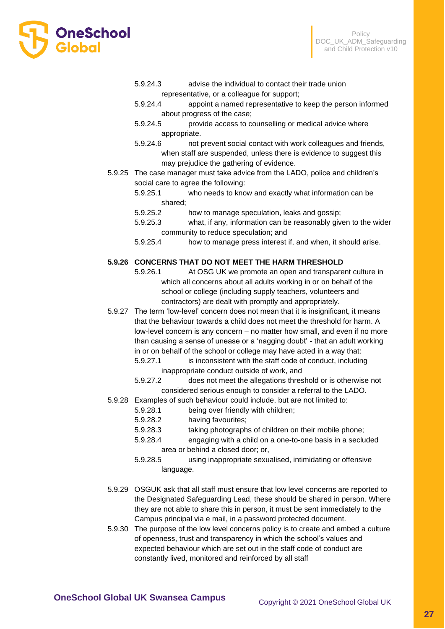

- 5.9.24.3 advise the individual to contact their trade union representative, or a colleague for support;
- 5.9.24.4 appoint a named representative to keep the person informed about progress of the case;
- 5.9.24.5 provide access to counselling or medical advice where appropriate.
- 5.9.24.6 not prevent social contact with work colleagues and friends, when staff are suspended, unless there is evidence to suggest this may prejudice the gathering of evidence.
- 5.9.25 The case manager must take advice from the LADO, police and children's social care to agree the following:
	- 5.9.25.1 who needs to know and exactly what information can be shared;
	- 5.9.25.2 how to manage speculation, leaks and gossip;
	- 5.9.25.3 what, if any, information can be reasonably given to the wider community to reduce speculation; and
	- 5.9.25.4 how to manage press interest if, and when, it should arise.

#### **5.9.26 CONCERNS THAT DO NOT MEET THE HARM THRESHOLD**

- 5.9.26.1 At OSG UK we promote an open and transparent culture in which all concerns about all adults working in or on behalf of the school or college (including supply teachers, volunteers and contractors) are dealt with promptly and appropriately.
- 5.9.27 The term 'low-level' concern does not mean that it is insignificant, it means that the behaviour towards a child does not meet the threshold for harm. A low-level concern is any concern – no matter how small, and even if no more than causing a sense of unease or a 'nagging doubt' - that an adult working in or on behalf of the school or college may have acted in a way that: 5.9.27.1 is inconsistent with the staff code of conduct, including
	- inappropriate conduct outside of work, and
	- 5.9.27.2 does not meet the allegations threshold or is otherwise not considered serious enough to consider a referral to the LADO.
- 5.9.28 Examples of such behaviour could include, but are not limited to:
	- 5.9.28.1 being over friendly with children;
	- 5.9.28.2 having favourites;
	- 5.9.28.3 taking photographs of children on their mobile phone;
	- 5.9.28.4 engaging with a child on a one-to-one basis in a secluded area or behind a closed door; or,
	- 5.9.28.5 using inappropriate sexualised, intimidating or offensive language.
- 5.9.29 OSGUK ask that all staff must ensure that low level concerns are reported to the Designated Safeguarding Lead, these should be shared in person. Where they are not able to share this in person, it must be sent immediately to the Campus principal via e mail, in a password protected document.
- 5.9.30 The purpose of the low level concerns policy is to create and embed a culture of openness, trust and transparency in which the school's values and expected behaviour which are set out in the staff code of conduct are constantly lived, monitored and reinforced by all staff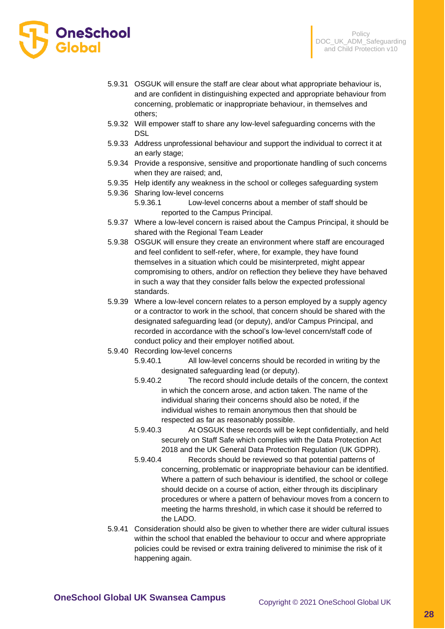# **OneSchool**

- 5.9.31 OSGUK will ensure the staff are clear about what appropriate behaviour is, and are confident in distinguishing expected and appropriate behaviour from concerning, problematic or inappropriate behaviour, in themselves and others;
- 5.9.32 Will empower staff to share any low-level safeguarding concerns with the **DSL**
- 5.9.33 Address unprofessional behaviour and support the individual to correct it at an early stage;
- 5.9.34 Provide a responsive, sensitive and proportionate handling of such concerns when they are raised; and,
- 5.9.35 Help identify any weakness in the school or colleges safeguarding system
- 5.9.36 Sharing low-level concerns
	- 5.9.36.1 Low-level concerns about a member of staff should be reported to the Campus Principal.
- 5.9.37 Where a low-level concern is raised about the Campus Principal, it should be shared with the Regional Team Leader
- 5.9.38 OSGUK will ensure they create an environment where staff are encouraged and feel confident to self-refer, where, for example, they have found themselves in a situation which could be misinterpreted, might appear compromising to others, and/or on reflection they believe they have behaved in such a way that they consider falls below the expected professional standards.
- 5.9.39 Where a low-level concern relates to a person employed by a supply agency or a contractor to work in the school, that concern should be shared with the designated safeguarding lead (or deputy), and/or Campus Principal, and recorded in accordance with the school's low-level concern/staff code of conduct policy and their employer notified about.
- 5.9.40 Recording low-level concerns
	- 5.9.40.1 All low-level concerns should be recorded in writing by the designated safeguarding lead (or deputy).
	- 5.9.40.2 The record should include details of the concern, the context in which the concern arose, and action taken. The name of the individual sharing their concerns should also be noted, if the individual wishes to remain anonymous then that should be respected as far as reasonably possible.
	- 5.9.40.3 At OSGUK these records will be kept confidentially, and held securely on Staff Safe which complies with the Data Protection Act 2018 and the UK General Data Protection Regulation (UK GDPR).
	- 5.9.40.4 Records should be reviewed so that potential patterns of concerning, problematic or inappropriate behaviour can be identified. Where a pattern of such behaviour is identified, the school or college should decide on a course of action, either through its disciplinary procedures or where a pattern of behaviour moves from a concern to meeting the harms threshold, in which case it should be referred to the LADO.
- 5.9.41 Consideration should also be given to whether there are wider cultural issues within the school that enabled the behaviour to occur and where appropriate policies could be revised or extra training delivered to minimise the risk of it happening again.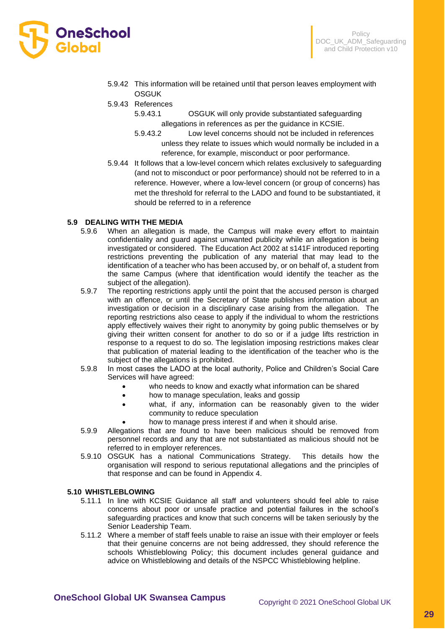

- 5.9.42 This information will be retained until that person leaves employment with **OSGUK**
- 5.9.43 References
	- 5.9.43.1 OSGUK will only provide substantiated safeguarding allegations in references as per the guidance in KCSIE.
	- 5.9.43.2 Low level concerns should not be included in references unless they relate to issues which would normally be included in a reference, for example, misconduct or poor performance.
- 5.9.44 It follows that a low-level concern which relates exclusively to safeguarding (and not to misconduct or poor performance) should not be referred to in a reference. However, where a low-level concern (or group of concerns) has met the threshold for referral to the LADO and found to be substantiated, it should be referred to in a reference

#### **5.9 DEALING WITH THE MEDIA**

- 5.9.6 When an allegation is made, the Campus will make every effort to maintain confidentiality and guard against unwanted publicity while an allegation is being investigated or considered. The Education Act 2002 at s141F introduced reporting restrictions preventing the publication of any material that may lead to the identification of a teacher who has been accused by, or on behalf of, a student from the same Campus (where that identification would identify the teacher as the subject of the allegation).
- 5.9.7 The reporting restrictions apply until the point that the accused person is charged with an offence, or until the Secretary of State publishes information about an investigation or decision in a disciplinary case arising from the allegation. The reporting restrictions also cease to apply if the individual to whom the restrictions apply effectively waives their right to anonymity by going public themselves or by giving their written consent for another to do so or if a judge lifts restriction in response to a request to do so. The legislation imposing restrictions makes clear that publication of material leading to the identification of the teacher who is the subject of the allegations is prohibited.
- 5.9.8 In most cases the LADO at the local authority, Police and Children's Social Care Services will have agreed:
	- who needs to know and exactly what information can be shared
	- how to manage speculation, leaks and gossip
	- what, if any, information can be reasonably given to the wider community to reduce speculation
		- how to manage press interest if and when it should arise.
- 5.9.9 Allegations that are found to have been malicious should be removed from personnel records and any that are not substantiated as malicious should not be referred to in employer references.
- 5.9.10 OSGUK has a national Communications Strategy. This details how the organisation will respond to serious reputational allegations and the principles of that response and can be found in Appendix 4.

#### **5.10 WHISTLEBLOWING**

- 5.11.1 In line with KCSIE Guidance all staff and volunteers should feel able to raise concerns about poor or unsafe practice and potential failures in the school's safeguarding practices and know that such concerns will be taken seriously by the Senior Leadership Team.
- 5.11.2 Where a member of staff feels unable to raise an issue with their employer or feels that their genuine concerns are not being addressed, they should reference the schools Whistleblowing Policy; this document includes general guidance and advice on Whistleblowing and details of the NSPCC Whistleblowing helpline.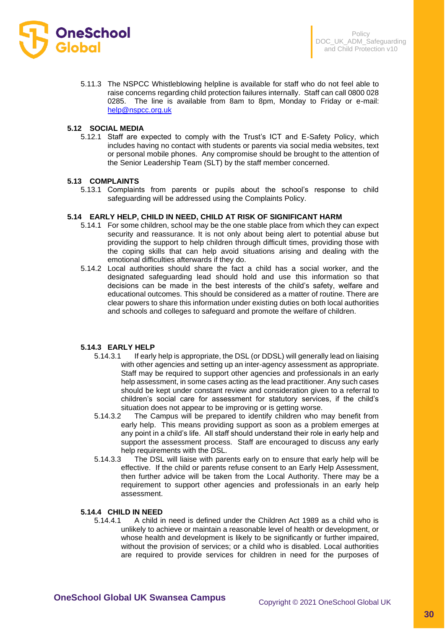

5.11.3 The NSPCC Whistleblowing helpline is available for staff who do not feel able to raise concerns regarding child protection failures internally. Staff can call 0800 028 0285. The line is available from 8am to 8pm, Monday to Friday or e-mail: [help@nspcc.org.uk](mailto:help@nspcc.org.uk) 

#### **5.12 SOCIAL MEDIA**

5.12.1 Staff are expected to comply with the Trust's ICT and E-Safety Policy, which includes having no contact with students or parents via social media websites, text or personal mobile phones. Any compromise should be brought to the attention of the Senior Leadership Team (SLT) by the staff member concerned.

#### **5.13 COMPLAINTS**

5.13.1 Complaints from parents or pupils about the school's response to child safeguarding will be addressed using the Complaints Policy.

#### **5.14 EARLY HELP, CHILD IN NEED, CHILD AT RISK OF SIGNIFICANT HARM**

- 5.14.1 For some children, school may be the one stable place from which they can expect security and reassurance. It is not only about being alert to potential abuse but providing the support to help children through difficult times, providing those with the coping skills that can help avoid situations arising and dealing with the emotional difficulties afterwards if they do.
- 5.14.2 Local authorities should share the fact a child has a social worker, and the designated safeguarding lead should hold and use this information so that decisions can be made in the best interests of the child's safety, welfare and educational outcomes. This should be considered as a matter of routine. There are clear powers to share this information under existing duties on both local authorities and schools and colleges to safeguard and promote the welfare of children.

#### **5.14.3 EARLY HELP**

- 5.14.3.1 If early help is appropriate, the DSL (or DDSL) will generally lead on liaising with other agencies and setting up an inter-agency assessment as appropriate. Staff may be required to support other agencies and professionals in an early help assessment, in some cases acting as the lead practitioner. Any such cases should be kept under constant review and consideration given to a referral to children's social care for assessment for statutory services, if the child's situation does not appear to be improving or is getting worse.
- 5.14.3.2 The Campus will be prepared to identify children who may benefit from early help. This means providing support as soon as a problem emerges at any point in a child's life. All staff should understand their role in early help and support the assessment process. Staff are encouraged to discuss any early help requirements with the DSL.
- 5.14.3.3 The DSL will liaise with parents early on to ensure that early help will be effective. If the child or parents refuse consent to an Early Help Assessment, then further advice will be taken from the Local Authority. There may be a requirement to support other agencies and professionals in an early help assessment.

# **5.14.4 CHILD IN NEED**

5.14.4.1 A child in need is defined under the Children Act 1989 as a child who is unlikely to achieve or maintain a reasonable level of health or development, or whose health and development is likely to be significantly or further impaired, without the provision of services; or a child who is disabled. Local authorities are required to provide services for children in need for the purposes of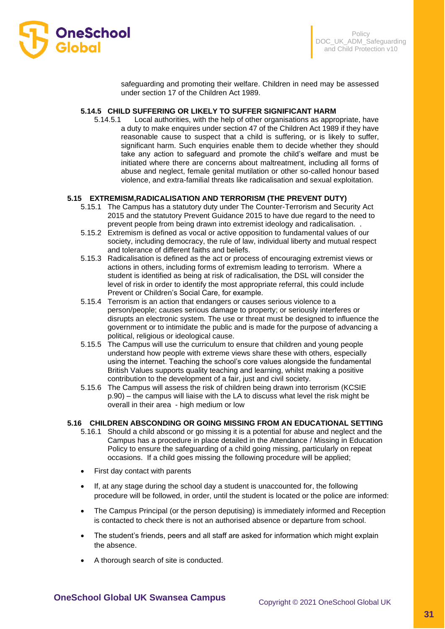

safeguarding and promoting their welfare. Children in need may be assessed under section 17 of the Children Act 1989.

# **5.14.5 CHILD SUFFERING OR LIKELY TO SUFFER SIGNIFICANT HARM**

5.14.5.1 Local authorities, with the help of other organisations as appropriate, have a duty to make enquires under section 47 of the Children Act 1989 if they have reasonable cause to suspect that a child is suffering, or is likely to suffer, significant harm. Such enquiries enable them to decide whether they should take any action to safeguard and promote the child's welfare and must be initiated where there are concerns about maltreatment, including all forms of abuse and neglect, female genital mutilation or other so-called honour based violence, and extra-familial threats like radicalisation and sexual exploitation.

#### **5.15 EXTREMISM,RADICALISATION AND TERRORISM (THE PREVENT DUTY)**

- 5.15.1 The Campus has a statutory duty under The Counter-Terrorism and Security Act 2015 and the statutory Prevent Guidance 2015 to have due regard to the need to prevent people from being drawn into extremist ideology and radicalisation. .
- 5.15.2 Extremism is defined as vocal or active opposition to fundamental values of our society, including democracy, the rule of law, individual liberty and mutual respect and tolerance of different faiths and beliefs.
- 5.15.3 Radicalisation is defined as the act or process of encouraging extremist views or actions in others, including forms of extremism leading to terrorism. Where a student is identified as being at risk of radicalisation, the DSL will consider the level of risk in order to identify the most appropriate referral, this could include Prevent or Children's Social Care, for example.
- 5.15.4 Terrorism is an action that endangers or causes serious violence to a person/people; causes serious damage to property; or seriously interferes or disrupts an electronic system. The use or threat must be designed to influence the government or to intimidate the public and is made for the purpose of advancing a political, religious or ideological cause.
- 5.15.5 The Campus will use the curriculum to ensure that children and young people understand how people with extreme views share these with others, especially using the internet. Teaching the school's core values alongside the fundamental British Values supports quality teaching and learning, whilst making a positive contribution to the development of a fair, just and civil society.
- 5.15.6 The Campus will assess the risk of children being drawn into terrorism (KCSIE p.90) – the campus will liaise with the LA to discuss what level the risk might be overall in their area - high medium or low

#### **5.16 CHILDREN ABSCONDING OR GOING MISSING FROM AN EDUCATIONAL SETTING**

- 5.16.1 Should a child abscond or go missing it is a potential for abuse and neglect and the Campus has a procedure in place detailed in the Attendance / Missing in Education Policy to ensure the safeguarding of a child going missing, particularly on repeat occasions. If a child goes missing the following procedure will be applied;
- First day contact with parents
- If, at any stage during the school day a student is unaccounted for, the following procedure will be followed, in order, until the student is located or the police are informed:
- The Campus Principal (or the person deputising) is immediately informed and Reception is contacted to check there is not an authorised absence or departure from school.
- The student's friends, peers and all staff are asked for information which might explain the absence.
- A thorough search of site is conducted.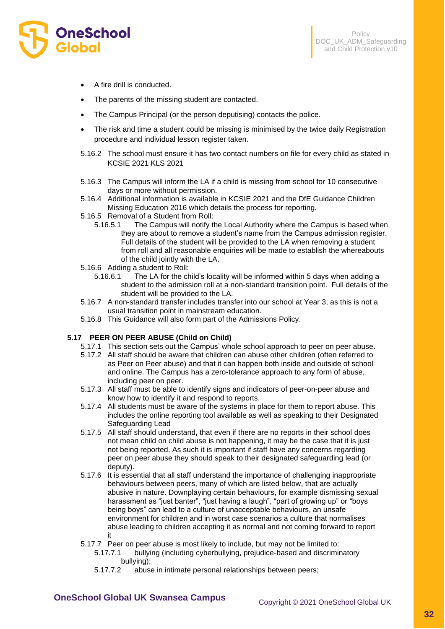

- A fire drill is conducted.
- The parents of the missing student are contacted.
- The Campus Principal (or the person deputising) contacts the police.
- The risk and time a student could be missing is minimised by the twice daily Registration procedure and individual lesson register taken.
- 5.16.2 The school must ensure it has two contact numbers on file for every child as stated in KCSIE 2021 KLS 2021
- 5.16.3 The Campus will inform the LA if a child is missing from school for 10 consecutive days or more without permission.
- 5.16.4 Additional information is available in KCSIE 2021 and the DfE Guidance Children Missing Education 2016 which details the process for reporting.
- 5.16.5 Removal of a Student from Roll:
	- 5.16.5.1 The Campus will notify the Local Authority where the Campus is based when they are about to remove a student's name from the Campus admission register. Full details of the student will be provided to the LA when removing a student from roll and all reasonable enquiries will be made to establish the whereabouts of the child jointly with the LA.
- 5.16.6 Adding a student to Roll:
	- 5.16.6.1 The LA for the child's locality will be informed within 5 days when adding a student to the admission roll at a non-standard transition point. Full details of the student will be provided to the LA.
- 5.16.7 A non-standard transfer includes transfer into our school at Year 3, as this is not a usual transition point in mainstream education.
- 5.16.8 This Guidance will also form part of the Admissions Policy.

#### **5.17 PEER ON PEER ABUSE (Child on Child)**

- 5.17.1 This section sets out the Campus' whole school approach to peer on peer abuse.
- 5.17.2 All staff should be aware that children can abuse other children (often referred to as Peer on Peer abuse) and that it can happen both inside and outside of school and online. The Campus has a zero-tolerance approach to any form of abuse, including peer on peer.
- 5.17.3 All staff must be able to identify signs and indicators of peer-on-peer abuse and know how to identify it and respond to reports.
- 5.17.4 All students must be aware of the systems in place for them to report abuse. This includes the online reporting tool available as well as speaking to their Designated Safeguarding Lead
- 5.17.5 All staff should understand, that even if there are no reports in their school does not mean child on child abuse is not happening, it may be the case that it is just not being reported. As such it is important if staff have any concerns regarding peer on peer abuse they should speak to their designated safeguarding lead (or deputy).
- 5.17.6 It is essential that all staff understand the importance of challenging inappropriate behaviours between peers, many of which are listed below, that are actually abusive in nature. Downplaying certain behaviours, for example dismissing sexual harassment as "just banter", "just having a laugh", "part of growing up" or "boys being boys" can lead to a culture of unacceptable behaviours, an unsafe environment for children and in worst case scenarios a culture that normalises abuse leading to children accepting it as normal and not coming forward to report it
- 5.17.7 Peer on peer abuse is most likely to include, but may not be limited to:
	- 5.17.7.1 bullying (including cyberbullying, prejudice-based and discriminatory bullying);
	- 5.17.7.2 abuse in intimate personal relationships between peers;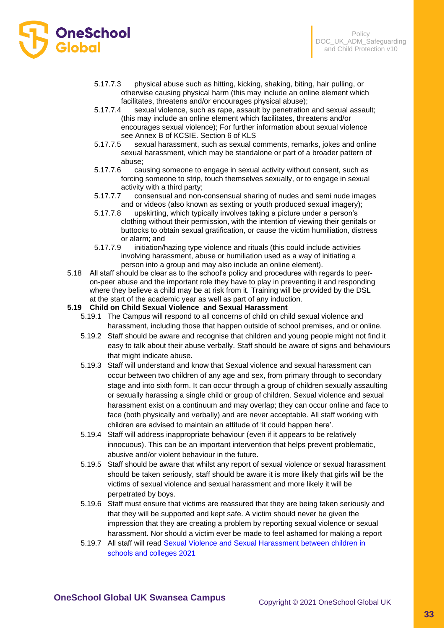

- 5.17.7.3 physical abuse such as hitting, kicking, shaking, biting, hair pulling, or otherwise causing physical harm (this may include an online element which facilitates, threatens and/or encourages physical abuse);<br>5.17.7.4 sexual violence, such as rape, assault by penetration
- sexual violence, such as rape, assault by penetration and sexual assault; (this may include an online element which facilitates, threatens and/or encourages sexual violence); For further information about sexual violence see Annex B of KCSIE. Section 6 of KLS
- 5.17.7.5 sexual harassment, such as sexual comments, remarks, jokes and online sexual harassment, which may be standalone or part of a broader pattern of abuse;
- 5.17.7.6 causing someone to engage in sexual activity without consent, such as forcing someone to strip, touch themselves sexually, or to engage in sexual activity with a third party;
- 5.17.7.7 consensual and non-consensual sharing of nudes and semi nude images and or videos (also known as sexting or youth produced sexual imagery);
- 5.17.7.8 upskirting, which typically involves taking a picture under a person's clothing without their permission, with the intention of viewing their genitals or buttocks to obtain sexual gratification, or cause the victim humiliation, distress or alarm; and
- 5.17.7.9 initiation/hazing type violence and rituals (this could include activities involving harassment, abuse or humiliation used as a way of initiating a person into a group and may also include an online element).
- 5.18 All staff should be clear as to the school's policy and procedures with regards to peeron-peer abuse and the important role they have to play in preventing it and responding where they believe a child may be at risk from it. Training will be provided by the DSL at the start of the academic year as well as part of any induction.

# **5.19 Child on Child Sexual Violence and Sexual Harassment**

- 5.19.1 The Campus will respond to all concerns of child on child sexual violence and harassment, including those that happen outside of school premises, and or online.
- 5.19.2 Staff should be aware and recognise that children and young people might not find it easy to talk about their abuse verbally. Staff should be aware of signs and behaviours that might indicate abuse.
- 5.19.3 Staff will understand and know that Sexual violence and sexual harassment can occur between two children of any age and sex, from primary through to secondary stage and into sixth form. It can occur through a group of children sexually assaulting or sexually harassing a single child or group of children. Sexual violence and sexual harassment exist on a continuum and may overlap; they can occur online and face to face (both physically and verbally) and are never acceptable. All staff working with children are advised to maintain an attitude of 'it could happen here'.
- 5.19.4 Staff will address inappropriate behaviour (even if it appears to be relatively innocuous). This can be an important intervention that helps prevent problematic, abusive and/or violent behaviour in the future.
- 5.19.5 Staff should be aware that whilst any report of sexual violence or sexual harassment should be taken seriously, staff should be aware it is more likely that girls will be the victims of sexual violence and sexual harassment and more likely it will be perpetrated by boys.
- 5.19.6 Staff must ensure that victims are reassured that they are being taken seriously and that they will be supported and kept safe. A victim should never be given the impression that they are creating a problem by reporting sexual violence or sexual harassment. Nor should a victim ever be made to feel ashamed for making a report
- 5.19.7 All staff will read Sexual Violence and Sexual Harassment between children in [schools and colleges 2021](https://assets.publishing.service.gov.uk/government/uploads/system/uploads/attachment_data/file/999239/SVSH_2021.pdf)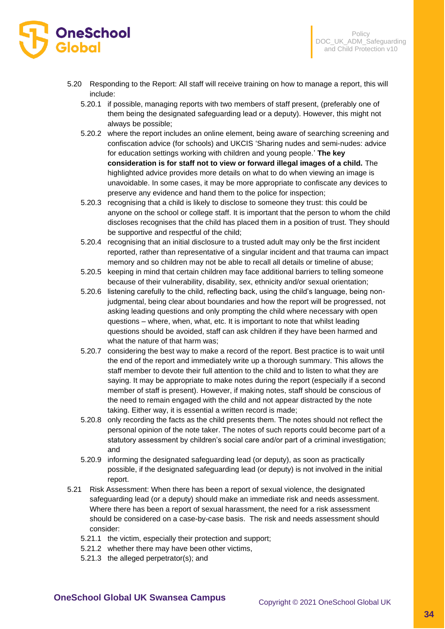

- 5.20 Responding to the Report: All staff will receive training on how to manage a report, this will include:
	- 5.20.1 if possible, managing reports with two members of staff present, (preferably one of them being the designated safeguarding lead or a deputy). However, this might not always be possible;
	- 5.20.2 where the report includes an online element, being aware of searching screening and confiscation advice (for schools) and UKCIS 'Sharing nudes and semi-nudes: advice for education settings working with children and young people.' **The key consideration is for staff not to view or forward illegal images of a child.** The highlighted advice provides more details on what to do when viewing an image is unavoidable. In some cases, it may be more appropriate to confiscate any devices to preserve any evidence and hand them to the police for inspection;
	- 5.20.3 recognising that a child is likely to disclose to someone they trust: this could be anyone on the school or college staff. It is important that the person to whom the child discloses recognises that the child has placed them in a position of trust. They should be supportive and respectful of the child;
	- 5.20.4 recognising that an initial disclosure to a trusted adult may only be the first incident reported, rather than representative of a singular incident and that trauma can impact memory and so children may not be able to recall all details or timeline of abuse;
	- 5.20.5 keeping in mind that certain children may face additional barriers to telling someone because of their vulnerability, disability, sex, ethnicity and/or sexual orientation;
	- 5.20.6 listening carefully to the child, reflecting back, using the child's language, being nonjudgmental, being clear about boundaries and how the report will be progressed, not asking leading questions and only prompting the child where necessary with open questions – where, when, what, etc. It is important to note that whilst leading questions should be avoided, staff can ask children if they have been harmed and what the nature of that harm was;
	- 5.20.7 considering the best way to make a record of the report. Best practice is to wait until the end of the report and immediately write up a thorough summary. This allows the staff member to devote their full attention to the child and to listen to what they are saying. It may be appropriate to make notes during the report (especially if a second member of staff is present). However, if making notes, staff should be conscious of the need to remain engaged with the child and not appear distracted by the note taking. Either way, it is essential a written record is made;
	- 5.20.8 only recording the facts as the child presents them. The notes should not reflect the personal opinion of the note taker. The notes of such reports could become part of a statutory assessment by children's social care and/or part of a criminal investigation; and
	- 5.20.9 informing the designated safeguarding lead (or deputy), as soon as practically possible, if the designated safeguarding lead (or deputy) is not involved in the initial report.
- 5.21 Risk Assessment: When there has been a report of sexual violence, the designated safeguarding lead (or a deputy) should make an immediate risk and needs assessment. Where there has been a report of sexual harassment, the need for a risk assessment should be considered on a case-by-case basis. The risk and needs assessment should consider:
	- 5.21.1 the victim, especially their protection and support;
	- 5.21.2 whether there may have been other victims,
	- 5.21.3 the alleged perpetrator(s); and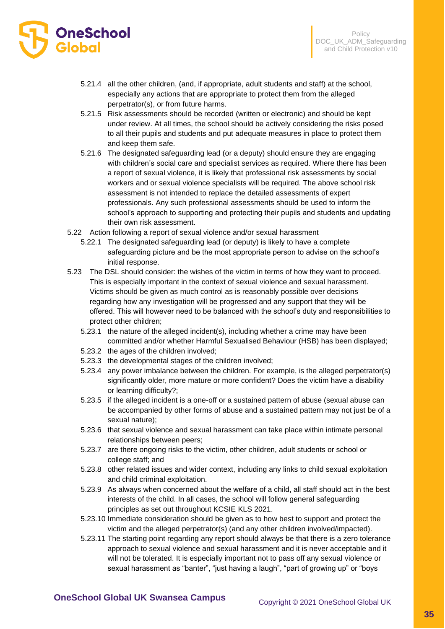

- 5.21.4 all the other children, (and, if appropriate, adult students and staff) at the school, especially any actions that are appropriate to protect them from the alleged perpetrator(s), or from future harms.
- 5.21.5 Risk assessments should be recorded (written or electronic) and should be kept under review. At all times, the school should be actively considering the risks posed to all their pupils and students and put adequate measures in place to protect them and keep them safe.
- 5.21.6 The designated safeguarding lead (or a deputy) should ensure they are engaging with children's social care and specialist services as required. Where there has been a report of sexual violence, it is likely that professional risk assessments by social workers and or sexual violence specialists will be required. The above school risk assessment is not intended to replace the detailed assessments of expert professionals. Any such professional assessments should be used to inform the school's approach to supporting and protecting their pupils and students and updating their own risk assessment.
- 5.22 Action following a report of sexual violence and/or sexual harassment
	- 5.22.1 The designated safeguarding lead (or deputy) is likely to have a complete safeguarding picture and be the most appropriate person to advise on the school's initial response.
- 5.23 The DSL should consider: the wishes of the victim in terms of how they want to proceed. This is especially important in the context of sexual violence and sexual harassment. Victims should be given as much control as is reasonably possible over decisions regarding how any investigation will be progressed and any support that they will be offered. This will however need to be balanced with the school's duty and responsibilities to protect other children;
	- 5.23.1 the nature of the alleged incident(s), including whether a crime may have been committed and/or whether Harmful Sexualised Behaviour (HSB) has been displayed;
	- 5.23.2 the ages of the children involved;
	- 5.23.3 the developmental stages of the children involved;
	- 5.23.4 any power imbalance between the children. For example, is the alleged perpetrator(s) significantly older, more mature or more confident? Does the victim have a disability or learning difficulty?;
	- 5.23.5 if the alleged incident is a one-off or a sustained pattern of abuse (sexual abuse can be accompanied by other forms of abuse and a sustained pattern may not just be of a sexual nature);
	- 5.23.6 that sexual violence and sexual harassment can take place within intimate personal relationships between peers;
	- 5.23.7 are there ongoing risks to the victim, other children, adult students or school or college staff; and
	- 5.23.8 other related issues and wider context, including any links to child sexual exploitation and child criminal exploitation.
	- 5.23.9 As always when concerned about the welfare of a child, all staff should act in the best interests of the child. In all cases, the school will follow general safeguarding principles as set out throughout KCSIE KLS 2021.
	- 5.23.10 Immediate consideration should be given as to how best to support and protect the victim and the alleged perpetrator(s) (and any other children involved/impacted).
	- 5.23.11 The starting point regarding any report should always be that there is a zero tolerance approach to sexual violence and sexual harassment and it is never acceptable and it will not be tolerated. It is especially important not to pass off any sexual violence or sexual harassment as "banter", "just having a laugh", "part of growing up" or "boys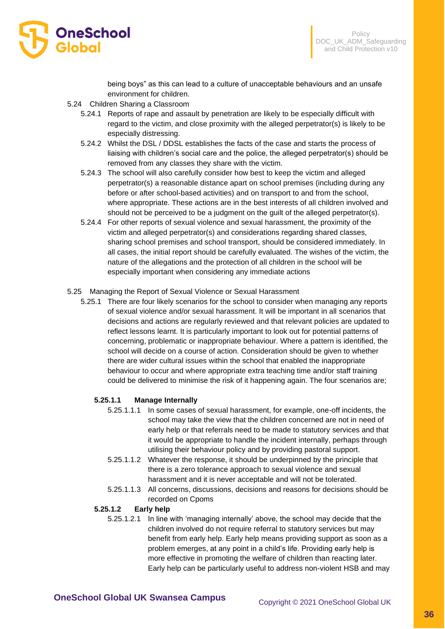

being boys" as this can lead to a culture of unacceptable behaviours and an unsafe environment for children.

- 5.24 Children Sharing a Classroom
	- 5.24.1 Reports of rape and assault by penetration are likely to be especially difficult with regard to the victim, and close proximity with the alleged perpetrator(s) is likely to be especially distressing.
	- 5.24.2 Whilst the DSL / DDSL establishes the facts of the case and starts the process of liaising with children's social care and the police, the alleged perpetrator(s) should be removed from any classes they share with the victim.
	- 5.24.3 The school will also carefully consider how best to keep the victim and alleged perpetrator(s) a reasonable distance apart on school premises (including during any before or after school-based activities) and on transport to and from the school, where appropriate. These actions are in the best interests of all children involved and should not be perceived to be a judgment on the guilt of the alleged perpetrator(s).
	- 5.24.4 For other reports of sexual violence and sexual harassment, the proximity of the victim and alleged perpetrator(s) and considerations regarding shared classes, sharing school premises and school transport, should be considered immediately. In all cases, the initial report should be carefully evaluated. The wishes of the victim, the nature of the allegations and the protection of all children in the school will be especially important when considering any immediate actions

#### 5.25 Managing the Report of Sexual Violence or Sexual Harassment

5.25.1 There are four likely scenarios for the school to consider when managing any reports of sexual violence and/or sexual harassment. It will be important in all scenarios that decisions and actions are regularly reviewed and that relevant policies are updated to reflect lessons learnt. It is particularly important to look out for potential patterns of concerning, problematic or inappropriate behaviour. Where a pattern is identified, the school will decide on a course of action. Consideration should be given to whether there are wider cultural issues within the school that enabled the inappropriate behaviour to occur and where appropriate extra teaching time and/or staff training could be delivered to minimise the risk of it happening again. The four scenarios are;

#### **5.25.1.1 Manage Internally**

- 5.25.1.1.1 In some cases of sexual harassment, for example, one-off incidents, the school may take the view that the children concerned are not in need of early help or that referrals need to be made to statutory services and that it would be appropriate to handle the incident internally, perhaps through utilising their behaviour policy and by providing pastoral support.
- 5.25.1.1.2 Whatever the response, it should be underpinned by the principle that there is a zero tolerance approach to sexual violence and sexual harassment and it is never acceptable and will not be tolerated.
- 5.25.1.1.3 All concerns, discussions, decisions and reasons for decisions should be recorded on Cpoms

#### **5.25.1.2 Early help**

5.25.1.2.1 In line with 'managing internally' above, the school may decide that the children involved do not require referral to statutory services but may benefit from early help. Early help means providing support as soon as a problem emerges, at any point in a child's life. Providing early help is more effective in promoting the welfare of children than reacting later. Early help can be particularly useful to address non-violent HSB and may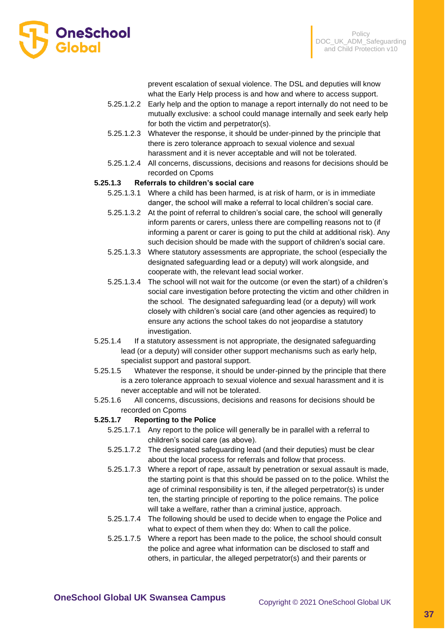

prevent escalation of sexual violence. The DSL and deputies will know what the Early Help process is and how and where to access support.

- 5.25.1.2.2 Early help and the option to manage a report internally do not need to be mutually exclusive: a school could manage internally and seek early help for both the victim and perpetrator(s).
- 5.25.1.2.3 Whatever the response, it should be under-pinned by the principle that there is zero tolerance approach to sexual violence and sexual harassment and it is never acceptable and will not be tolerated.
- 5.25.1.2.4 All concerns, discussions, decisions and reasons for decisions should be recorded on Cpoms

## **5.25.1.3 Referrals to children's social care**

- 5.25.1.3.1 Where a child has been harmed, is at risk of harm, or is in immediate danger, the school will make a referral to local children's social care.
- 5.25.1.3.2 At the point of referral to children's social care, the school will generally inform parents or carers, unless there are compelling reasons not to (if informing a parent or carer is going to put the child at additional risk). Any such decision should be made with the support of children's social care.
- 5.25.1.3.3 Where statutory assessments are appropriate, the school (especially the designated safeguarding lead or a deputy) will work alongside, and cooperate with, the relevant lead social worker.
- 5.25.1.3.4 The school will not wait for the outcome (or even the start) of a children's social care investigation before protecting the victim and other children in the school. The designated safeguarding lead (or a deputy) will work closely with children's social care (and other agencies as required) to ensure any actions the school takes do not jeopardise a statutory investigation.
- 5.25.1.4 If a statutory assessment is not appropriate, the designated safeguarding lead (or a deputy) will consider other support mechanisms such as early help, specialist support and pastoral support.
- 5.25.1.5 Whatever the response, it should be under-pinned by the principle that there is a zero tolerance approach to sexual violence and sexual harassment and it is never acceptable and will not be tolerated.
- 5.25.1.6 All concerns, discussions, decisions and reasons for decisions should be recorded on Cpoms

## **5.25.1.7 Reporting to the Police**

- 5.25.1.7.1 Any report to the police will generally be in parallel with a referral to children's social care (as above).
- 5.25.1.7.2 The designated safeguarding lead (and their deputies) must be clear about the local process for referrals and follow that process.
- 5.25.1.7.3 Where a report of rape, assault by penetration or sexual assault is made, the starting point is that this should be passed on to the police. Whilst the age of criminal responsibility is ten, if the alleged perpetrator(s) is under ten, the starting principle of reporting to the police remains. The police will take a welfare, rather than a criminal justice, approach.
- 5.25.1.7.4 The following should be used to decide when to engage the Police and what to expect of them when they do: When to call the police.
- 5.25.1.7.5 Where a report has been made to the police, the school should consult the police and agree what information can be disclosed to staff and others, in particular, the alleged perpetrator(s) and their parents or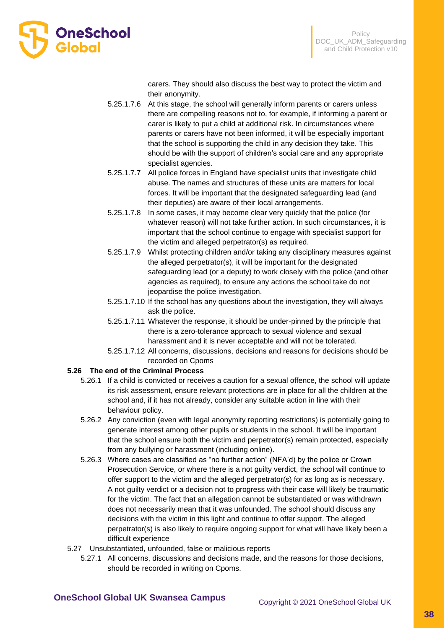

carers. They should also discuss the best way to protect the victim and their anonymity.

- 5.25.1.7.6 At this stage, the school will generally inform parents or carers unless there are compelling reasons not to, for example, if informing a parent or carer is likely to put a child at additional risk. In circumstances where parents or carers have not been informed, it will be especially important that the school is supporting the child in any decision they take. This should be with the support of children's social care and any appropriate specialist agencies.
- 5.25.1.7.7 All police forces in England have specialist units that investigate child abuse. The names and structures of these units are matters for local forces. It will be important that the designated safeguarding lead (and their deputies) are aware of their local arrangements.
- 5.25.1.7.8 In some cases, it may become clear very quickly that the police (for whatever reason) will not take further action. In such circumstances, it is important that the school continue to engage with specialist support for the victim and alleged perpetrator(s) as required.
- 5.25.1.7.9 Whilst protecting children and/or taking any disciplinary measures against the alleged perpetrator(s), it will be important for the designated safeguarding lead (or a deputy) to work closely with the police (and other agencies as required), to ensure any actions the school take do not jeopardise the police investigation.
- 5.25.1.7.10 If the school has any questions about the investigation, they will always ask the police.
- 5.25.1.7.11 Whatever the response, it should be under-pinned by the principle that there is a zero-tolerance approach to sexual violence and sexual harassment and it is never acceptable and will not be tolerated.
- 5.25.1.7.12 All concerns, discussions, decisions and reasons for decisions should be recorded on Cpoms

## **5.26 The end of the Criminal Process**

- 5.26.1 If a child is convicted or receives a caution for a sexual offence, the school will update its risk assessment, ensure relevant protections are in place for all the children at the school and, if it has not already, consider any suitable action in line with their behaviour policy.
- 5.26.2 Any conviction (even with legal anonymity reporting restrictions) is potentially going to generate interest among other pupils or students in the school. It will be important that the school ensure both the victim and perpetrator(s) remain protected, especially from any bullying or harassment (including online).
- 5.26.3 Where cases are classified as "no further action" (NFA'd) by the police or Crown Prosecution Service, or where there is a not guilty verdict, the school will continue to offer support to the victim and the alleged perpetrator(s) for as long as is necessary. A not guilty verdict or a decision not to progress with their case will likely be traumatic for the victim. The fact that an allegation cannot be substantiated or was withdrawn does not necessarily mean that it was unfounded. The school should discuss any decisions with the victim in this light and continue to offer support. The alleged perpetrator(s) is also likely to require ongoing support for what will have likely been a difficult experience
- 5.27 Unsubstantiated, unfounded, false or malicious reports
	- 5.27.1 All concerns, discussions and decisions made, and the reasons for those decisions, should be recorded in writing on Cpoms.

# **OneSchool Global UK Swansea Campus**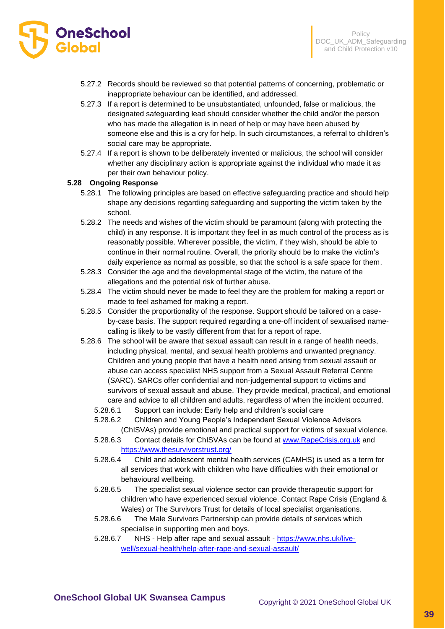

- 5.27.2 Records should be reviewed so that potential patterns of concerning, problematic or inappropriate behaviour can be identified, and addressed.
- 5.27.3 If a report is determined to be unsubstantiated, unfounded, false or malicious, the designated safeguarding lead should consider whether the child and/or the person who has made the allegation is in need of help or may have been abused by someone else and this is a cry for help. In such circumstances, a referral to children's social care may be appropriate.
- 5.27.4 If a report is shown to be deliberately invented or malicious, the school will consider whether any disciplinary action is appropriate against the individual who made it as per their own behaviour policy.

#### **5.28 Ongoing Response**

- 5.28.1 The following principles are based on effective safeguarding practice and should help shape any decisions regarding safeguarding and supporting the victim taken by the school.
- 5.28.2 The needs and wishes of the victim should be paramount (along with protecting the child) in any response. It is important they feel in as much control of the process as is reasonably possible. Wherever possible, the victim, if they wish, should be able to continue in their normal routine. Overall, the priority should be to make the victim's daily experience as normal as possible, so that the school is a safe space for them.
- 5.28.3 Consider the age and the developmental stage of the victim, the nature of the allegations and the potential risk of further abuse.
- 5.28.4 The victim should never be made to feel they are the problem for making a report or made to feel ashamed for making a report.
- 5.28.5 Consider the proportionality of the response. Support should be tailored on a caseby-case basis. The support required regarding a one-off incident of sexualised namecalling is likely to be vastly different from that for a report of rape.
- 5.28.6 The school will be aware that sexual assault can result in a range of health needs, including physical, mental, and sexual health problems and unwanted pregnancy. Children and young people that have a health need arising from sexual assault or abuse can access specialist NHS support from a Sexual Assault Referral Centre (SARC). SARCs offer confidential and non-judgemental support to victims and survivors of sexual assault and abuse. They provide medical, practical, and emotional care and advice to all children and adults, regardless of when the incident occurred.
	- 5.28.6.1 Support can include: Early help and children's social care
	- 5.28.6.2 Children and Young People's Independent Sexual Violence Advisors (ChISVAs) provide emotional and practical support for victims of sexual violence.
	- 5.28.6.3 Contact details for ChISVAs can be found at [www.RapeCrisis.org.uk](http://www.rapecrisis.org.uk/) and <https://www.thesurvivorstrust.org/>
	- 5.28.6.4 Child and adolescent mental health services (CAMHS) is used as a term for all services that work with children who have difficulties with their emotional or behavioural wellbeing.
	- 5.28.6.5 The specialist sexual violence sector can provide therapeutic support for children who have experienced sexual violence. Contact Rape Crisis (England & Wales) or The Survivors Trust for details of local specialist organisations.
	- 5.28.6.6 The Male Survivors Partnership can provide details of services which specialise in supporting men and boys.
	- 5.28.6.7 NHS Help after rape and sexual assault [https://www.nhs.uk/live](https://www.nhs.uk/live-well/sexual-health/help-after-rape-and-sexual-assault/)[well/sexual-health/help-after-rape-and-sexual-assault/](https://www.nhs.uk/live-well/sexual-health/help-after-rape-and-sexual-assault/)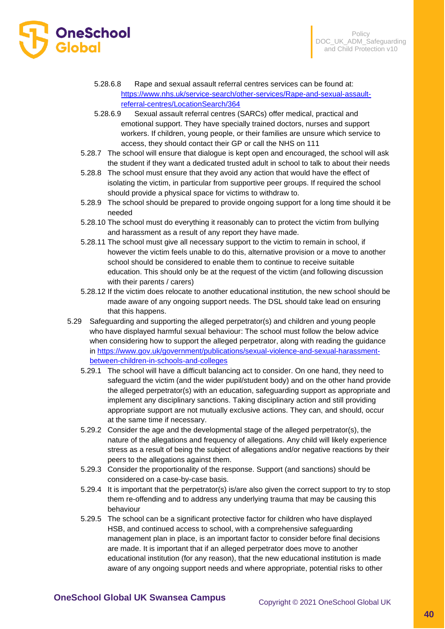

- 5.28.6.8 Rape and sexual assault referral centres services can be found at: [https://www.nhs.uk/service-search/other-services/Rape-and-sexual-assault](https://www.nhs.uk/service-search/other-services/Rape-and-sexual-assault-referral-centres/LocationSearch/364)[referral-centres/LocationSearch/364](https://www.nhs.uk/service-search/other-services/Rape-and-sexual-assault-referral-centres/LocationSearch/364)
- 5.28.6.9 Sexual assault referral centres (SARCs) offer medical, practical and emotional support. They have specially trained doctors, nurses and support workers. If children, young people, or their families are unsure which service to access, they should contact their GP or call the NHS on 111
- 5.28.7 The school will ensure that dialogue is kept open and encouraged, the school will ask the student if they want a dedicated trusted adult in school to talk to about their needs
- 5.28.8 The school must ensure that they avoid any action that would have the effect of isolating the victim, in particular from supportive peer groups. If required the school should provide a physical space for victims to withdraw to.
- 5.28.9 The school should be prepared to provide ongoing support for a long time should it be needed
- 5.28.10 The school must do everything it reasonably can to protect the victim from bullying and harassment as a result of any report they have made.
- 5.28.11 The school must give all necessary support to the victim to remain in school, if however the victim feels unable to do this, alternative provision or a move to another school should be considered to enable them to continue to receive suitable education. This should only be at the request of the victim (and following discussion with their parents / carers)
- 5.28.12 If the victim does relocate to another educational institution, the new school should be made aware of any ongoing support needs. The DSL should take lead on ensuring that this happens.
- 5.29 Safeguarding and supporting the alleged perpetrator(s) and children and young people who have displayed harmful sexual behaviour: The school must follow the below advice when considering how to support the alleged perpetrator, along with reading the guidance in [https://www.gov.uk/government/publications/sexual-violence-and-sexual-harassment](https://www.gov.uk/government/publications/sexual-violence-and-sexual-harassment-between-children-in-schools-and-colleges)[between-children-in-schools-and-colleges](https://www.gov.uk/government/publications/sexual-violence-and-sexual-harassment-between-children-in-schools-and-colleges)
	- 5.29.1 The school will have a difficult balancing act to consider. On one hand, they need to safeguard the victim (and the wider pupil/student body) and on the other hand provide the alleged perpetrator(s) with an education, safeguarding support as appropriate and implement any disciplinary sanctions. Taking disciplinary action and still providing appropriate support are not mutually exclusive actions. They can, and should, occur at the same time if necessary.
	- 5.29.2 Consider the age and the developmental stage of the alleged perpetrator(s), the nature of the allegations and frequency of allegations. Any child will likely experience stress as a result of being the subject of allegations and/or negative reactions by their peers to the allegations against them.
	- 5.29.3 Consider the proportionality of the response. Support (and sanctions) should be considered on a case-by-case basis.
	- 5.29.4 It is important that the perpetrator(s) is/are also given the correct support to try to stop them re-offending and to address any underlying trauma that may be causing this behaviour
	- 5.29.5 The school can be a significant protective factor for children who have displayed HSB, and continued access to school, with a comprehensive safeguarding management plan in place, is an important factor to consider before final decisions are made. It is important that if an alleged perpetrator does move to another educational institution (for any reason), that the new educational institution is made aware of any ongoing support needs and where appropriate, potential risks to other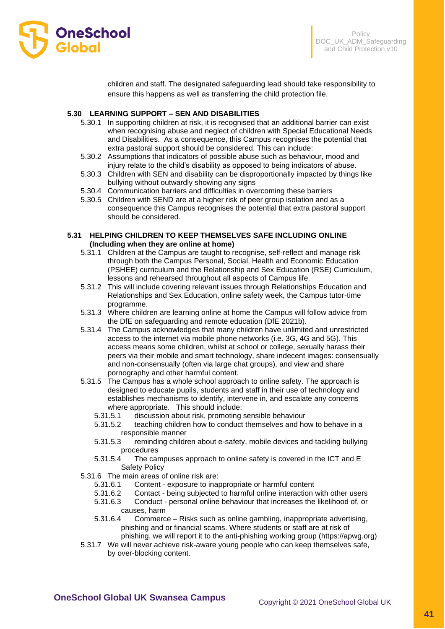

children and staff. The designated safeguarding lead should take responsibility to ensure this happens as well as transferring the child protection file.

#### **5.30 LEARNING SUPPORT – SEN AND DISABILITIES**

- 5.30.1 In supporting children at risk, it is recognised that an additional barrier can exist when recognising abuse and neglect of children with Special Educational Needs and Disabilities. As a consequence, this Campus recognises the potential that extra pastoral support should be considered. This can include:
- 5.30.2 Assumptions that indicators of possible abuse such as behaviour, mood and injury relate to the child's disability as opposed to being indicators of abuse.
- 5.30.3 Children with SEN and disability can be disproportionally impacted by things like bullying without outwardly showing any signs
- 5.30.4 Communication barriers and difficulties in overcoming these barriers
- 5.30.5 Children with SEND are at a higher risk of peer group isolation and as a consequence this Campus recognises the potential that extra pastoral support should be considered.

#### **5.31 HELPING CHILDREN TO KEEP THEMSELVES SAFE INCLUDING ONLINE (Including when they are online at home)**

- 5.31.1 Children at the Campus are taught to recognise, self-reflect and manage risk through both the Campus Personal, Social, Health and Economic Education (PSHEE) curriculum and the Relationship and Sex Education (RSE) Curriculum, lessons and rehearsed throughout all aspects of Campus life.
- 5.31.2 This will include covering relevant issues through Relationships Education and Relationships and Sex Education, online safety week, the Campus tutor-time programme.
- 5.31.3 Where children are learning online at home the Campus will follow advice from the DfE on safeguarding and remote education (DfE 2021b).
- 5.31.4 The Campus acknowledges that many children have unlimited and unrestricted access to the internet via mobile phone networks (i.e. 3G, 4G and 5G). This access means some children, whilst at school or college, sexually harass their peers via their mobile and smart technology, share indecent images: consensually and non-consensually (often via large chat groups), and view and share pornography and other harmful content.
- 5.31.5 The Campus has a whole school approach to online safety. The approach is designed to educate pupils, students and staff in their use of technology and establishes mechanisms to identify, intervene in, and escalate any concerns where appropriate. This should include:<br>5.31.5.1 discussion about risk, promoting
	- discussion about risk, promoting sensible behaviour
	- 5.31.5.2 teaching children how to conduct themselves and how to behave in a responsible manner
	- 5.31.5.3 reminding children about e-safety, mobile devices and tackling bullying procedures
	- 5.31.5.4 The campuses approach to online safety is covered in the ICT and E Safety Policy
- 5.31.6 The main areas of online risk are:
	- 5.31.6.1 Content exposure to inappropriate or harmful content
	- 5.31.6.2 Contact being subjected to harmful online interaction with other users
	- 5.31.6.3 Conduct personal online behaviour that increases the likelihood of, or causes, harm
	- 5.31.6.4 Commerce Risks such as online gambling, inappropriate advertising, phishing and or financial scams. Where students or staff are at risk of phishing, we will report it to the anti-phishing working group (https://apwg.org)
- 5.31.7 We will never achieve risk-aware young people who can keep themselves safe, by over-blocking content.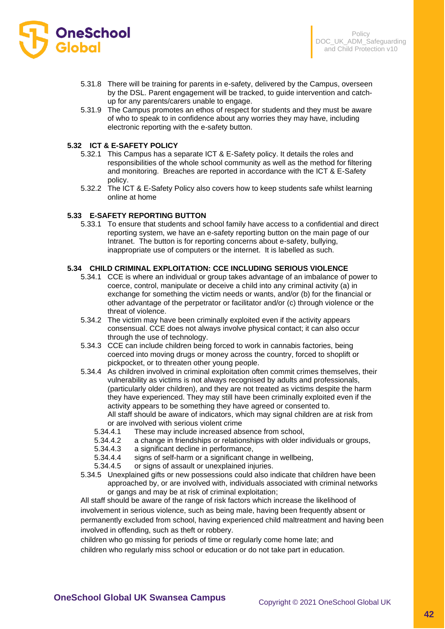

- 5.31.8 There will be training for parents in e-safety, delivered by the Campus, overseen by the DSL. Parent engagement will be tracked, to guide intervention and catchup for any parents/carers unable to engage.
- 5.31.9 The Campus promotes an ethos of respect for students and they must be aware of who to speak to in confidence about any worries they may have, including electronic reporting with the e-safety button.

## **5.32 ICT & E-SAFETY POLICY**

- 5.32.1 This Campus has a separate ICT & E-Safety policy. It details the roles and responsibilities of the whole school community as well as the method for filtering and monitoring. Breaches are reported in accordance with the ICT & E-Safety policy.
- 5.32.2 The ICT & E-Safety Policy also covers how to keep students safe whilst learning online at home

## **5.33 E-SAFETY REPORTING BUTTON**

5.33.1 To ensure that students and school family have access to a confidential and direct reporting system, we have an e-safety reporting button on the main page of our Intranet. The button is for reporting concerns about e-safety, bullying, inappropriate use of computers or the internet. It is labelled as such.

## **5.34 CHILD CRIMINAL EXPLOITATION: CCE INCLUDING SERIOUS VIOLENCE**

- 5.34.1 CCE is where an individual or group takes advantage of an imbalance of power to coerce, control, manipulate or deceive a child into any criminal activity (a) in exchange for something the victim needs or wants, and/or (b) for the financial or other advantage of the perpetrator or facilitator and/or (c) through violence or the threat of violence.
- 5.34.2 The victim may have been criminally exploited even if the activity appears consensual. CCE does not always involve physical contact; it can also occur through the use of technology.
- 5.34.3 CCE can include children being forced to work in cannabis factories, being coerced into moving drugs or money across the country, forced to shoplift or pickpocket, or to threaten other young people.
- 5.34.4 As children involved in criminal exploitation often commit crimes themselves, their vulnerability as victims is not always recognised by adults and professionals, (particularly older children), and they are not treated as victims despite the harm they have experienced. They may still have been criminally exploited even if the activity appears to be something they have agreed or consented to. All staff should be aware of indicators, which may signal children are at risk from or are involved with serious violent crime
	- 5.34.4.1 These may include increased absence from school,
	- 5.34.4.2 a change in friendships or relationships with older individuals or groups,
	- 5.34.4.3 a significant decline in performance,
	- 5.34.4.4 signs of self-harm or a significant change in wellbeing,
	- 5.34.4.5 or signs of assault or unexplained injuries.
- 5.34.5 Unexplained gifts or new possessions could also indicate that children have been approached by, or are involved with, individuals associated with criminal networks or gangs and may be at risk of criminal exploitation;

All staff should be aware of the range of risk factors which increase the likelihood of involvement in serious violence, such as being male, having been frequently absent or permanently excluded from school, having experienced child maltreatment and having been involved in offending, such as theft or robbery.

children who go missing for periods of time or regularly come home late; and children who regularly miss school or education or do not take part in education.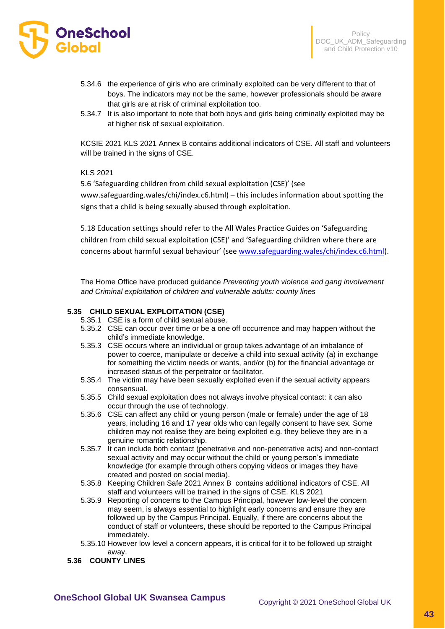

- 5.34.6 the experience of girls who are criminally exploited can be very different to that of boys. The indicators may not be the same, however professionals should be aware that girls are at risk of criminal exploitation too.
- 5.34.7 It is also important to note that both boys and girls being criminally exploited may be at higher risk of sexual exploitation.

KCSIE 2021 KLS 2021 Annex B contains additional indicators of CSE. All staff and volunteers will be trained in the signs of CSE.

KLS 2021

5.6 'Safeguarding children from child sexual exploitation (CSE)' (see www.safeguarding.wales/chi/index.c6.html) – this includes information about spotting the signs that a child is being sexually abused through exploitation.

5.18 Education settings should refer to the All Wales Practice Guides on 'Safeguarding children from child sexual exploitation (CSE)' and 'Safeguarding children where there are concerns about harmful sexual behaviour' (see [www.safeguarding.wales/chi/index.c6.html\)](http://www.safeguarding.wales/chi/index.c6.html).

The Home Office have produced guidance *Preventing youth violence and gang involvement and Criminal exploitation of children and vulnerable adults: county lines*

## **5.35 CHILD SEXUAL EXPLOITATION (CSE)**

- 5.35.1 CSE is a form of child sexual abuse.
- 5.35.2 CSE can occur over time or be a one off occurrence and may happen without the child's immediate knowledge.
- 5.35.3 CSE occurs where an individual or group takes advantage of an imbalance of power to coerce, manipulate or deceive a child into sexual activity (a) in exchange for something the victim needs or wants, and/or (b) for the financial advantage or increased status of the perpetrator or facilitator.
- 5.35.4 The victim may have been sexually exploited even if the sexual activity appears consensual.
- 5.35.5 Child sexual exploitation does not always involve physical contact: it can also occur through the use of technology.
- 5.35.6 CSE can affect any child or young person (male or female) under the age of 18 years, including 16 and 17 year olds who can legally consent to have sex. Some children may not realise they are being exploited e.g. they believe they are in a genuine romantic relationship.
- 5.35.7 It can include both contact (penetrative and non-penetrative acts) and non-contact sexual activity and may occur without the child or young person's immediate knowledge (for example through others copying videos or images they have created and posted on social media).
- 5.35.8 Keeping Children Safe 2021 Annex B contains additional indicators of CSE. All staff and volunteers will be trained in the signs of CSE. KLS 2021
- 5.35.9 Reporting of concerns to the Campus Principal, however low-level the concern may seem, is always essential to highlight early concerns and ensure they are followed up by the Campus Principal. Equally, if there are concerns about the conduct of staff or volunteers, these should be reported to the Campus Principal immediately.
- 5.35.10 However low level a concern appears, it is critical for it to be followed up straight away.
- **5.36 COUNTY LINES**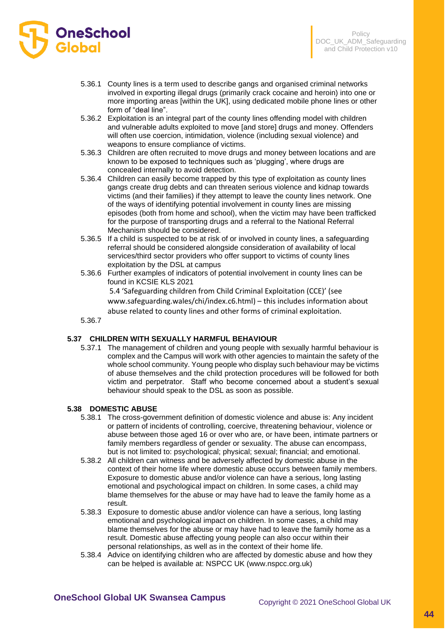# **OneSchool** ilobal

- 5.36.1 County lines is a term used to describe gangs and organised criminal networks involved in exporting illegal drugs (primarily crack cocaine and heroin) into one or more importing areas [within the UK], using dedicated mobile phone lines or other form of "deal line".
- 5.36.2 Exploitation is an integral part of the county lines offending model with children and vulnerable adults exploited to move [and store] drugs and money. Offenders will often use coercion, intimidation, violence (including sexual violence) and weapons to ensure compliance of victims.
- 5.36.3 Children are often recruited to move drugs and money between locations and are known to be exposed to techniques such as 'plugging', where drugs are concealed internally to avoid detection.
- 5.36.4 Children can easily become trapped by this type of exploitation as county lines gangs create drug debts and can threaten serious violence and kidnap towards victims (and their families) if they attempt to leave the county lines network. One of the ways of identifying potential involvement in county lines are missing episodes (both from home and school), when the victim may have been trafficked for the purpose of transporting drugs and a referral to the National Referral Mechanism should be considered.
- 5.36.5 If a child is suspected to be at risk of or involved in county lines, a safeguarding referral should be considered alongside consideration of availability of local services/third sector providers who offer support to victims of county lines exploitation by the DSL at campus
- 5.36.6 Further examples of indicators of potential involvement in county lines can be found in KCSIE KLS 2021 5.4 'Safeguarding children from Child Criminal Exploitation (CCE)' (see www.safeguarding.wales/chi/index.c6.html) – this includes information about abuse related to county lines and other forms of criminal exploitation.

5.36.7

## **5.37 CHILDREN WITH SEXUALLY HARMFUL BEHAVIOUR**

5.37.1 The management of children and young people with sexually harmful behaviour is complex and the Campus will work with other agencies to maintain the safety of the whole school community. Young people who display such behaviour may be victims of abuse themselves and the child protection procedures will be followed for both victim and perpetrator. Staff who become concerned about a student's sexual behaviour should speak to the DSL as soon as possible.

## **5.38 DOMESTIC ABUSE**

- 5.38.1 The cross-government definition of domestic violence and abuse is: Any incident or pattern of incidents of controlling, coercive, threatening behaviour, violence or abuse between those aged 16 or over who are, or have been, intimate partners or family members regardless of gender or sexuality. The abuse can encompass, but is not limited to: psychological; physical; sexual; financial; and emotional.
- 5.38.2 All children can witness and be adversely affected by domestic abuse in the context of their home life where domestic abuse occurs between family members. Exposure to domestic abuse and/or violence can have a serious, long lasting emotional and psychological impact on children. In some cases, a child may blame themselves for the abuse or may have had to leave the family home as a result.
- 5.38.3 Exposure to domestic abuse and/or violence can have a serious, long lasting emotional and psychological impact on children. In some cases, a child may blame themselves for the abuse or may have had to leave the family home as a result. Domestic abuse affecting young people can also occur within their personal relationships, as well as in the context of their home life.
- 5.38.4 Advice on identifying children who are affected by domestic abuse and how they can be helped is available at: NSPCC UK (www.nspcc.org.uk)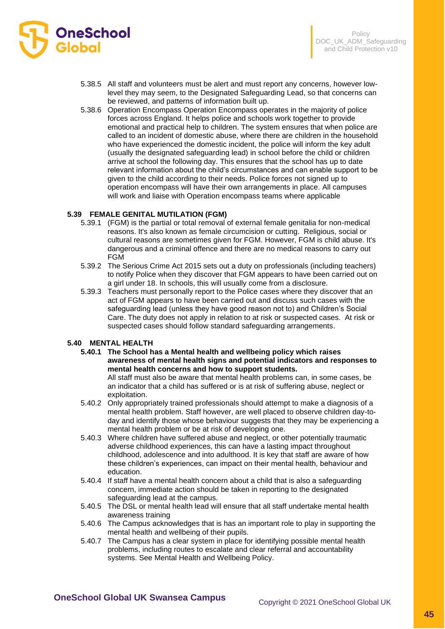

- 5.38.5 All staff and volunteers must be alert and must report any concerns, however lowlevel they may seem, to the Designated Safeguarding Lead, so that concerns can be reviewed, and patterns of information built up.
- 5.38.6 Operation Encompass Operation Encompass operates in the majority of police forces across England. It helps police and schools work together to provide emotional and practical help to children. The system ensures that when police are called to an incident of domestic abuse, where there are children in the household who have experienced the domestic incident, the police will inform the key adult (usually the designated safeguarding lead) in school before the child or children arrive at school the following day. This ensures that the school has up to date relevant information about the child's circumstances and can enable support to be given to the child according to their needs. Police forces not signed up to operation encompass will have their own arrangements in place. All campuses will work and liaise with Operation encompass teams where applicable

#### **5.39 FEMALE GENITAL MUTILATION (FGM)**

- 5.39.1 (FGM) is the partial or total removal of external female genitalia for non-medical reasons. It's also known as female circumcision or cutting. Religious, social or cultural reasons are sometimes given for FGM. However, FGM is child abuse. It's dangerous and a criminal offence and there are no medical reasons to carry out FGM
- 5.39.2 The Serious Crime Act 2015 sets out a duty on professionals (including teachers) to notify Police when they discover that FGM appears to have been carried out on a girl under 18. In schools, this will usually come from a disclosure.
- 5.39.3 Teachers must personally report to the Police cases where they discover that an act of FGM appears to have been carried out and discuss such cases with the safeguarding lead (unless they have good reason not to) and Children's Social Care. The duty does not apply in relation to at risk or suspected cases. At risk or suspected cases should follow standard safeguarding arrangements.

#### **5.40 MENTAL HEALTH**

**5.40.1 The School has a Mental health and wellbeing policy which raises awareness of mental health signs and potential indicators and responses to mental health concerns and how to support students.** 

All staff must also be aware that mental health problems can, in some cases, be an indicator that a child has suffered or is at risk of suffering abuse, neglect or exploitation.

- 5.40.2 Only appropriately trained professionals should attempt to make a diagnosis of a mental health problem. Staff however, are well placed to observe children day-today and identify those whose behaviour suggests that they may be experiencing a mental health problem or be at risk of developing one.
- 5.40.3 Where children have suffered abuse and neglect, or other potentially traumatic adverse childhood experiences, this can have a lasting impact throughout childhood, adolescence and into adulthood. It is key that staff are aware of how these children's experiences, can impact on their mental health, behaviour and education.
- 5.40.4 If staff have a mental health concern about a child that is also a safeguarding concern, immediate action should be taken in reporting to the designated safeguarding lead at the campus.
- 5.40.5 The DSL or mental health lead will ensure that all staff undertake mental health awareness training
- 5.40.6 The Campus acknowledges that is has an important role to play in supporting the mental health and wellbeing of their pupils.
- 5.40.7 The Campus has a clear system in place for identifying possible mental health problems, including routes to escalate and clear referral and accountability systems. See Mental Health and Wellbeing Policy.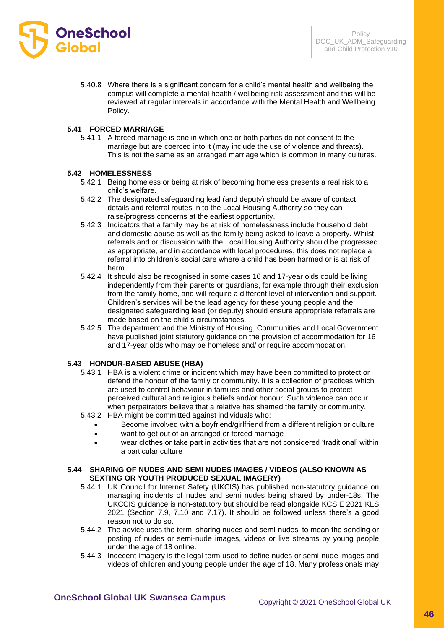

5.40.8 Where there is a significant concern for a child's mental health and wellbeing the campus will complete a mental health / wellbeing risk assessment and this will be reviewed at regular intervals in accordance with the Mental Health and Wellbeing Policy.

#### **5.41 FORCED MARRIAGE**

5.41.1 A forced marriage is one in which one or both parties do not consent to the marriage but are coerced into it (may include the use of violence and threats). This is not the same as an arranged marriage which is common in many cultures.

## **5.42 HOMELESSNESS**

- 5.42.1 Being homeless or being at risk of becoming homeless presents a real risk to a child's welfare.
- 5.42.2 The designated safeguarding lead (and deputy) should be aware of contact details and referral routes in to the Local Housing Authority so they can raise/progress concerns at the earliest opportunity.
- 5.42.3 Indicators that a family may be at risk of homelessness include household debt and domestic abuse as well as the family being asked to leave a property. Whilst referrals and or discussion with the Local Housing Authority should be progressed as appropriate, and in accordance with local procedures, this does not replace a referral into children's social care where a child has been harmed or is at risk of harm.
- 5.42.4 It should also be recognised in some cases 16 and 17-year olds could be living independently from their parents or guardians, for example through their exclusion from the family home, and will require a different level of intervention and support. Children's services will be the lead agency for these young people and the designated safeguarding lead (or deputy) should ensure appropriate referrals are made based on the child's circumstances.
- 5.42.5 The department and the Ministry of Housing, Communities and Local Government have published joint statutory guidance on the provision of accommodation for 16 and 17-year olds who may be homeless and/ or require accommodation.

#### **5.43 HONOUR-BASED ABUSE (HBA)**

- 5.43.1 HBA is a violent crime or incident which may have been committed to protect or defend the honour of the family or community. It is a collection of practices which are used to control behaviour in families and other social groups to protect perceived cultural and religious beliefs and/or honour. Such violence can occur when perpetrators believe that a relative has shamed the family or community.
- 5.43.2 HBA might be committed against individuals who:
	- Become involved with a boyfriend/girlfriend from a different religion or culture
	- want to get out of an arranged or forced marriage
	- wear clothes or take part in activities that are not considered 'traditional' within a particular culture

#### **5.44 SHARING OF NUDES AND SEMI NUDES IMAGES / VIDEOS (ALSO KNOWN AS SEXTING OR YOUTH PRODUCED SEXUAL IMAGERY)**

- 5.44.1 UK Council for Internet Safety (UKCIS) has published non-statutory guidance on managing incidents of nudes and semi nudes being shared by under-18s. The UKCCIS guidance is non-statutory but should be read alongside KCSIE 2021 KLS 2021 (Section 7.9, 7.10 and 7.17). It should be followed unless there's a good reason not to do so.
- 5.44.2 The advice uses the term 'sharing nudes and semi-nudes' to mean the sending or posting of nudes or semi-nude images, videos or live streams by young people under the age of 18 online.
- 5.44.3 Indecent imagery is the legal term used to define nudes or semi-nude images and videos of children and young people under the age of 18. Many professionals may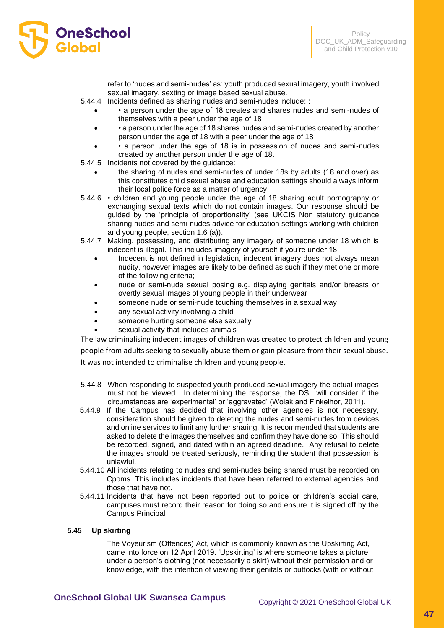

refer to 'nudes and semi-nudes' as: youth produced sexual imagery, youth involved sexual imagery, sexting or image based sexual abuse.

- 5.44.4 Incidents defined as sharing nudes and semi-nudes include: :
	- • a person under the age of 18 creates and shares nudes and semi-nudes of themselves with a peer under the age of 18
	- • a person under the age of 18 shares nudes and semi-nudes created by another person under the age of 18 with a peer under the age of 18
	- a person under the age of 18 is in possession of nudes and semi-nudes created by another person under the age of 18.
- 5.44.5 Incidents not covered by the guidance:
	- the sharing of nudes and semi-nudes of under 18s by adults (18 and over) as this constitutes child sexual abuse and education settings should always inform their local police force as a matter of urgency
- 5.44.6 children and young people under the age of 18 sharing adult pornography or exchanging sexual texts which do not contain images. Our response should be guided by the 'principle of proportionality' (see UKCIS Non statutory guidance sharing nudes and semi-nudes advice for education settings working with children and young people, section 1.6 (a)).
- 5.44.7 Making, possessing, and distributing any imagery of someone under 18 which is indecent is illegal. This includes imagery of yourself if you're under 18.
	- Indecent is not defined in legislation, indecent imagery does not always mean nudity, however images are likely to be defined as such if they met one or more of the following criteria;
	- nude or semi-nude sexual posing e.g. displaying genitals and/or breasts or overtly sexual images of young people in their underwear
	- someone nude or semi-nude touching themselves in a sexual way
	- any sexual activity involving a child
	- someone hurting someone else sexually
	- sexual activity that includes animals

The law criminalising indecent images of children was created to protect children and young people from adults seeking to sexually abuse them or gain pleasure from their sexual abuse. It was not intended to criminalise children and young people.

- 5.44.8 When responding to suspected youth produced sexual imagery the actual images must not be viewed. In determining the response, the DSL will consider if the circumstances are 'experimental' or 'aggravated' (Wolak and Finkelhor, 2011).
- 5.44.9 If the Campus has decided that involving other agencies is not necessary, consideration should be given to deleting the nudes and semi-nudes from devices and online services to limit any further sharing. It is recommended that students are asked to delete the images themselves and confirm they have done so. This should be recorded, signed, and dated within an agreed deadline. Any refusal to delete the images should be treated seriously, reminding the student that possession is unlawful.
- 5.44.10 All incidents relating to nudes and semi-nudes being shared must be recorded on Cpoms. This includes incidents that have been referred to external agencies and those that have not.
- 5.44.11 Incidents that have not been reported out to police or children's social care, campuses must record their reason for doing so and ensure it is signed off by the Campus Principal

## **5.45 Up skirting**

The Voyeurism (Offences) Act, which is commonly known as the Upskirting Act, came into force on 12 April 2019. 'Upskirting' is where someone takes a picture under a person's clothing (not necessarily a skirt) without their permission and or knowledge, with the intention of viewing their genitals or buttocks (with or without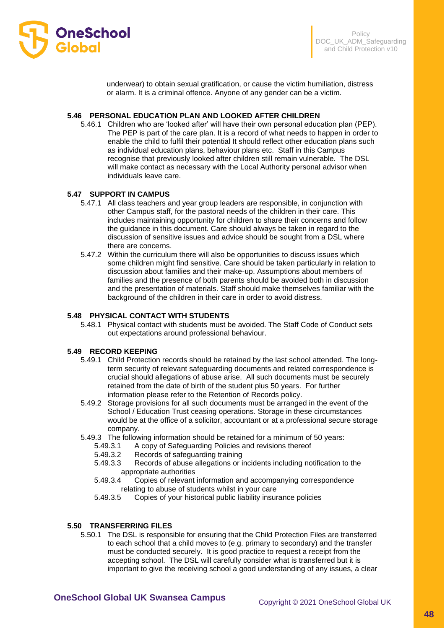

underwear) to obtain sexual gratification, or cause the victim humiliation, distress or alarm. It is a criminal offence. Anyone of any gender can be a victim.

#### **5.46 PERSONAL EDUCATION PLAN AND LOOKED AFTER CHILDREN**

5.46.1 Children who are 'looked after' will have their own personal education plan (PEP). The PEP is part of the care plan. It is a record of what needs to happen in order to enable the child to fulfil their potential It should reflect other education plans such as individual education plans, behaviour plans etc. Staff in this Campus recognise that previously looked after children still remain vulnerable. The DSL will make contact as necessary with the Local Authority personal advisor when individuals leave care.

## **5.47 SUPPORT IN CAMPUS**

- 5.47.1 All class teachers and year group leaders are responsible, in conjunction with other Campus staff, for the pastoral needs of the children in their care. This includes maintaining opportunity for children to share their concerns and follow the guidance in this document. Care should always be taken in regard to the discussion of sensitive issues and advice should be sought from a DSL where there are concerns.
- 5.47.2 Within the curriculum there will also be opportunities to discuss issues which some children might find sensitive. Care should be taken particularly in relation to discussion about families and their make-up. Assumptions about members of families and the presence of both parents should be avoided both in discussion and the presentation of materials. Staff should make themselves familiar with the background of the children in their care in order to avoid distress.

#### **5.48 PHYSICAL CONTACT WITH STUDENTS**

5.48.1 Physical contact with students must be avoided. The Staff Code of Conduct sets out expectations around professional behaviour.

## **5.49 RECORD KEEPING**

- 5.49.1 Child Protection records should be retained by the last school attended. The longterm security of relevant safeguarding documents and related correspondence is crucial should allegations of abuse arise. All such documents must be securely retained from the date of birth of the student plus 50 years. For further information please refer to the Retention of Records policy.
- 5.49.2 Storage provisions for all such documents must be arranged in the event of the School / Education Trust ceasing operations. Storage in these circumstances would be at the office of a solicitor, accountant or at a professional secure storage company.
- 5.49.3 The following information should be retained for a minimum of 50 years:
	- 5.49.3.1 A copy of Safeguarding Policies and revisions thereof
	- 5.49.3.2 Records of safeguarding training
	- 5.49.3.3 Records of abuse allegations or incidents including notification to the appropriate authorities
	- 5.49.3.4 Copies of relevant information and accompanying correspondence relating to abuse of students whilst in your care<br>5.49.3.5 Copies of your historical public liability insur
	- Copies of your historical public liability insurance policies

#### **5.50 TRANSFERRING FILES**

5.50.1 The DSL is responsible for ensuring that the Child Protection Files are transferred to each school that a child moves to (e.g. primary to secondary) and the transfer must be conducted securely. It is good practice to request a receipt from the accepting school. The DSL will carefully consider what is transferred but it is important to give the receiving school a good understanding of any issues, a clear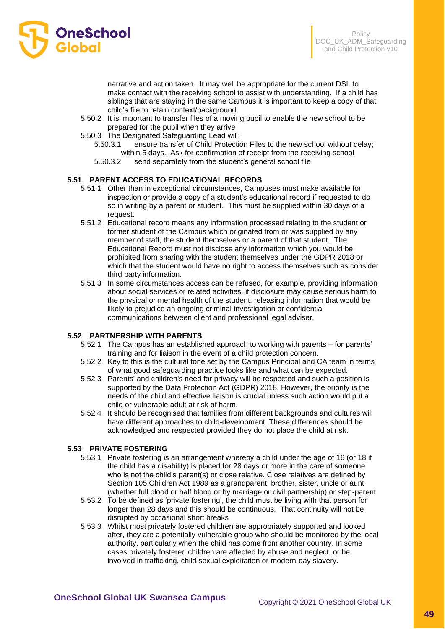

narrative and action taken. It may well be appropriate for the current DSL to make contact with the receiving school to assist with understanding. If a child has siblings that are staying in the same Campus it is important to keep a copy of that child's file to retain context/background.

- 5.50.2 It is important to transfer files of a moving pupil to enable the new school to be prepared for the pupil when they arrive
- 5.50.3 The Designated Safeguarding Lead will:
	- 5.50.3.1 ensure transfer of Child Protection Files to the new school without delay; within 5 days. Ask for confirmation of receipt from the receiving school
	- 5.50.3.2 send separately from the student's general school file

## **5.51 PARENT ACCESS TO EDUCATIONAL RECORDS**

- 5.51.1 Other than in exceptional circumstances, Campuses must make available for inspection or provide a copy of a student's educational record if requested to do so in writing by a parent or student. This must be supplied within 30 days of a request.
- 5.51.2 Educational record means any information processed relating to the student or former student of the Campus which originated from or was supplied by any member of staff, the student themselves or a parent of that student. The Educational Record must not disclose any information which you would be prohibited from sharing with the student themselves under the GDPR 2018 or which that the student would have no right to access themselves such as consider third party information.
- 5.51.3 In some circumstances access can be refused, for example, providing information about social services or related activities, if disclosure may cause serious harm to the physical or mental health of the student, releasing information that would be likely to prejudice an ongoing criminal investigation or confidential communications between client and professional legal adviser.

#### **5.52 PARTNERSHIP WITH PARENTS**

- 5.52.1 The Campus has an established approach to working with parents for parents' training and for liaison in the event of a child protection concern.
- 5.52.2 Key to this is the cultural tone set by the Campus Principal and CA team in terms of what good safeguarding practice looks like and what can be expected.
- 5.52.3 Parents' and children's need for privacy will be respected and such a position is supported by the Data Protection Act (GDPR) 2018. However, the priority is the needs of the child and effective liaison is crucial unless such action would put a child or vulnerable adult at risk of harm.
- 5.52.4 It should be recognised that families from different backgrounds and cultures will have different approaches to child-development. These differences should be acknowledged and respected provided they do not place the child at risk.

#### **5.53 PRIVATE FOSTERING**

- 5.53.1 Private fostering is an arrangement whereby a child under the age of 16 (or 18 if the child has a disability) is placed for 28 days or more in the care of someone who is not the child's parent(s) or close relative. Close relatives are defined by Section 105 Children Act 1989 as a grandparent, brother, sister, uncle or aunt (whether full blood or half blood or by marriage or civil partnership) or step-parent
- 5.53.2 To be defined as 'private fostering', the child must be living with that person for longer than 28 days and this should be continuous. That continuity will not be disrupted by occasional short breaks
- 5.53.3 Whilst most privately fostered children are appropriately supported and looked after, they are a potentially vulnerable group who should be monitored by the local authority, particularly when the child has come from another country. In some cases privately fostered children are affected by abuse and neglect, or be involved in trafficking, child sexual exploitation or modern-day slavery.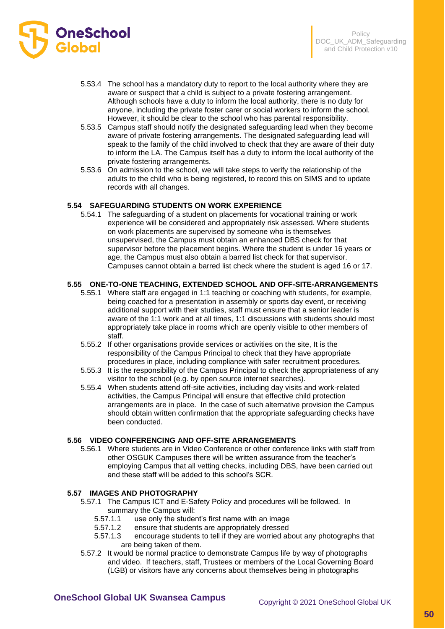

- 5.53.4 The school has a mandatory duty to report to the local authority where they are aware or suspect that a child is subject to a private fostering arrangement. Although schools have a duty to inform the local authority, there is no duty for anyone, including the private foster carer or social workers to inform the school. However, it should be clear to the school who has parental responsibility.
- 5.53.5 Campus staff should notify the designated safeguarding lead when they become aware of private fostering arrangements. The designated safeguarding lead will speak to the family of the child involved to check that they are aware of their duty to inform the LA. The Campus itself has a duty to inform the local authority of the private fostering arrangements.
- 5.53.6 On admission to the school, we will take steps to verify the relationship of the adults to the child who is being registered, to record this on SIMS and to update records with all changes.

## **5.54 SAFEGUARDING STUDENTS ON WORK EXPERIENCE**

5.54.1 The safeguarding of a student on placements for vocational training or work experience will be considered and appropriately risk assessed. Where students on work placements are supervised by someone who is themselves unsupervised, the Campus must obtain an enhanced DBS check for that supervisor before the placement begins. Where the student is under 16 years or age, the Campus must also obtain a barred list check for that supervisor. Campuses cannot obtain a barred list check where the student is aged 16 or 17.

## **5.55 ONE-TO-ONE TEACHING, EXTENDED SCHOOL AND OFF-SITE-ARRANGEMENTS**

- 5.55.1 Where staff are engaged in 1:1 teaching or coaching with students, for example, being coached for a presentation in assembly or sports day event, or receiving additional support with their studies, staff must ensure that a senior leader is aware of the 1:1 work and at all times, 1:1 discussions with students should most appropriately take place in rooms which are openly visible to other members of staff.
- 5.55.2 If other organisations provide services or activities on the site, It is the responsibility of the Campus Principal to check that they have appropriate procedures in place, including compliance with safer recruitment procedures.
- 5.55.3 It is the responsibility of the Campus Principal to check the appropriateness of any visitor to the school (e.g. by open source internet searches).
- 5.55.4 When students attend off-site activities, including day visits and work-related activities, the Campus Principal will ensure that effective child protection arrangements are in place. In the case of such alternative provision the Campus should obtain written confirmation that the appropriate safeguarding checks have been conducted.

#### **5.56 VIDEO CONFERENCING AND OFF-SITE ARRANGEMENTS**

5.56.1 Where students are in Video Conference or other conference links with staff from other OSGUK Campuses there will be written assurance from the teacher's employing Campus that all vetting checks, including DBS, have been carried out and these staff will be added to this school's SCR.

#### **5.57 IMAGES AND PHOTOGRAPHY**

- 5.57.1 The Campus ICT and E-Safety Policy and procedures will be followed. In summary the Campus will:
	- 5.57.1.1 use only the student's first name with an image<br>5.57.1.2 ensure that students are appropriately dressed
	- ensure that students are appropriately dressed
	- 5.57.1.3 encourage students to tell if they are worried about any photographs that are being taken of them.
- 5.57.2 It would be normal practice to demonstrate Campus life by way of photographs and video. If teachers, staff, Trustees or members of the Local Governing Board (LGB) or visitors have any concerns about themselves being in photographs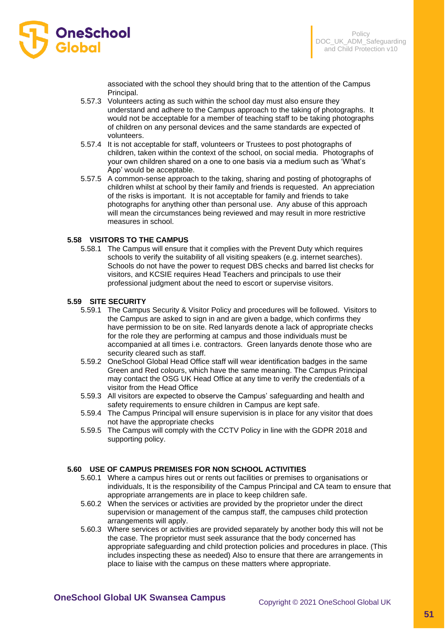

associated with the school they should bring that to the attention of the Campus Principal.

- 5.57.3 Volunteers acting as such within the school day must also ensure they understand and adhere to the Campus approach to the taking of photographs. It would not be acceptable for a member of teaching staff to be taking photographs of children on any personal devices and the same standards are expected of volunteers.
- 5.57.4 It is not acceptable for staff, volunteers or Trustees to post photographs of children, taken within the context of the school, on social media. Photographs of your own children shared on a one to one basis via a medium such as 'What's App' would be acceptable.
- 5.57.5 A common-sense approach to the taking, sharing and posting of photographs of children whilst at school by their family and friends is requested. An appreciation of the risks is important. It is not acceptable for family and friends to take photographs for anything other than personal use. Any abuse of this approach will mean the circumstances being reviewed and may result in more restrictive measures in school.

#### **5.58 VISITORS TO THE CAMPUS**

5.58.1 The Campus will ensure that it complies with the Prevent Duty which requires schools to verify the suitability of all visiting speakers (e.g. internet searches). Schools do not have the power to request DBS checks and barred list checks for visitors, and KCSIE requires Head Teachers and principals to use their professional judgment about the need to escort or supervise visitors.

#### **5.59 SITE SECURITY**

- 5.59.1 The Campus Security & Visitor Policy and procedures will be followed. Visitors to the Campus are asked to sign in and are given a badge, which confirms they have permission to be on site. Red lanyards denote a lack of appropriate checks for the role they are performing at campus and those individuals must be accompanied at all times i.e. contractors. Green lanyards denote those who are security cleared such as staff.
- 5.59.2 OneSchool Global Head Office staff will wear identification badges in the same Green and Red colours, which have the same meaning. The Campus Principal may contact the OSG UK Head Office at any time to verify the credentials of a visitor from the Head Office
- 5.59.3 All visitors are expected to observe the Campus' safeguarding and health and safety requirements to ensure children in Campus are kept safe.
- 5.59.4 The Campus Principal will ensure supervision is in place for any visitor that does not have the appropriate checks
- 5.59.5 The Campus will comply with the CCTV Policy in line with the GDPR 2018 and supporting policy.

#### **5.60 USE OF CAMPUS PREMISES FOR NON SCHOOL ACTIVITIES**

- 5.60.1 Where a campus hires out or rents out facilities or premises to organisations or individuals, It is the responsibility of the Campus Principal and CA team to ensure that appropriate arrangements are in place to keep children safe.
- 5.60.2 When the services or activities are provided by the proprietor under the direct supervision or management of the campus staff, the campuses child protection arrangements will apply.
- 5.60.3 Where services or activities are provided separately by another body this will not be the case. The proprietor must seek assurance that the body concerned has appropriate safeguarding and child protection policies and procedures in place. (This includes inspecting these as needed) Also to ensure that there are arrangements in place to liaise with the campus on these matters where appropriate.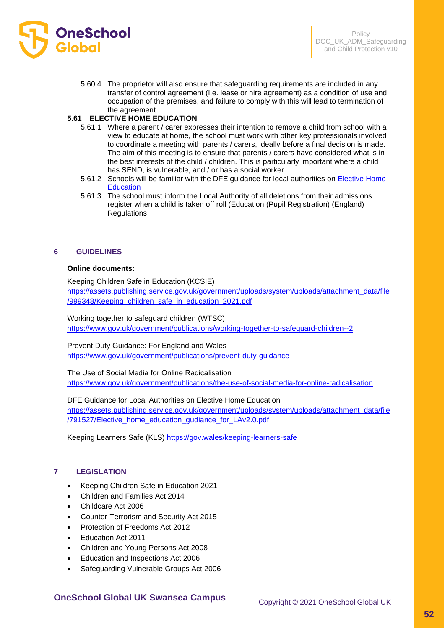

5.60.4 The proprietor will also ensure that safeguarding requirements are included in any transfer of control agreement (I.e. lease or hire agreement) as a condition of use and occupation of the premises, and failure to comply with this will lead to termination of the agreement.

## **5.61 ELECTIVE HOME EDUCATION**

- 5.61.1 Where a parent / carer expresses their intention to remove a child from school with a view to educate at home, the school must work with other key professionals involved to coordinate a meeting with parents / carers, ideally before a final decision is made. The aim of this meeting is to ensure that parents / carers have considered what is in the best interests of the child / children. This is particularly important where a child has SEND, is vulnerable, and / or has a social worker.
- 5.61.2 Schools will be familiar with the DFE guidance for local authorities on [Elective Home](https://assets.publishing.service.gov.uk/government/uploads/system/uploads/attachment_data/file/791527/Elective_home_education_gudiance_for_LAv2.0.pdf)  **[Education](https://assets.publishing.service.gov.uk/government/uploads/system/uploads/attachment_data/file/791527/Elective_home_education_gudiance_for_LAv2.0.pdf)**
- 5.61.3 The school must inform the Local Authority of all deletions from their admissions register when a child is taken off roll (Education (Pupil Registration) (England) **Regulations**

#### **6 GUIDELINES**

#### **Online documents:**

Keeping Children Safe in Education (KCSIE) [https://assets.publishing.service.gov.uk/government/uploads/system/uploads/attachment\\_data/file](https://assets.publishing.service.gov.uk/government/uploads/system/uploads/attachment_data/file/999348/Keeping_children_safe_in_education_2021.pdf) [/999348/Keeping\\_children\\_safe\\_in\\_education\\_2021.pdf](https://assets.publishing.service.gov.uk/government/uploads/system/uploads/attachment_data/file/999348/Keeping_children_safe_in_education_2021.pdf)

Working together to safeguard children (WTSC)

<https://www.gov.uk/government/publications/working-together-to-safeguard-children--2>

Prevent Duty Guidance: For England and Wales

<https://www.gov.uk/government/publications/prevent-duty-guidance>

The Use of Social Media for Online Radicalisation

<https://www.gov.uk/government/publications/the-use-of-social-media-for-online-radicalisation>

DFE Guidance for Local Authorities on Elective Home Education

[https://assets.publishing.service.gov.uk/government/uploads/system/uploads/attachment\\_data/file](https://assets.publishing.service.gov.uk/government/uploads/system/uploads/attachment_data/file/791527/Elective_home_education_gudiance_for_LAv2.0.pdf) [/791527/Elective\\_home\\_education\\_gudiance\\_for\\_LAv2.0.pdf](https://assets.publishing.service.gov.uk/government/uploads/system/uploads/attachment_data/file/791527/Elective_home_education_gudiance_for_LAv2.0.pdf)

Keeping Learners Safe (KLS)<https://gov.wales/keeping-learners-safe>

## **7 LEGISLATION**

- Keeping Children Safe in Education 2021
- Children and Families Act 2014
- Childcare Act 2006
- Counter-Terrorism and Security Act 2015
- Protection of Freedoms Act 2012
- Education Act 2011
- Children and Young Persons Act 2008
- Education and Inspections Act 2006
- Safeguarding Vulnerable Groups Act 2006

## **OneSchool Global UK Swansea Campus**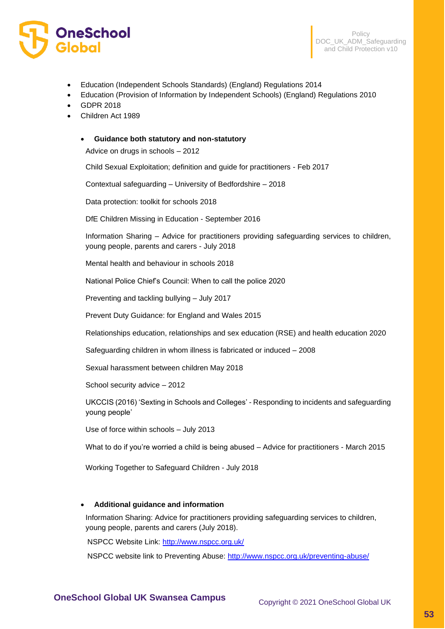

- Education (Independent Schools Standards) (England) Regulations 2014
- Education (Provision of Information by Independent Schools) (England) Regulations 2010
- GDPR 2018
- Children Act 1989

## • **Guidance both statutory and non-statutory**

Advice on drugs in schools – 2012

Child Sexual Exploitation; definition and guide for practitioners - Feb 2017

Contextual safeguarding – University of Bedfordshire – 2018

Data protection: toolkit for schools 2018

DfE Children Missing in Education - September 2016

Information Sharing – Advice for practitioners providing safeguarding services to children, young people, parents and carers - July 2018

Mental health and behaviour in schools 2018

National Police Chief's Council: When to call the police 2020

Preventing and tackling bullying – July 2017

Prevent Duty Guidance: for England and Wales 2015

Relationships education, relationships and sex education (RSE) and health education 2020

Safeguarding children in whom illness is fabricated or induced – 2008

Sexual harassment between children May 2018

School security advice – 2012

UKCCIS (2016) 'Sexting in Schools and Colleges' - Responding to incidents and safeguarding young people'

Use of force within schools – July 2013

What to do if you're worried a child is being abused – Advice for practitioners - March 2015

Working Together to Safeguard Children - July 2018

## • **Additional guidance and information**

Information Sharing: Advice for practitioners providing safeguarding services to children, young people, parents and carers (July 2018).

NSPCC Website Link:<http://www.nspcc.org.uk/>

NSPCC website link to Preventing Abuse:<http://www.nspcc.org.uk/preventing-abuse/>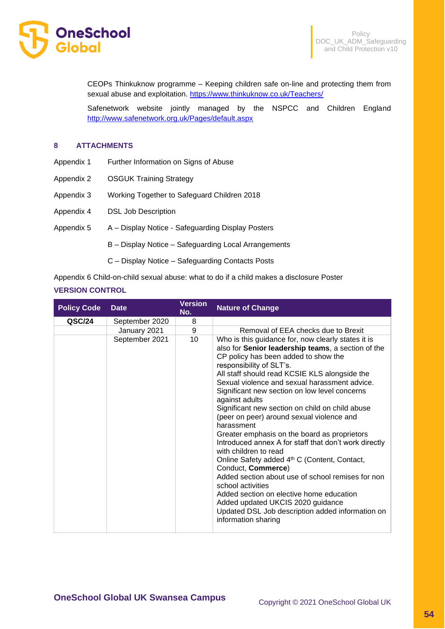

CEOPs Thinkuknow programme – Keeping children safe on-line and protecting them from sexual abuse and exploitation.<https://www.thinkuknow.co.uk/Teachers/>

Safenetwork website jointly managed by the NSPCC and Children England <http://www.safenetwork.org.uk/Pages/default.aspx>

# **8 ATTACHMENTS**

| Appendix 1 | Further Information on Signs of Abuse |
|------------|---------------------------------------|
|------------|---------------------------------------|

- Appendix 2 OSGUK Training Strategy
- Appendix 3 Working Together to Safeguard Children 2018
- Appendix 4 DSL Job Description
- Appendix 5 A Display Notice Safeguarding Display Posters
	- B Display Notice Safeguarding Local Arrangements
	- C Display Notice Safeguarding Contacts Posts

Appendix 6 Child-on-child sexual abuse: what to do if a child makes a disclosure Poster **VERSION CONTROL**

| <b>Policy Code</b> | <b>Date</b>    | <b>Version</b><br>No. | <b>Nature of Change</b>                                                                                                                                                                                                                                                                                                                                                                                                                                                                                                                                                                                                                                                                                                                                                                                                                                                                                       |
|--------------------|----------------|-----------------------|---------------------------------------------------------------------------------------------------------------------------------------------------------------------------------------------------------------------------------------------------------------------------------------------------------------------------------------------------------------------------------------------------------------------------------------------------------------------------------------------------------------------------------------------------------------------------------------------------------------------------------------------------------------------------------------------------------------------------------------------------------------------------------------------------------------------------------------------------------------------------------------------------------------|
| <b>QSC/24</b>      | September 2020 | 8                     |                                                                                                                                                                                                                                                                                                                                                                                                                                                                                                                                                                                                                                                                                                                                                                                                                                                                                                               |
|                    | January 2021   | 9                     | Removal of EEA checks due to Brexit                                                                                                                                                                                                                                                                                                                                                                                                                                                                                                                                                                                                                                                                                                                                                                                                                                                                           |
|                    | September 2021 | 10                    | Who is this guidance for, now clearly states it is<br>also for Senior leadership teams, a section of the<br>CP policy has been added to show the<br>responsibility of SLT's.<br>All staff should read KCSIE KLS alongside the<br>Sexual violence and sexual harassment advice.<br>Significant new section on low level concerns<br>against adults<br>Significant new section on child on child abuse<br>(peer on peer) around sexual violence and<br>harassment<br>Greater emphasis on the board as proprietors<br>Introduced annex A for staff that don't work directly<br>with children to read<br>Online Safety added 4th C (Content, Contact,<br>Conduct, Commerce)<br>Added section about use of school remises for non<br>school activities<br>Added section on elective home education<br>Added updated UKCIS 2020 guidance<br>Updated DSL Job description added information on<br>information sharing |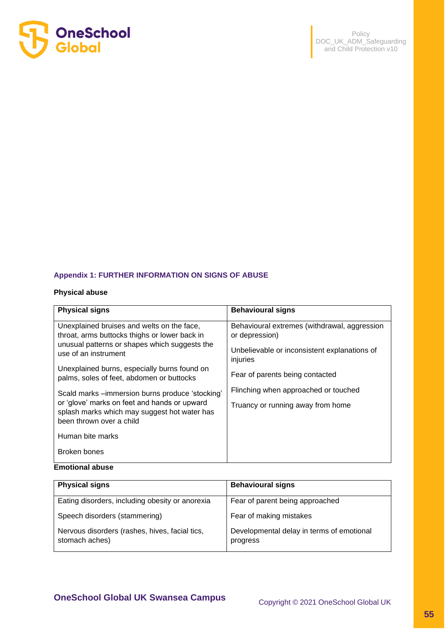

# **Appendix 1: FURTHER INFORMATION ON SIGNS OF ABUSE**

# **Physical abuse**

| <b>Physical signs</b>                                                                                                                                                                                                    | <b>Behavioural signs</b>                                                                                                   |
|--------------------------------------------------------------------------------------------------------------------------------------------------------------------------------------------------------------------------|----------------------------------------------------------------------------------------------------------------------------|
| Unexplained bruises and welts on the face,<br>throat, arms buttocks thighs or lower back in<br>unusual patterns or shapes which suggests the<br>use of an instrument<br>Unexplained burns, especially burns found on     | Behavioural extremes (withdrawal, aggression<br>or depression)<br>Unbelievable or inconsistent explanations of<br>injuries |
| palms, soles of feet, abdomen or buttocks<br>Scald marks -immersion burns produce 'stocking'<br>or 'glove' marks on feet and hands or upward<br>splash marks which may suggest hot water has<br>been thrown over a child | Fear of parents being contacted<br>Flinching when approached or touched<br>Truancy or running away from home               |
| Human bite marks<br>Broken bones<br><b>Emotional abuse</b>                                                                                                                                                               |                                                                                                                            |

| <b>Physical signs</b>                                            | <b>Behavioural signs</b>                              |
|------------------------------------------------------------------|-------------------------------------------------------|
| Eating disorders, including obesity or anorexia                  | Fear of parent being approached                       |
| Speech disorders (stammering)                                    | Fear of making mistakes                               |
| Nervous disorders (rashes, hives, facial tics,<br>stomach aches) | Developmental delay in terms of emotional<br>progress |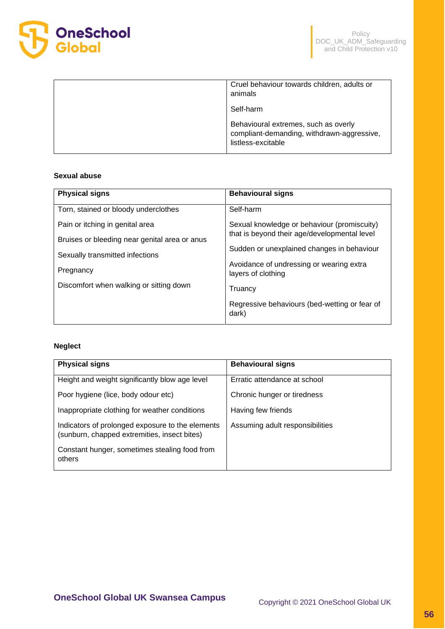

| Cruel behaviour towards children, adults or<br>animals                                                   |
|----------------------------------------------------------------------------------------------------------|
| Self-harm                                                                                                |
| Behavioural extremes, such as overly<br>compliant-demanding, withdrawn-aggressive,<br>listless-excitable |

## **Sexual abuse**

| <b>Physical signs</b>                         | <b>Behavioural signs</b>                                                                    |
|-----------------------------------------------|---------------------------------------------------------------------------------------------|
| Torn, stained or bloody underclothes          | Self-harm                                                                                   |
| Pain or itching in genital area               | Sexual knowledge or behaviour (promiscuity)<br>that is beyond their age/developmental level |
| Bruises or bleeding near genital area or anus | Sudden or unexplained changes in behaviour                                                  |
| Sexually transmitted infections               |                                                                                             |
| Pregnancy                                     | Avoidance of undressing or wearing extra<br>layers of clothing                              |
| Discomfort when walking or sitting down       | Truancy                                                                                     |
|                                               | Regressive behaviours (bed-wetting or fear of<br>dark)                                      |

# **Neglect**

| <b>Physical signs</b>                                                                            | <b>Behavioural signs</b>        |
|--------------------------------------------------------------------------------------------------|---------------------------------|
| Height and weight significantly blow age level                                                   | Erratic attendance at school    |
| Poor hygiene (lice, body odour etc)                                                              | Chronic hunger or tiredness     |
| Inappropriate clothing for weather conditions                                                    | Having few friends              |
| Indicators of prolonged exposure to the elements<br>(sunburn, chapped extremities, insect bites) | Assuming adult responsibilities |
| Constant hunger, sometimes stealing food from<br>others                                          |                                 |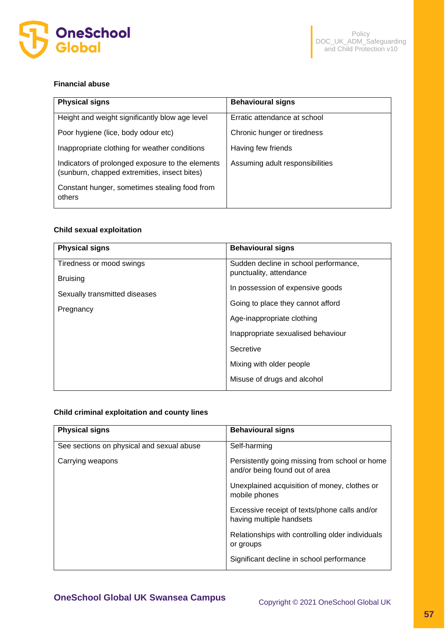

## **Financial abuse**

| <b>Physical signs</b>                                                                            | <b>Behavioural signs</b>        |
|--------------------------------------------------------------------------------------------------|---------------------------------|
| Height and weight significantly blow age level                                                   | Erratic attendance at school    |
| Poor hygiene (lice, body odour etc)                                                              | Chronic hunger or tiredness     |
| Inappropriate clothing for weather conditions                                                    | Having few friends              |
| Indicators of prolonged exposure to the elements<br>(sunburn, chapped extremities, insect bites) | Assuming adult responsibilities |
| Constant hunger, sometimes stealing food from<br>others                                          |                                 |

# **Child sexual exploitation**

| <b>Physical signs</b>         | <b>Behavioural signs</b>                                         |
|-------------------------------|------------------------------------------------------------------|
| Tiredness or mood swings      | Sudden decline in school performance,<br>punctuality, attendance |
| <b>Bruising</b>               | In possession of expensive goods                                 |
| Sexually transmitted diseases |                                                                  |
| Pregnancy                     | Going to place they cannot afford                                |
|                               | Age-inappropriate clothing                                       |
|                               | Inappropriate sexualised behaviour                               |
|                               | Secretive                                                        |
|                               | Mixing with older people                                         |
|                               | Misuse of drugs and alcohol                                      |

## **Child criminal exploitation and county lines**

| <b>Physical signs</b>                     | <b>Behavioural signs</b>                                                         |
|-------------------------------------------|----------------------------------------------------------------------------------|
| See sections on physical and sexual abuse | Self-harming                                                                     |
| Carrying weapons                          | Persistently going missing from school or home<br>and/or being found out of area |
|                                           | Unexplained acquisition of money, clothes or<br>mobile phones                    |
|                                           | Excessive receipt of texts/phone calls and/or<br>having multiple handsets        |
|                                           | Relationships with controlling older individuals<br>or groups                    |
|                                           | Significant decline in school performance                                        |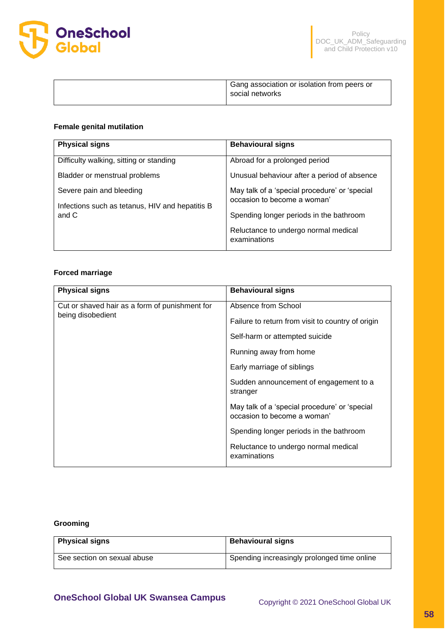

|  | Gang association or isolation from peers or<br>social networks |
|--|----------------------------------------------------------------|
|--|----------------------------------------------------------------|

# **Female genital mutilation**

| <b>Physical signs</b>                                                       | <b>Behavioural signs</b>                                                     |
|-----------------------------------------------------------------------------|------------------------------------------------------------------------------|
| Difficulty walking, sitting or standing                                     | Abroad for a prolonged period                                                |
| Bladder or menstrual problems                                               | Unusual behaviour after a period of absence                                  |
| Severe pain and bleeding<br>Infections such as tetanus, HIV and hepatitis B | May talk of a 'special procedure' or 'special<br>occasion to become a woman' |
| and C                                                                       | Spending longer periods in the bathroom                                      |
|                                                                             | Reluctance to undergo normal medical<br>examinations                         |

## **Forced marriage**

| <b>Physical signs</b>                                               | <b>Behavioural signs</b>                                                     |
|---------------------------------------------------------------------|------------------------------------------------------------------------------|
| Cut or shaved hair as a form of punishment for<br>being disobedient | Absence from School                                                          |
|                                                                     | Failure to return from visit to country of origin                            |
|                                                                     | Self-harm or attempted suicide                                               |
|                                                                     | Running away from home                                                       |
|                                                                     | Early marriage of siblings                                                   |
|                                                                     | Sudden announcement of engagement to a<br>stranger                           |
|                                                                     | May talk of a 'special procedure' or 'special<br>occasion to become a woman' |
|                                                                     | Spending longer periods in the bathroom                                      |
|                                                                     | Reluctance to undergo normal medical<br>examinations                         |

# **Grooming**

| <b>Physical signs</b>       | <b>Behavioural signs</b>                    |
|-----------------------------|---------------------------------------------|
| See section on sexual abuse | Spending increasingly prolonged time online |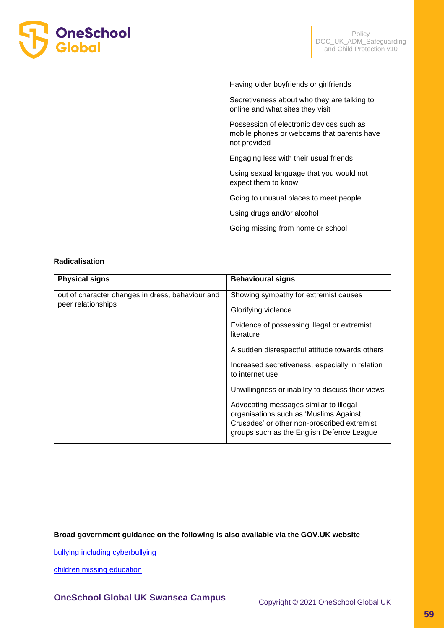

| Having older boyfriends or girlfriends                                                                 |
|--------------------------------------------------------------------------------------------------------|
| Secretiveness about who they are talking to<br>online and what sites they visit                        |
| Possession of electronic devices such as<br>mobile phones or webcams that parents have<br>not provided |
| Engaging less with their usual friends                                                                 |
| Using sexual language that you would not<br>expect them to know                                        |
| Going to unusual places to meet people                                                                 |
| Using drugs and/or alcohol                                                                             |
| Going missing from home or school                                                                      |

## **Radicalisation**

| <b>Physical signs</b>                                                  | <b>Behavioural signs</b>                                                                                                                                                     |
|------------------------------------------------------------------------|------------------------------------------------------------------------------------------------------------------------------------------------------------------------------|
| out of character changes in dress, behaviour and<br>peer relationships | Showing sympathy for extremist causes                                                                                                                                        |
|                                                                        | Glorifying violence                                                                                                                                                          |
|                                                                        | Evidence of possessing illegal or extremist<br>literature                                                                                                                    |
|                                                                        | A sudden disrespectful attitude towards others                                                                                                                               |
|                                                                        | Increased secretiveness, especially in relation<br>to internet use                                                                                                           |
|                                                                        | Unwillingness or inability to discuss their views                                                                                                                            |
|                                                                        | Advocating messages similar to illegal<br>organisations such as 'Muslims Against<br>Crusades' or other non-proscribed extremist<br>groups such as the English Defence League |

**Broad government guidance on the following is also available via the GOV.UK website** 

[bullying including cyberbullying](https://www.gov.uk/government/publications/preventing-and-tackling-bullying)

[children missing education](https://www.gov.uk/government/publications/children-missing-education)

**OneSchool Global UK Swansea Campus**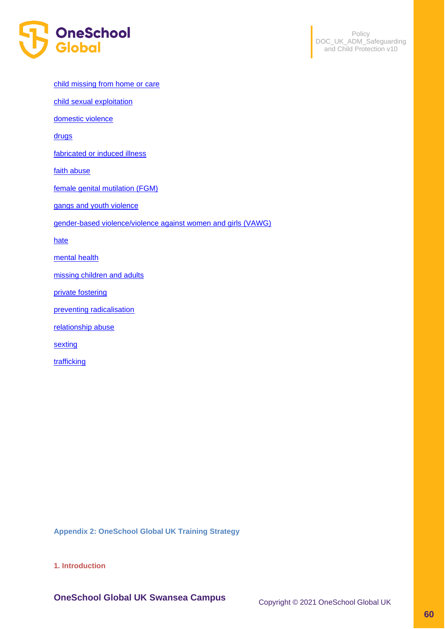

[child missing from home or care](https://www.gov.uk/government/publications/children-who-run-away-or-go-missing-from-home-or-care)

[child sexual exploitation](https://www.gov.uk/government/publications/what-to-do-if-you-suspect-a-child-is-being-sexually-exploited)

[domestic violence](https://www.gov.uk/domestic-violence-and-abuse)

[drugs](https://www.gov.uk/government/publications/drugs-advice-for-schools)

[fabricated or induced illness](https://www.gov.uk/government/publications/safeguarding-children-in-whom-illness-is-fabricated-or-induced)

[faith abuse](https://www.gov.uk/government/publications/national-action-plan-to-tackle-child-abuse-linked-to-faith-or-belief)

[female genital mutilation \(FGM\)](https://www.gov.uk/government/publications/multi-agency-statutory-guidance-on-female-genital-mutilation)

[gangs and youth violence](https://www.gov.uk/government/publications/advice-to-schools-and-colleges-on-gangs-and-youth-violence)

[gender-based violence/violence against women and girls \(VAWG\)](https://www.gov.uk/government/policies/ending-violence-against-women-and-girls-in-the-uk)

[hate](http://educateagainsthate.com/)

[mental health](https://www.gov.uk/government/publications/mental-health-and-behaviour-in-schools--2)

[missing children and adults](https://www.gov.uk/government/publications/missing-children-and-adults-strategy)

[private fostering](https://www.gov.uk/government/publications/children-act-1989-private-fostering)

[preventing radicalisation](https://www.gov.uk/government/publications/prevent-duty-guidance)

[relationship abuse](https://www.disrespectnobody.co.uk/relationship-abuse/what-is-relationship-abuse/)

[sexting](https://www.gov.uk/government/groups/uk-council-for-child-internet-safety-ukccis)

[trafficking](https://www.gov.uk/government/publications/safeguarding-children-who-may-have-been-trafficked-practice-guidance)

**Appendix 2: OneSchool Global UK Training Strategy**

**1. Introduction**

**OneSchool Global UK Swansea Campus**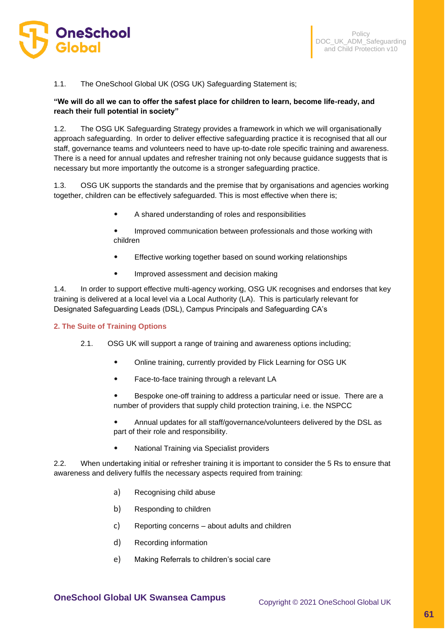

## 1.1. The OneSchool Global UK (OSG UK) Safeguarding Statement is;

## **"We will do all we can to offer the safest place for children to learn, become life-ready, and reach their full potential in society"**

1.2. The OSG UK Safeguarding Strategy provides a framework in which we will organisationally approach safeguarding. In order to deliver effective safeguarding practice it is recognised that all our staff, governance teams and volunteers need to have up-to-date role specific training and awareness. There is a need for annual updates and refresher training not only because guidance suggests that is necessary but more importantly the outcome is a stronger safeguarding practice.

1.3. OSG UK supports the standards and the premise that by organisations and agencies working together, children can be effectively safeguarded. This is most effective when there is;

- A shared understanding of roles and responsibilities
- Improved communication between professionals and those working with children
- Effective working together based on sound working relationships
- Improved assessment and decision making

1.4. In order to support effective multi-agency working, OSG UK recognises and endorses that key training is delivered at a local level via a Local Authority (LA). This is particularly relevant for Designated Safeguarding Leads (DSL), Campus Principals and Safeguarding CA's

## **2. The Suite of Training Options**

- 2.1. OSG UK will support a range of training and awareness options including;
	- Online training, currently provided by Flick Learning for OSG UK
	- Face-to-face training through a relevant LA
	- Bespoke one-off training to address a particular need or issue. There are a number of providers that supply child protection training, i.e. the NSPCC
	- Annual updates for all staff/governance/volunteers delivered by the DSL as part of their role and responsibility.
	- National Training via Specialist providers

2.2. When undertaking initial or refresher training it is important to consider the 5 Rs to ensure that awareness and delivery fulfils the necessary aspects required from training:

- a) Recognising child abuse
- b) Responding to children
- c) Reporting concerns about adults and children
- d) Recording information
- e) Making Referrals to children's social care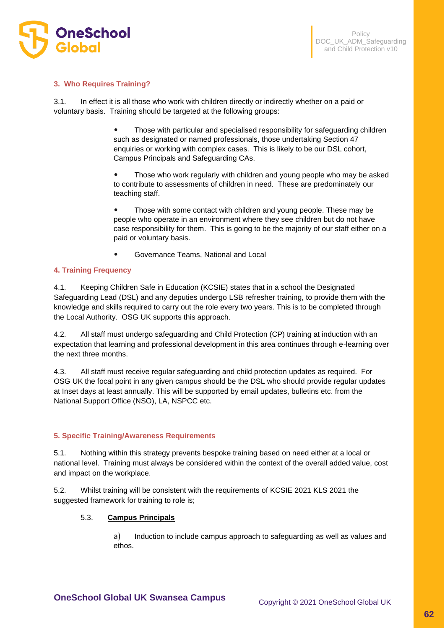

## **3. Who Requires Training?**

3.1. In effect it is all those who work with children directly or indirectly whether on a paid or voluntary basis. Training should be targeted at the following groups:

- Those with particular and specialised responsibility for safeguarding children such as designated or named professionals, those undertaking Section 47 enquiries or working with complex cases. This is likely to be our DSL cohort, Campus Principals and Safeguarding CAs.
- Those who work regularly with children and young people who may be asked to contribute to assessments of children in need. These are predominately our teaching staff.

• Those with some contact with children and young people. These may be people who operate in an environment where they see children but do not have case responsibility for them. This is going to be the majority of our staff either on a paid or voluntary basis.

• Governance Teams, National and Local

## **4. Training Frequency**

4.1. Keeping Children Safe in Education (KCSIE) states that in a school the Designated Safeguarding Lead (DSL) and any deputies undergo LSB refresher training, to provide them with the knowledge and skills required to carry out the role every two years. This is to be completed through the Local Authority. OSG UK supports this approach.

4.2. All staff must undergo safeguarding and Child Protection (CP) training at induction with an expectation that learning and professional development in this area continues through e-learning over the next three months.

4.3. All staff must receive regular safeguarding and child protection updates as required. For OSG UK the focal point in any given campus should be the DSL who should provide regular updates at Inset days at least annually. This will be supported by email updates, bulletins etc. from the National Support Office (NSO), LA, NSPCC etc.

## **5. Specific Training/Awareness Requirements**

5.1. Nothing within this strategy prevents bespoke training based on need either at a local or national level. Training must always be considered within the context of the overall added value, cost and impact on the workplace.

5.2. Whilst training will be consistent with the requirements of KCSIE 2021 KLS 2021 the suggested framework for training to role is;

## 5.3. **Campus Principals**

a) Induction to include campus approach to safeguarding as well as values and ethos.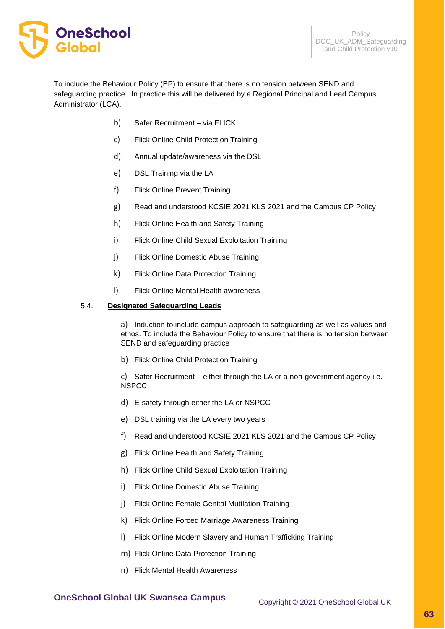

To include the Behaviour Policy (BP) to ensure that there is no tension between SEND and safeguarding practice. In practice this will be delivered by a Regional Principal and Lead Campus Administrator (LCA).

- b) Safer Recruitment via FLICK
- c) Flick Online Child Protection Training
- d) Annual update/awareness via the DSL
- e) DSL Training via the LA
- f) Flick Online Prevent Training
- g) Read and understood KCSIE 2021 KLS 2021 and the Campus CP Policy
- h) Flick Online Health and Safety Training
- i) Flick Online Child Sexual Exploitation Training
- j) Flick Online Domestic Abuse Training
- k) Flick Online Data Protection Training
- l) Flick Online Mental Health awareness

#### 5.4. **Designated Safeguarding Leads**

a) Induction to include campus approach to safeguarding as well as values and ethos. To include the Behaviour Policy to ensure that there is no tension between SEND and safeguarding practice

b) Flick Online Child Protection Training

c) Safer Recruitment – either through the LA or a non-government agency i.e. **NSPCC** 

- d) E-safety through either the LA or NSPCC
- e) DSL training via the LA every two years
- f) Read and understood KCSIE 2021 KLS 2021 and the Campus CP Policy
- g) Flick Online Health and Safety Training
- h) Flick Online Child Sexual Exploitation Training
- i) Flick Online Domestic Abuse Training
- j) Flick Online Female Genital Mutilation Training
- k) Flick Online Forced Marriage Awareness Training
- l) Flick Online Modern Slavery and Human Trafficking Training
- m) Flick Online Data Protection Training
- n) Flick Mental Health Awareness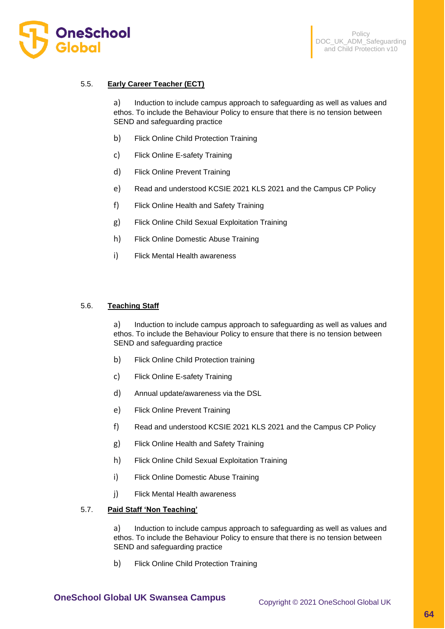

## 5.5. **Early Career Teacher (ECT)**

a) Induction to include campus approach to safeguarding as well as values and ethos. To include the Behaviour Policy to ensure that there is no tension between SEND and safeguarding practice

- b) Flick Online Child Protection Training
- c) Flick Online E-safety Training
- d) Flick Online Prevent Training
- e) Read and understood KCSIE 2021 KLS 2021 and the Campus CP Policy
- f) Flick Online Health and Safety Training
- g) Flick Online Child Sexual Exploitation Training
- h) Flick Online Domestic Abuse Training
- i) Flick Mental Health awareness

## 5.6. **Teaching Staff**

a) Induction to include campus approach to safeguarding as well as values and ethos. To include the Behaviour Policy to ensure that there is no tension between SEND and safeguarding practice

- b) Flick Online Child Protection training
- c) Flick Online E-safety Training
- d) Annual update/awareness via the DSL
- e) Flick Online Prevent Training
- f) Read and understood KCSIE 2021 KLS 2021 and the Campus CP Policy
- g) Flick Online Health and Safety Training
- h) Flick Online Child Sexual Exploitation Training
- i) Flick Online Domestic Abuse Training
- j) Flick Mental Health awareness

#### 5.7. **Paid Staff 'Non Teaching'**

a) Induction to include campus approach to safeguarding as well as values and ethos. To include the Behaviour Policy to ensure that there is no tension between SEND and safeguarding practice

b) Flick Online Child Protection Training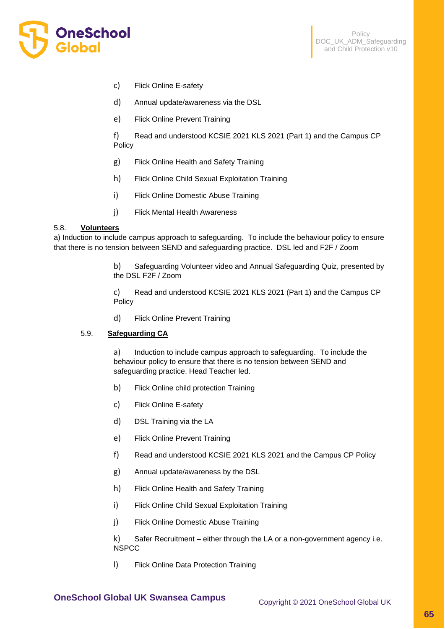

- c) Flick Online E-safety
- d) Annual update/awareness via the DSL
- e) Flick Online Prevent Training

f) Read and understood KCSIE 2021 KLS 2021 (Part 1) and the Campus CP Policy

- g) Flick Online Health and Safety Training
- h) Flick Online Child Sexual Exploitation Training
- i) Flick Online Domestic Abuse Training
- j) Flick Mental Health Awareness

## 5.8. **Volunteers**

a) Induction to include campus approach to safeguarding. To include the behaviour policy to ensure that there is no tension between SEND and safeguarding practice. DSL led and F2F / Zoom

> b) Safeguarding Volunteer video and Annual Safeguarding Quiz, presented by the DSL F2F / Zoom

c) Read and understood KCSIE 2021 KLS 2021 (Part 1) and the Campus CP Policy

d) Flick Online Prevent Training

## 5.9. **Safeguarding CA**

a) Induction to include campus approach to safeguarding. To include the behaviour policy to ensure that there is no tension between SEND and safeguarding practice. Head Teacher led.

- b) Flick Online child protection Training
- c) Flick Online E-safety
- d) DSL Training via the LA
- e) Flick Online Prevent Training
- f) Read and understood KCSIE 2021 KLS 2021 and the Campus CP Policy
- g) Annual update/awareness by the DSL
- h) Flick Online Health and Safety Training
- i) Flick Online Child Sexual Exploitation Training
- j) Flick Online Domestic Abuse Training

k) Safer Recruitment – either through the LA or a non-government agency i.e. **NSPCC** 

l) Flick Online Data Protection Training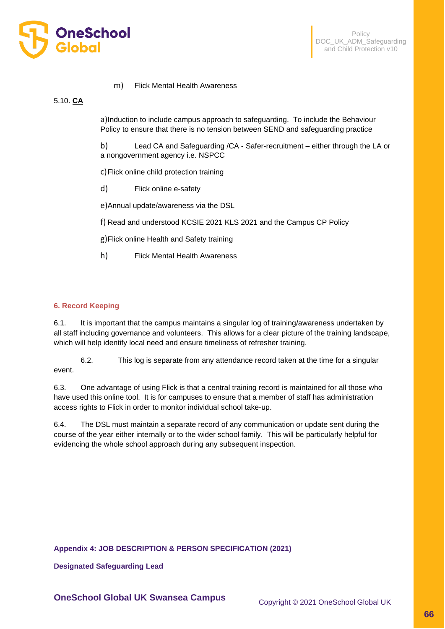

m) Flick Mental Health Awareness

## 5.10. **CA**

a)Induction to include campus approach to safeguarding. To include the Behaviour Policy to ensure that there is no tension between SEND and safeguarding practice

b) Lead CA and Safeguarding /CA - Safer-recruitment – either through the LA or a nongovernment agency i.e. NSPCC

c)Flick online child protection training

d) Flick online e-safety

e)Annual update/awareness via the DSL

f) Read and understood KCSIE 2021 KLS 2021 and the Campus CP Policy

g)Flick online Health and Safety training

h) Flick Mental Health Awareness

#### **6. Record Keeping**

6.1. It is important that the campus maintains a singular log of training/awareness undertaken by all staff including governance and volunteers. This allows for a clear picture of the training landscape, which will help identify local need and ensure timeliness of refresher training.

6.2. This log is separate from any attendance record taken at the time for a singular event.

6.3. One advantage of using Flick is that a central training record is maintained for all those who have used this online tool. It is for campuses to ensure that a member of staff has administration access rights to Flick in order to monitor individual school take-up.

6.4. The DSL must maintain a separate record of any communication or update sent during the course of the year either internally or to the wider school family. This will be particularly helpful for evidencing the whole school approach during any subsequent inspection.

**Appendix 4: JOB DESCRIPTION & PERSON SPECIFICATION (2021)**

**Designated Safeguarding Lead**

**OneSchool Global UK Swansea Campus**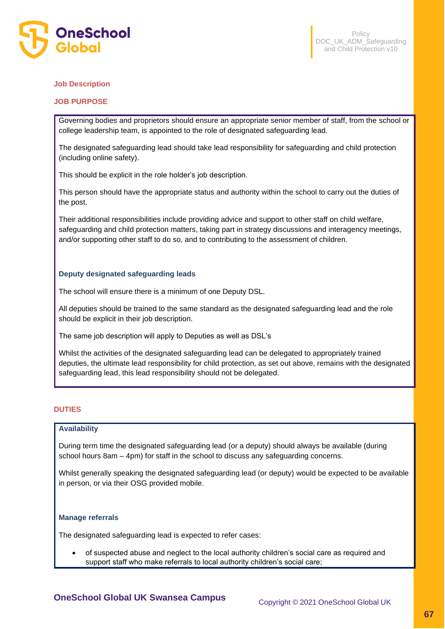

#### **Job Description**

## **JOB PURPOSE**

Governing bodies and proprietors should ensure an appropriate senior member of staff, from the school or college leadership team, is appointed to the role of designated safeguarding lead.

The designated safeguarding lead should take lead responsibility for safeguarding and child protection (including online safety).

This should be explicit in the role holder's job description.

This person should have the appropriate status and authority within the school to carry out the duties of the post.

Their additional responsibilities include providing advice and support to other staff on child welfare, safeguarding and child protection matters, taking part in strategy discussions and interagency meetings, and/or supporting other staff to do so, and to contributing to the assessment of children.

#### **Deputy designated safeguarding leads**

The school will ensure there is a minimum of one Deputy DSL.

All deputies should be trained to the same standard as the designated safeguarding lead and the role should be explicit in their job description.

The same job description will apply to Deputies as well as DSL's

Whilst the activities of the designated safeguarding lead can be delegated to appropriately trained deputies, the ultimate lead responsibility for child protection, as set out above, remains with the designated safeguarding lead, this lead responsibility should not be delegated.

#### **DUTIES**

## **Availability**

During term time the designated safeguarding lead (or a deputy) should always be available (during school hours 8am – 4pm) for staff in the school to discuss any safeguarding concerns.

Whilst generally speaking the designated safeguarding lead (or deputy) would be expected to be available in person, or via their OSG provided mobile.

#### **Manage referrals**

The designated safeguarding lead is expected to refer cases:

• of suspected abuse and neglect to the local authority children's social care as required and support staff who make referrals to local authority children's social care;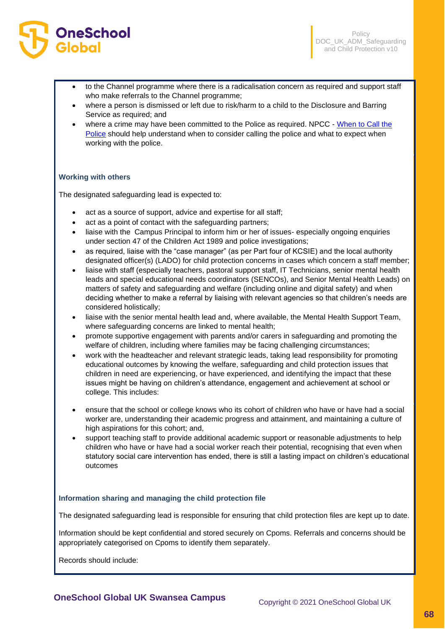

- to the Channel programme where there is a radicalisation concern as required and support staff who make referrals to the Channel programme;
- where a person is dismissed or left due to risk/harm to a child to the Disclosure and Barring Service as required; and
- where a crime may have been committed to the Police as required. NPCC [When to Call the](https://www.npcc.police.uk/documents/Children%20and%20Young%20people/When%20to%20call%20the%20police%20guidance%20for%20schools%20and%20colleges.pdf)  [Police](https://www.npcc.police.uk/documents/Children%20and%20Young%20people/When%20to%20call%20the%20police%20guidance%20for%20schools%20and%20colleges.pdf) should help understand when to consider calling the police and what to expect when working with the police.

## **Working with others**

The designated safeguarding lead is expected to:

- act as a source of support, advice and expertise for all staff;
- act as a point of contact with the safeguarding partners;
- liaise with the Campus Principal to inform him or her of issues- especially ongoing enquiries under section 47 of the Children Act 1989 and police investigations;
- as required, liaise with the "case manager" (as per Part four of KCSIE) and the local authority designated officer(s) (LADO) for child protection concerns in cases which concern a staff member;
- liaise with staff (especially teachers, pastoral support staff, IT Technicians, senior mental health leads and special educational needs coordinators (SENCOs), and Senior Mental Health Leads) on matters of safety and safeguarding and welfare (including online and digital safety) and when deciding whether to make a referral by liaising with relevant agencies so that children's needs are considered holistically;
- liaise with the senior mental health lead and, where available, the Mental Health Support Team, where safeguarding concerns are linked to mental health;
- promote supportive engagement with parents and/or carers in safeguarding and promoting the welfare of children, including where families may be facing challenging circumstances;
- work with the headteacher and relevant strategic leads, taking lead responsibility for promoting educational outcomes by knowing the welfare, safeguarding and child protection issues that children in need are experiencing, or have experienced, and identifying the impact that these issues might be having on children's attendance, engagement and achievement at school or college. This includes:
- ensure that the school or college knows who its cohort of children who have or have had a social worker are, understanding their academic progress and attainment, and maintaining a culture of high aspirations for this cohort; and,
- support teaching staff to provide additional academic support or reasonable adjustments to help children who have or have had a social worker reach their potential, recognising that even when statutory social care intervention has ended, there is still a lasting impact on children's educational outcomes

## **Information sharing and managing the child protection file**

The designated safeguarding lead is responsible for ensuring that child protection files are kept up to date.

Information should be kept confidential and stored securely on Cpoms. Referrals and concerns should be appropriately categorised on Cpoms to identify them separately.

Records should include: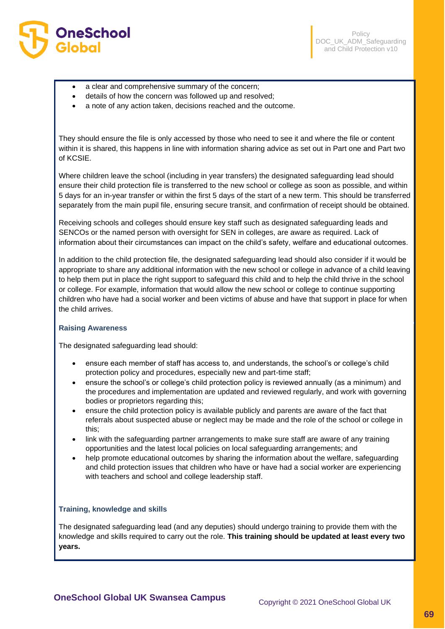

- a clear and comprehensive summary of the concern;
- details of how the concern was followed up and resolved;
- a note of any action taken, decisions reached and the outcome.

They should ensure the file is only accessed by those who need to see it and where the file or content within it is shared, this happens in line with information sharing advice as set out in Part one and Part two of KCSIE.

Where children leave the school (including in year transfers) the designated safeguarding lead should ensure their child protection file is transferred to the new school or college as soon as possible, and within 5 days for an in-year transfer or within the first 5 days of the start of a new term. This should be transferred separately from the main pupil file, ensuring secure transit, and confirmation of receipt should be obtained.

Receiving schools and colleges should ensure key staff such as designated safeguarding leads and SENCOs or the named person with oversight for SEN in colleges, are aware as required. Lack of information about their circumstances can impact on the child's safety, welfare and educational outcomes.

In addition to the child protection file, the designated safeguarding lead should also consider if it would be appropriate to share any additional information with the new school or college in advance of a child leaving to help them put in place the right support to safeguard this child and to help the child thrive in the school or college. For example, information that would allow the new school or college to continue supporting children who have had a social worker and been victims of abuse and have that support in place for when the child arrives.

## **Raising Awareness**

The designated safeguarding lead should:

- ensure each member of staff has access to, and understands, the school's or college's child protection policy and procedures, especially new and part-time staff;
- ensure the school's or college's child protection policy is reviewed annually (as a minimum) and the procedures and implementation are updated and reviewed regularly, and work with governing bodies or proprietors regarding this;
- ensure the child protection policy is available publicly and parents are aware of the fact that referrals about suspected abuse or neglect may be made and the role of the school or college in this;
- link with the safeguarding partner arrangements to make sure staff are aware of any training opportunities and the latest local policies on local safeguarding arrangements; and
- help promote educational outcomes by sharing the information about the welfare, safeguarding and child protection issues that children who have or have had a social worker are experiencing with teachers and school and college leadership staff.

## **Training, knowledge and skills**

The designated safeguarding lead (and any deputies) should undergo training to provide them with the knowledge and skills required to carry out the role. **This training should be updated at least every two years.**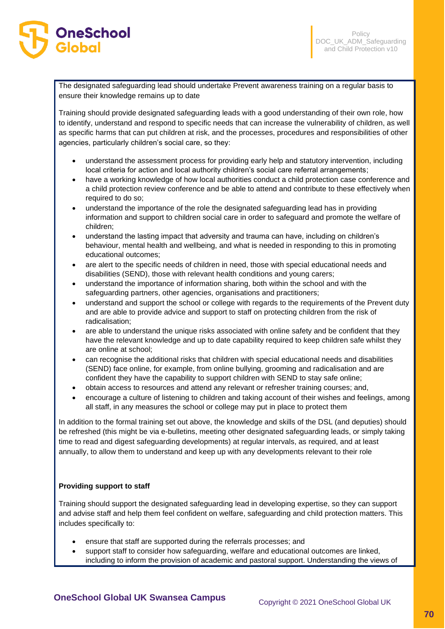

The designated safeguarding lead should undertake Prevent awareness training on a regular basis to ensure their knowledge remains up to date

Training should provide designated safeguarding leads with a good understanding of their own role, how to identify, understand and respond to specific needs that can increase the vulnerability of children, as well as specific harms that can put children at risk, and the processes, procedures and responsibilities of other agencies, particularly children's social care, so they:

- understand the assessment process for providing early help and statutory intervention, including local criteria for action and local authority children's social care referral arrangements;
- have a working knowledge of how local authorities conduct a child protection case conference and a child protection review conference and be able to attend and contribute to these effectively when required to do so;
- understand the importance of the role the designated safeguarding lead has in providing information and support to children social care in order to safeguard and promote the welfare of children;
- understand the lasting impact that adversity and trauma can have, including on children's behaviour, mental health and wellbeing, and what is needed in responding to this in promoting educational outcomes;
- are alert to the specific needs of children in need, those with special educational needs and disabilities (SEND), those with relevant health conditions and young carers;
- understand the importance of information sharing, both within the school and with the safeguarding partners, other agencies, organisations and practitioners;
- understand and support the school or college with regards to the requirements of the Prevent duty and are able to provide advice and support to staff on protecting children from the risk of radicalisation;
- are able to understand the unique risks associated with online safety and be confident that they have the relevant knowledge and up to date capability required to keep children safe whilst they are online at school;
- can recognise the additional risks that children with special educational needs and disabilities (SEND) face online, for example, from online bullying, grooming and radicalisation and are confident they have the capability to support children with SEND to stay safe online;
- obtain access to resources and attend any relevant or refresher training courses; and,
- encourage a culture of listening to children and taking account of their wishes and feelings, among all staff, in any measures the school or college may put in place to protect them

In addition to the formal training set out above, the knowledge and skills of the DSL (and deputies) should be refreshed (this might be via e-bulletins, meeting other designated safeguarding leads, or simply taking time to read and digest safeguarding developments) at regular intervals, as required, and at least annually, to allow them to understand and keep up with any developments relevant to their role

# **Providing support to staff**

Training should support the designated safeguarding lead in developing expertise, so they can support and advise staff and help them feel confident on welfare, safeguarding and child protection matters. This includes specifically to:

- ensure that staff are supported during the referrals processes; and
- support staff to consider how safeguarding, welfare and educational outcomes are linked, including to inform the provision of academic and pastoral support. Understanding the views of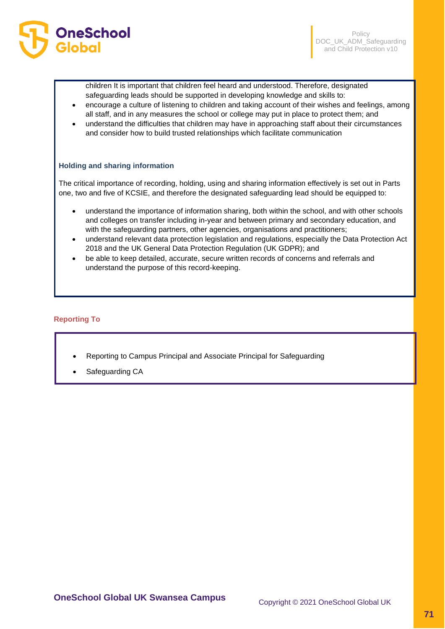

children It is important that children feel heard and understood. Therefore, designated safeguarding leads should be supported in developing knowledge and skills to:

- encourage a culture of listening to children and taking account of their wishes and feelings, among all staff, and in any measures the school or college may put in place to protect them; and
- understand the difficulties that children may have in approaching staff about their circumstances and consider how to build trusted relationships which facilitate communication

# **Holding and sharing information**

The critical importance of recording, holding, using and sharing information effectively is set out in Parts one, two and five of KCSIE, and therefore the designated safeguarding lead should be equipped to:

- understand the importance of information sharing, both within the school, and with other schools and colleges on transfer including in-year and between primary and secondary education, and with the safeguarding partners, other agencies, organisations and practitioners;
- understand relevant data protection legislation and regulations, especially the Data Protection Act 2018 and the UK General Data Protection Regulation (UK GDPR); and
- be able to keep detailed, accurate, secure written records of concerns and referrals and understand the purpose of this record-keeping.

## **Reporting To**

- Reporting to Campus Principal and Associate Principal for Safeguarding
- Safeguarding CA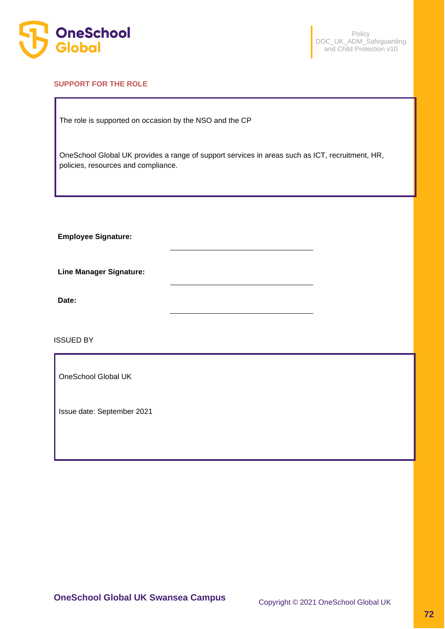

Policy DOC\_UK\_ADM\_Safeguarding and Child Protection v10

## **SUPPORT FOR THE ROLE**

The role is supported on occasion by the NSO and the CP

OneSchool Global UK provides a range of support services in areas such as ICT, recruitment, HR, policies, resources and compliance.

ISSUED BY OneSchool Global UK Issue date: September 2021 **Employee Signature: Line Manager Signature: Date:**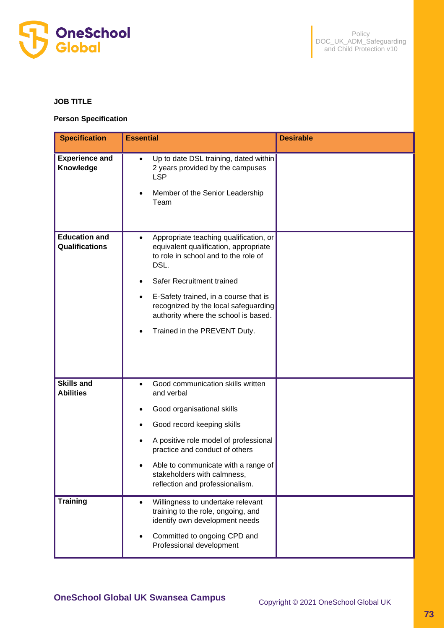

## **JOB TITLE**

## **Person Specification**

| <b>Specification</b>                   | <b>Essential</b>                                                                                                                                                                                                                                                                                                                   | <b>Desirable</b> |
|----------------------------------------|------------------------------------------------------------------------------------------------------------------------------------------------------------------------------------------------------------------------------------------------------------------------------------------------------------------------------------|------------------|
| <b>Experience and</b><br>Knowledge     | Up to date DSL training, dated within<br>$\bullet$<br>2 years provided by the campuses<br><b>LSP</b><br>Member of the Senior Leadership<br>Team                                                                                                                                                                                    |                  |
| <b>Education and</b><br>Qualifications | Appropriate teaching qualification, or<br>$\bullet$<br>equivalent qualification, appropriate<br>to role in school and to the role of<br>DSL.<br>Safer Recruitment trained<br>E-Safety trained, in a course that is<br>recognized by the local safeguarding<br>authority where the school is based.<br>Trained in the PREVENT Duty. |                  |
| <b>Skills and</b><br><b>Abilities</b>  | Good communication skills written<br>$\bullet$<br>and verbal<br>Good organisational skills<br>Good record keeping skills<br>A positive role model of professional<br>practice and conduct of others<br>Able to communicate with a range of<br>stakeholders with calmness,<br>reflection and professionalism.                       |                  |
| <b>Training</b>                        | Willingness to undertake relevant<br>$\bullet$<br>training to the role, ongoing, and<br>identify own development needs<br>Committed to ongoing CPD and<br>Professional development                                                                                                                                                 |                  |